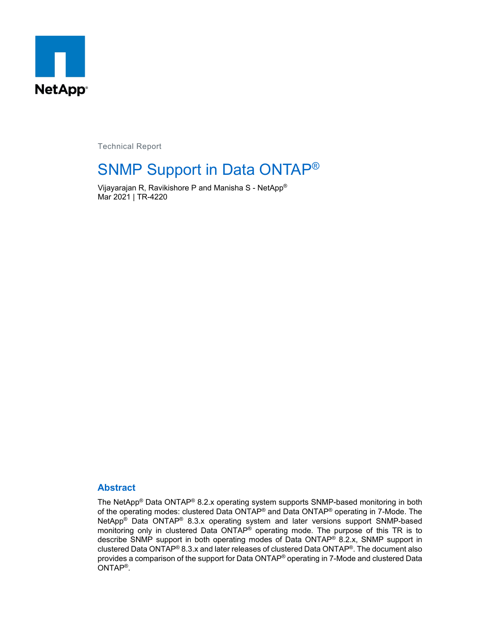

Technical Report

# SNMP Support in Data ONTAP®

Vijayarajan R, Ravikishore P and Manisha S - NetApp® Mar 2021 | TR-4220

#### **Abstract**

The NetApp® Data ONTAP® 8.2.x operating system supports SNMP-based monitoring in both of the operating modes: clustered Data ONTAP® and Data ONTAP® operating in 7-Mode. The NetApp® Data ONTAP® 8.3.x operating system and later versions support SNMP-based monitoring only in clustered Data ONTAP® operating mode. The purpose of this TR is to describe SNMP support in both operating modes of Data ONTAP® 8.2.x, SNMP support in clustered Data ONTAP® 8.3.x and later releases of clustered Data ONTAP®. The document also provides a comparison of the support for Data ONTAP® operating in 7-Mode and clustered Data ONTAP®.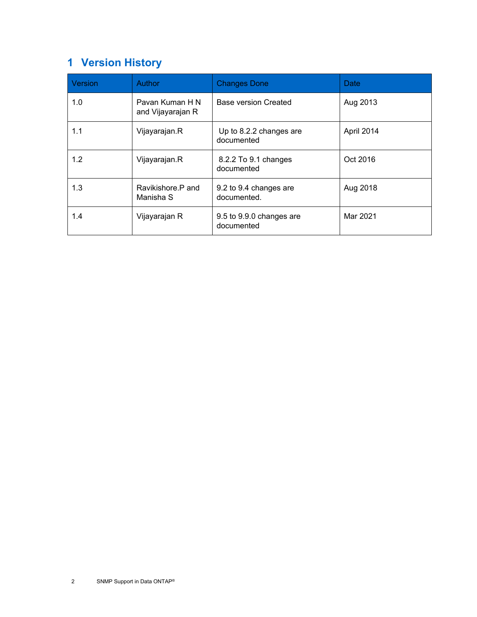# <span id="page-1-0"></span>**1 Version History**

| <b>Version</b> | <b>Author</b>                        | <b>Changes Done</b>                    | Date       |
|----------------|--------------------------------------|----------------------------------------|------------|
| 1.0            | Pavan Kuman H N<br>and Vijayarajan R | <b>Base version Created</b>            | Aug 2013   |
| 1.1            | Vijayarajan.R                        | Up to 8.2.2 changes are<br>documented  | April 2014 |
| 1.2            | Vijayarajan.R                        | 8.2.2 To 9.1 changes<br>documented     | Oct 2016   |
| 1.3            | Ravikishore P and<br>Manisha S       | 9.2 to 9.4 changes are<br>documented.  | Aug 2018   |
| 1.4            | Vijayarajan R                        | 9.5 to 9.9.0 changes are<br>documented | Mar 2021   |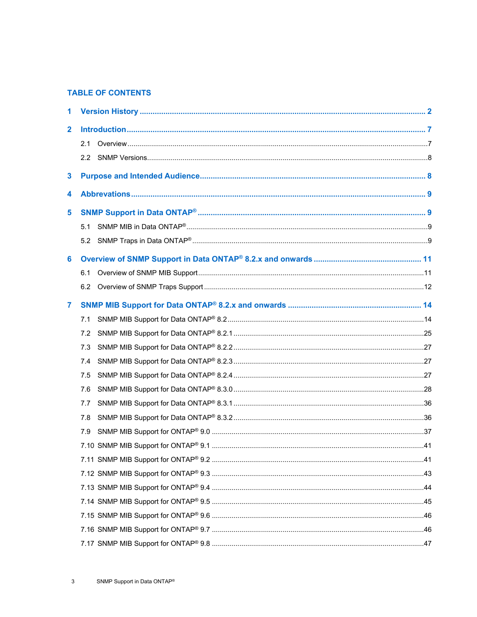#### **TABLE OF CONTENTS**

| 1            |     |  |
|--------------|-----|--|
| $\mathbf{2}$ |     |  |
|              | 2.1 |  |
|              | 2.2 |  |
| 3            |     |  |
| 4            |     |  |
| 5            |     |  |
|              | 5.1 |  |
|              | 5.2 |  |
| 6            |     |  |
|              | 6.1 |  |
|              |     |  |
| 7            |     |  |
|              | 7.1 |  |
|              | 7.2 |  |
|              | 7.3 |  |
|              | 7.4 |  |
|              | 7.5 |  |
|              | 7.6 |  |
|              | 7.7 |  |
|              | 7.8 |  |
|              | 7.9 |  |
|              |     |  |
|              |     |  |
|              |     |  |
|              |     |  |
|              |     |  |
|              |     |  |
|              |     |  |
|              |     |  |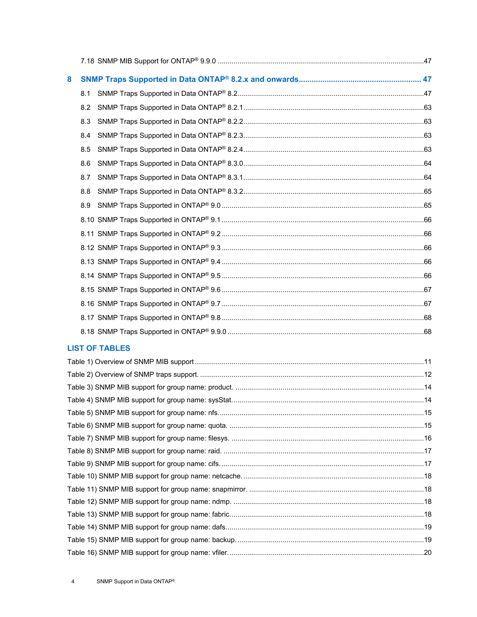| 8 |     |  |
|---|-----|--|
|   |     |  |
|   | 8.2 |  |
|   | 8.3 |  |
|   |     |  |
|   | 8.5 |  |
|   | 8.6 |  |
|   | 8.7 |  |
|   | 8.8 |  |
|   | 8.9 |  |
|   |     |  |
|   |     |  |
|   |     |  |
|   |     |  |
|   |     |  |
|   |     |  |
|   |     |  |
|   |     |  |
|   |     |  |

#### **LIST OF TABLES**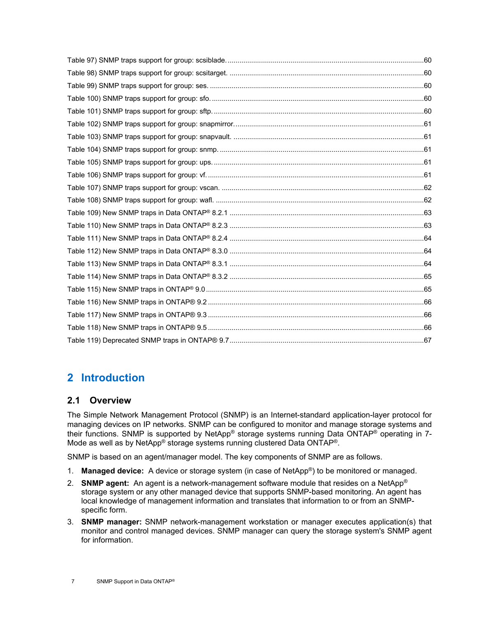# <span id="page-6-0"></span>**2 Introduction**

#### <span id="page-6-1"></span>**2.1 Overview**

The Simple Network Management Protocol (SNMP) is an Internet-standard application-layer protocol for managing devices on IP networks. SNMP can be configured to monitor and manage storage systems and their functions. SNMP is supported by NetApp® storage systems running Data ONTAP® operating in 7- Mode as well as by NetApp® storage systems running clustered Data ONTAP®.

SNMP is based on an agent/manager model. The key components of SNMP are as follows.

- 1. **Managed device:** A device or storage system (in case of NetApp®) to be monitored or managed.
- 2. **SNMP agent:** An agent is a network-management software module that resides on a NetApp® storage system or any other managed device that supports SNMP-based monitoring. An agent has local knowledge of management information and translates that information to or from an SNMPspecific form.
- 3. **SNMP manager:** SNMP network-management workstation or manager executes application(s) that monitor and control managed devices. SNMP manager can query the storage system's SNMP agent for information.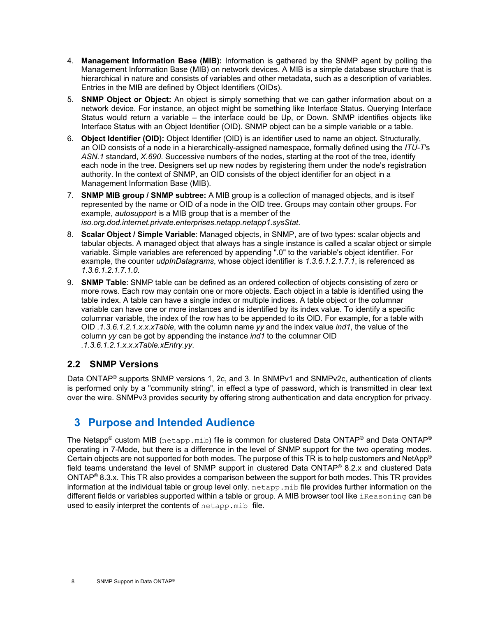- 4. **Management Information Base (MIB):** Information is gathered by the SNMP agent by polling the Management Information Base (MIB) on network devices. A MIB is a simple database structure that is hierarchical in nature and consists of variables and other metadata, such as a description of variables. Entries in the MIB are defined by Object Identifiers (OIDs).
- 5. **SNMP Object or Object:** An object is simply something that we can gather information about on a network device. For instance, an object might be something like Interface Status. Querying Interface Status would return a variable – the interface could be Up, or Down. SNMP identifies objects like Interface Status with an Object Identifier (OID). SNMP object can be a simple variable or a table.
- 6. **Object Identifier (OID):** Object Identifier (OID) is an identifier used to name an object. Structurally, an OID consists of a node in a hierarchically-assigned namespace, formally defined using the *ITU-T*'s *ASN.1* standard, *X.690*. Successive numbers of the nodes, starting at the root of the tree, identify each node in the tree. Designers set up new nodes by registering them under the node's registration authority. In the context of SNMP, an OID consists of the object identifier for an object in a Management Information Base (MIB).
- 7. **SNMP MIB group / SNMP subtree:** A MIB group is a collection of managed objects, and is itself represented by the name or OID of a node in the OID tree. Groups may contain other groups. For example, *autosupport* is a MIB group that is a member of the *iso.org.dod.internet.private.enterprises.netapp.netapp1.sysStat*.
- 8. **Scalar Object / Simple Variable**: Managed objects, in SNMP, are of two types: scalar objects and tabular objects. A managed object that always has a single instance is called a scalar object or simple variable. Simple variables are referenced by appending ".0" to the variable's object identifier. For example, the counter *udpInDatagrams*, whose object identifier is *1.3.6.1.2.1.7.1*, is referenced as *1.3.6.1.2.1.7.1.0*.
- 9. **SNMP Table**: SNMP table can be defined as an ordered collection of objects consisting of zero or more rows. Each row may contain one or more objects. Each object in a table is identified using the table index. A table can have a single index or multiple indices. A table object or the columnar variable can have one or more instances and is identified by its index value. To identify a specific columnar variable, the index of the row has to be appended to its OID. For example, for a table with OID *.1.3.6.1.2.1.x.x.xTable*, with the column name *yy* and the index value *ind1*, the value of the column *yy* can be got by appending the instance *ind1* to the columnar OID *.1.3.6.1.2.1.x.x.xTable.xEntry.yy*.

#### <span id="page-7-0"></span>**2.2 SNMP Versions**

Data ONTAP<sup>®</sup> supports SNMP versions 1, 2c, and 3. In SNMPv1 and SNMPv2c, authentication of clients is performed only by a "community string", in effect a type of password, which is transmitted in clear text over the wire. SNMPv3 provides security by offering strong authentication and data encryption for privacy.

### <span id="page-7-1"></span>**3 Purpose and Intended Audience**

The Netapp® custom MIB ( $n_{\text{etapp.mib}}$ ) file is common for clustered Data ONTAP® and Data ONTAP® operating in 7-Mode, but there is a difference in the level of SNMP support for the two operating modes. Certain objects are not supported for both modes. The purpose of this TR is to help customers and NetApp® field teams understand the level of SNMP support in clustered Data ONTAP® 8.2.x and clustered Data ONTAP® 8.3.x. This TR also provides a comparison between the support for both modes. This TR provides information at the individual table or group level only. netapp.mib file provides further information on the different fields or variables supported within a table or group. A MIB browser tool like iReasoning can be used to easily interpret the contents of netapp.mib file.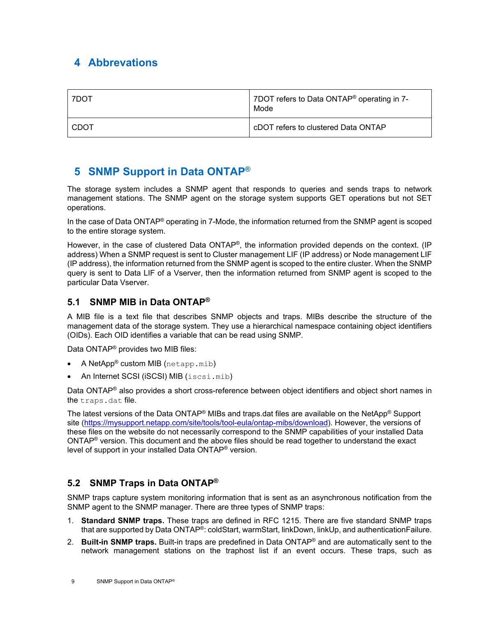## <span id="page-8-0"></span>**4 Abbrevations**

| 7DOT | 7DOT refers to Data ONTAP <sup>®</sup> operating in 7-<br>Mode |
|------|----------------------------------------------------------------|
| CDOT | cDOT refers to clustered Data ONTAP                            |

## <span id="page-8-1"></span>**5 SNMP Support in Data ONTAP®**

The storage system includes a SNMP agent that responds to queries and sends traps to network management stations. The SNMP agent on the storage system supports GET operations but not SET operations.

In the case of Data ONTAP® operating in 7-Mode, the information returned from the SNMP agent is scoped to the entire storage system.

However, in the case of clustered Data ONTAP<sup>®</sup>, the information provided depends on the context. (IP address) When a SNMP request is sent to Cluster management LIF (IP address) or Node management LIF (IP address), the information returned from the SNMP agent is scoped to the entire cluster. When the SNMP query is sent to Data LIF of a Vserver, then the information returned from SNMP agent is scoped to the particular Data Vserver.

#### <span id="page-8-2"></span>**5.1 SNMP MIB in Data ONTAP®**

A MIB file is a text file that describes SNMP objects and traps. MIBs describe the structure of the management data of the storage system. They use a hierarchical namespace containing object identifiers (OIDs). Each OID identifies a variable that can be read using SNMP.

Data ONTAP® provides two MIB files:

- A NetApp® custom MIB (netapp.mib)
- An Internet SCSI (iSCSI) MIB (iscsi.mib)

Data ONTAP<sup>®</sup> also provides a short cross-reference between object identifiers and object short names in the traps.dat file.

The latest versions of the Data ONTAP® MIBs and traps.dat files are available on the NetApp® Support site [\(https://mysupport.netapp.com/site/tools/tool-eula/ontap-mibs/download\)](https://mysupport.netapp.com/site/tools/tool-eula/ontap-mibs/download). However, the versions of these files on the website do not necessarily correspond to the SNMP capabilities of your installed Data ONTAP® version. This document and the above files should be read together to understand the exact level of support in your installed Data ONTAP® version.

### <span id="page-8-3"></span>**5.2 SNMP Traps in Data ONTAP®**

SNMP traps capture system monitoring information that is sent as an asynchronous notification from the SNMP agent to the SNMP manager. There are three types of SNMP traps:

- 1. **Standard SNMP traps.** These traps are defined in RFC 1215. There are five standard SNMP traps that are supported by Data ONTAP®: coldStart, warmStart, linkDown, linkUp, and authenticationFailure.
- 2. **Built-in SNMP traps.** Built-in traps are predefined in Data ONTAP® and are automatically sent to the network management stations on the traphost list if an event occurs. These traps, such as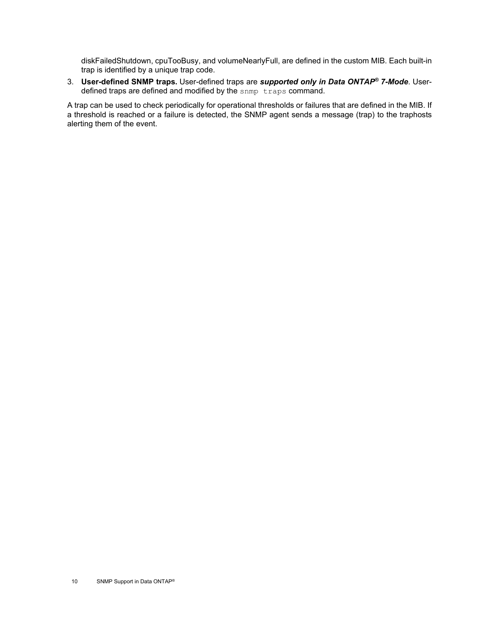diskFailedShutdown, cpuTooBusy, and volumeNearlyFull, are defined in the custom MIB. Each built-in trap is identified by a unique trap code.

3. **User-defined SNMP traps.** User-defined traps are *supported only in Data ONTAP® 7-Mode*. Userdefined traps are defined and modified by the snmp traps command.

A trap can be used to check periodically for operational thresholds or failures that are defined in the MIB. If a threshold is reached or a failure is detected, the SNMP agent sends a message (trap) to the traphosts alerting them of the event.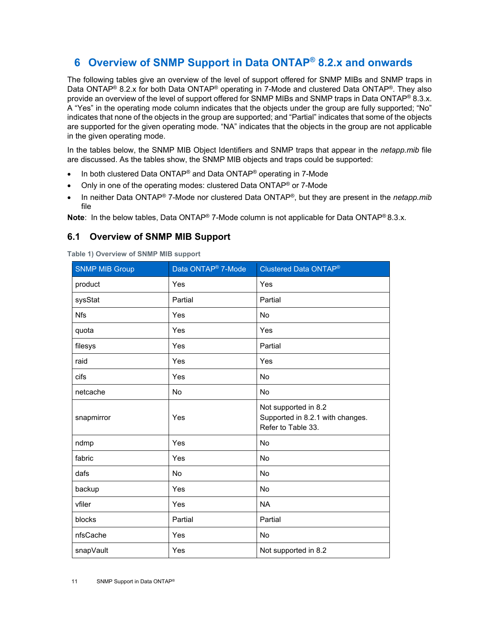# <span id="page-10-0"></span>**6 Overview of SNMP Support in Data ONTAP® 8.2.x and onwards**

The following tables give an overview of the level of support offered for SNMP MIBs and SNMP traps in Data ONTAP<sup>®</sup> 8.2.x for both Data ONTAP<sup>®</sup> operating in 7-Mode and clustered Data ONTAP<sup>®</sup>. They also provide an overview of the level of support offered for SNMP MIBs and SNMP traps in Data ONTAP® 8.3.x. A "Yes" in the operating mode column indicates that the objects under the group are fully supported; "No" indicates that none of the objects in the group are supported; and "Partial" indicates that some of the objects are supported for the given operating mode. "NA" indicates that the objects in the group are not applicable in the given operating mode.

In the tables below, the SNMP MIB Object Identifiers and SNMP traps that appear in the *netapp.mib* file are discussed. As the tables show, the SNMP MIB objects and traps could be supported:

- In both clustered Data ONTAP<sup>®</sup> and Data ONTAP<sup>®</sup> operating in 7-Mode
- Only in one of the operating modes: clustered Data ONTAP® or 7-Mode
- In neither Data ONTAP® 7-Mode nor clustered Data ONTAP®, but they are present in the *netapp.mib* file

**Note**: In the below tables, Data ONTAP® 7-Mode column is not applicable for Data ONTAP® 8.3.x.

#### <span id="page-10-1"></span>**6.1 Overview of SNMP MIB Support**

<span id="page-10-2"></span>**Table 1) Overview of SNMP MIB support**

| <b>SNMP MIB Group</b> | Data ONTAP <sup>®</sup> 7-Mode | <b>Clustered Data ONTAP®</b>                                                   |
|-----------------------|--------------------------------|--------------------------------------------------------------------------------|
| product               | Yes                            | Yes                                                                            |
| sysStat               | Partial                        | Partial                                                                        |
| <b>Nfs</b>            | Yes                            | No                                                                             |
| quota                 | Yes                            | Yes                                                                            |
| filesys               | Yes                            | Partial                                                                        |
| raid                  | Yes                            | Yes                                                                            |
| cifs                  | Yes                            | No                                                                             |
| netcache              | No                             | No                                                                             |
| snapmirror            | Yes                            | Not supported in 8.2<br>Supported in 8.2.1 with changes.<br>Refer to Table 33. |
| ndmp                  | Yes                            | No                                                                             |
| fabric                | Yes                            | No                                                                             |
| dafs                  | No                             | No                                                                             |
| backup                | Yes                            | <b>No</b>                                                                      |
| vfiler                | Yes                            | <b>NA</b>                                                                      |
| blocks                | Partial                        | Partial                                                                        |
| nfsCache              | Yes                            | No                                                                             |
| snapVault             | Yes                            | Not supported in 8.2                                                           |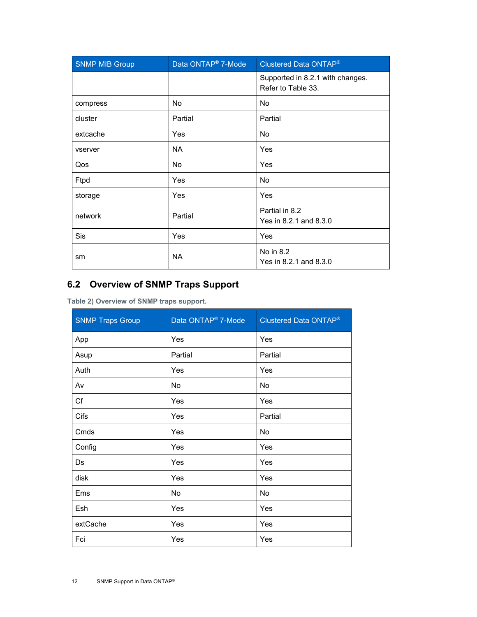| <b>SNMP MIB Group</b> | Data ONTAP <sup>®</sup> 7-Mode | Clustered Data ONTAP®                                  |  |
|-----------------------|--------------------------------|--------------------------------------------------------|--|
|                       |                                | Supported in 8.2.1 with changes.<br>Refer to Table 33. |  |
| compress              | <b>No</b>                      | <b>No</b>                                              |  |
| cluster               | Partial                        | Partial                                                |  |
| extcache              | Yes                            | <b>No</b>                                              |  |
| vserver               | <b>NA</b>                      | Yes                                                    |  |
| Qos                   | <b>No</b>                      | Yes                                                    |  |
| Ftpd                  | Yes                            | <b>No</b>                                              |  |
| storage               | Yes                            | Yes                                                    |  |
| network               | Partial                        | Partial in 8.2<br>Yes in 8.2.1 and 8.3.0               |  |
| Sis                   | Yes                            | Yes                                                    |  |
| sm                    | <b>NA</b>                      | No in 8.2<br>Yes in 8.2.1 and 8.3.0                    |  |

## <span id="page-11-0"></span>**6.2 Overview of SNMP Traps Support**

<span id="page-11-1"></span>**Table 2) Overview of SNMP traps support.**

| <b>SNMP Traps Group</b> | Data ONTAP <sup>®</sup> 7-Mode | Clustered Data ONTAP® |
|-------------------------|--------------------------------|-----------------------|
| App                     | Yes                            | Yes                   |
| Asup                    | Partial                        | Partial               |
| Auth                    | Yes                            | Yes                   |
| Av                      | No                             | No                    |
| Cf                      | Yes                            | Yes                   |
| Cifs                    | Yes                            | Partial               |
| Cmds                    | Yes                            | No                    |
| Config                  | Yes                            | Yes                   |
| Ds                      | Yes                            | Yes                   |
| disk                    | Yes                            | Yes                   |
| Ems                     | No                             | No                    |
| Esh                     | Yes                            | Yes                   |
| extCache                | Yes                            | Yes                   |
| Fci                     | Yes                            | Yes                   |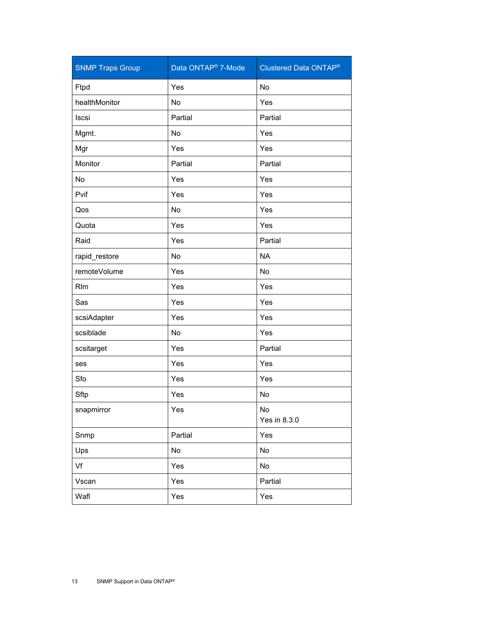| <b>SNMP Traps Group</b> | Data ONTAP <sup>®</sup> 7-Mode | <b>Clustered Data ONTAP®</b> |
|-------------------------|--------------------------------|------------------------------|
| Ftpd                    | Yes                            | No                           |
| healthMonitor           | No                             | Yes                          |
| Iscsi                   | Partial                        | Partial                      |
| Mgmt.                   | No                             | Yes                          |
| Mgr                     | Yes                            | Yes                          |
| Monitor                 | Partial                        | Partial                      |
| No                      | Yes                            | Yes                          |
| Pvif                    | Yes                            | Yes                          |
| Qos                     | No                             | Yes                          |
| Quota                   | Yes                            | Yes                          |
| Raid                    | Yes                            | Partial                      |
| rapid_restore           | No                             | <b>NA</b>                    |
| remoteVolume            | Yes                            | No                           |
| <b>R</b> I <sub>m</sub> | Yes                            | Yes                          |
| Sas                     | Yes                            | Yes                          |
| scsiAdapter             | Yes                            | Yes                          |
| scsiblade               | No                             | Yes                          |
| scsitarget              | Yes                            | Partial                      |
| ses                     | Yes                            | Yes                          |
| Sfo                     | Yes                            | Yes                          |
| Sftp                    | Yes                            | No                           |
| snapmirror              | Yes                            | No<br>Yes in 8.3.0           |
| Snmp                    | Partial                        | Yes                          |
| Ups                     | No                             | No                           |
| Vf                      | Yes                            | No                           |
| Vscan                   | Yes                            | Partial                      |
| Wafl                    | Yes                            | Yes                          |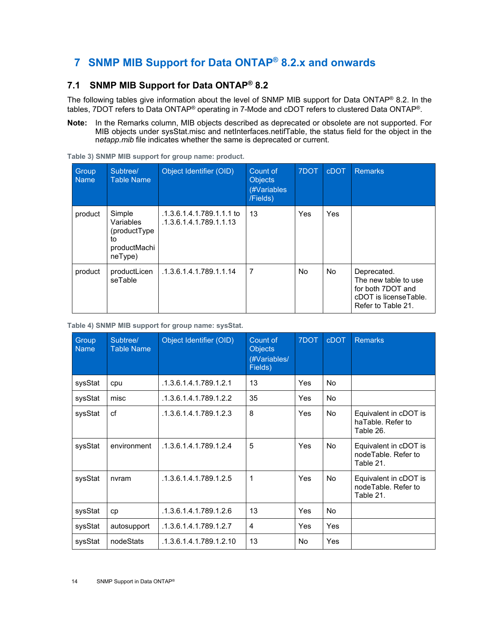# <span id="page-13-0"></span>**7 SNMP MIB Support for Data ONTAP® 8.2.x and onwards**

### <span id="page-13-1"></span>**7.1 SNMP MIB Support for Data ONTAP® 8.2**

The following tables give information about the level of SNMP MIB support for Data ONTAP® 8.2. In the tables, 7DOT refers to Data ONTAP® operating in 7-Mode and cDOT refers to clustered Data ONTAP®.

**Note:** In the Remarks column, MIB objects described as deprecated or obsolete are not supported. For MIB objects under sysStat.misc and netInterfaces.netifTable, the status field for the object in the n*etapp.mib* file indicates whether the same is deprecated or current.

| Group<br><b>Name</b> | Subtree/<br><b>Table Name</b>                                        | Object Identifier (OID)                              | Count of<br><b>Objects</b><br>(#Variables<br>/Fields) | 7DOT      | <b>cDOT</b> | <b>Remarks</b>                                                                                          |
|----------------------|----------------------------------------------------------------------|------------------------------------------------------|-------------------------------------------------------|-----------|-------------|---------------------------------------------------------------------------------------------------------|
| product              | Simple<br>Variables<br>(productType<br>to<br>productMachi<br>neType) | .1.3.6.1.4.1.789.1.1.1 to<br>.1.3.6.1.4.1.789.1.1.13 | 13                                                    | Yes       | Yes         |                                                                                                         |
| product              | productLicen<br>seTable                                              | .1.3.6.1.4.1.789.1.1.14                              | 7                                                     | <b>No</b> | <b>No</b>   | Deprecated.<br>The new table to use<br>for both 7DOT and<br>cDOT is licenseTable.<br>Refer to Table 21. |

<span id="page-13-2"></span>**Table 3) SNMP MIB support for group name: product.**

<span id="page-13-3"></span>**Table 4) SNMP MIB support for group name: sysStat.** 

| Group<br><b>Name</b> | Subtree/<br><b>Table Name</b> | Object Identifier (OID) | Count of<br><b>Objects</b><br>(#Variables/<br>Fields) | 7DOT | <b>cDOT</b> | <b>Remarks</b>                                            |
|----------------------|-------------------------------|-------------------------|-------------------------------------------------------|------|-------------|-----------------------------------------------------------|
| sysStat              | cpu                           | .1.3.6.1.4.1.789.1.2.1  | 13                                                    | Yes  | <b>No</b>   |                                                           |
| sysStat              | misc                          | .1.3.6.1.4.1.789.1.2.2  | 35                                                    | Yes  | <b>No</b>   |                                                           |
| sysStat              | cf                            | .1.3.6.1.4.1.789.1.2.3  | 8                                                     | Yes  | No          | Equivalent in cDOT is<br>haTable. Refer to<br>Table 26.   |
| sysStat              | environment                   | .1.3.6.1.4.1.789.1.2.4  | 5                                                     | Yes  | No          | Equivalent in cDOT is<br>nodeTable, Refer to<br>Table 21. |
| sysStat              | nvram                         | .1.3.6.1.4.1.789.1.2.5  | 1                                                     | Yes  | <b>No</b>   | Equivalent in cDOT is<br>nodeTable. Refer to<br>Table 21. |
| sysStat              | cp                            | .1.3.6.1.4.1.789.1.2.6  | 13                                                    | Yes  | <b>No</b>   |                                                           |
| sysStat              | autosupport                   | .1.3.6.1.4.1.789.1.2.7  | 4                                                     | Yes  | <b>Yes</b>  |                                                           |
| sysStat              | nodeStats                     | .1.3.6.1.4.1.789.1.2.10 | 13                                                    | No.  | Yes         |                                                           |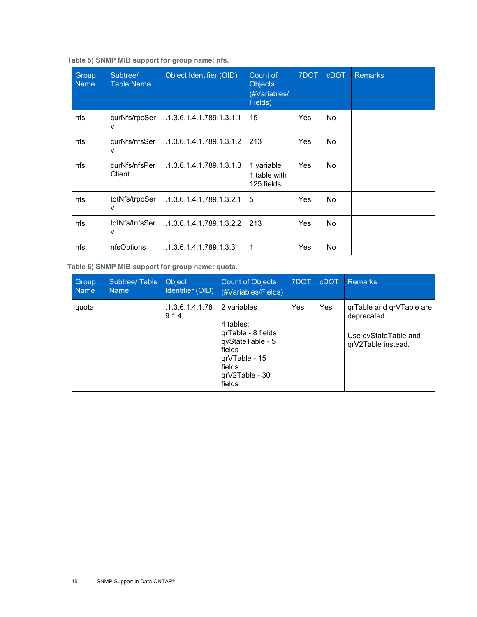<span id="page-14-0"></span>

| Group<br><b>Name</b> | Subtree/<br><b>Table Name</b> | Object Identifier (OID)  | Count of<br><b>Objects</b><br>(#Variables/<br>Fields) | 7DOT | <b>cDOT</b> | <b>Remarks</b> |
|----------------------|-------------------------------|--------------------------|-------------------------------------------------------|------|-------------|----------------|
| nfs                  | curNfs/rpcSer<br>v            | .1.3.6.1.4.1.789.1.3.1.1 | 15                                                    | Yes  | No          |                |
| nfs                  | curNfs/nfsSer<br>٧            | .1.3.6.1.4.1.789.1.3.1.2 | 213                                                   | Yes  | No          |                |
| nfs                  | curNfs/nfsPer<br>Client       | .1.3.6.1.4.1.789.1.3.1.3 | 1 variable<br>1 table with<br>125 fields              | Yes  | No.         |                |
| nfs                  | totNfs/trpcSer<br>v           | .1.3.6.1.4.1.789.1.3.2.1 | 5                                                     | Yes  | No.         |                |
| nfs                  | totNfs/tnfsSer<br>v           | .1.3.6.1.4.1.789.1.3.2.2 | 213                                                   | Yes  | No.         |                |
| nfs                  | nfsOptions                    | .1.3.6.1.4.1.789.1.3.3   | 1                                                     | Yes  | No.         |                |

<span id="page-14-1"></span>**Table 6) SNMP MIB support for group name: quota.** 

| Group<br><b>Name</b> | Subtree/Table<br>Name | <b>Object</b><br>Identifier (OID) | <b>Count of Objects</b><br>(#Variables/Fields)                                                                                        | 7DOT | <b>cDOT</b> | <b>Remarks</b>                                                                        |
|----------------------|-----------------------|-----------------------------------|---------------------------------------------------------------------------------------------------------------------------------------|------|-------------|---------------------------------------------------------------------------------------|
| quota                |                       | .1.3.6.1.4.1.78<br>9.1.4          | 2 variables<br>4 tables:<br>qrTable - 8 fields<br>qvStateTable - 5<br>fields<br>grVTable - 15<br>fields<br>$qrV2Table - 30$<br>fields | Yes  | Yes         | qrTable and qrVTable are<br>deprecated.<br>Use qvStateTable and<br>qrV2Table instead. |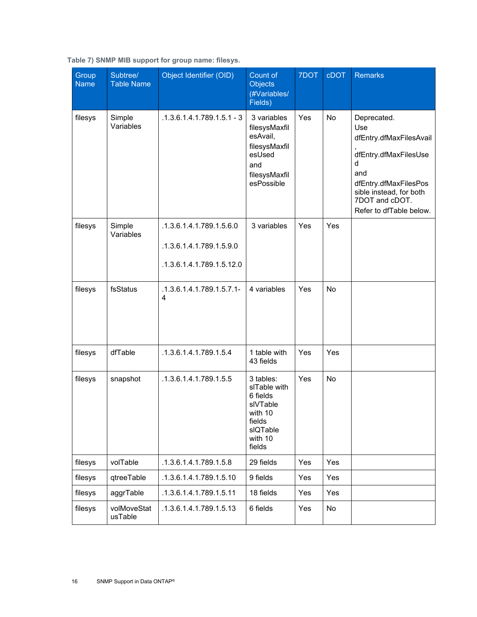| Group<br><b>Name</b> | Subtree/<br><b>Table Name</b> | Object Identifier (OID)                                                           | Count of<br><b>Objects</b><br>(#Variables/<br>Fields)                                                     | 7DOT | <b>cDOT</b> | <b>Remarks</b>                                                                                                                                                                      |
|----------------------|-------------------------------|-----------------------------------------------------------------------------------|-----------------------------------------------------------------------------------------------------------|------|-------------|-------------------------------------------------------------------------------------------------------------------------------------------------------------------------------------|
| filesys              | Simple<br>Variables           | $.1.3.6.1.4.1.789.1.5.1 - 3$                                                      | 3 variables<br>filesysMaxfil<br>esAvail,<br>filesysMaxfil<br>esUsed<br>and<br>filesysMaxfil<br>esPossible | Yes  | No          | Deprecated.<br>Use<br>dfEntry.dfMaxFilesAvail<br>dfEntry.dfMaxFilesUse<br>d<br>and<br>dfEntry.dfMaxFilesPos<br>sible instead, for both<br>7DOT and cDOT.<br>Refer to dfTable below. |
| filesys              | Simple<br>Variables           | .1.3.6.1.4.1.789.1.5.6.0<br>.1.3.6.1.4.1.789.1.5.9.0<br>.1.3.6.1.4.1.789.1.5.12.0 | 3 variables                                                                                               | Yes  | Yes         |                                                                                                                                                                                     |
| filesys              | fsStatus                      | .1.3.6.1.4.1.789.1.5.7.1-<br>4                                                    | 4 variables                                                                                               | Yes  | <b>No</b>   |                                                                                                                                                                                     |
| filesys              | dfTable                       | .1.3.6.1.4.1.789.1.5.4                                                            | 1 table with<br>43 fields                                                                                 | Yes  | Yes         |                                                                                                                                                                                     |
| filesys              | snapshot                      | .1.3.6.1.4.1.789.1.5.5                                                            | 3 tables:<br>slTable with<br>6 fields<br>slVTable<br>with 10<br>fields<br>sIQTable<br>with 10<br>fields   | Yes  | No          |                                                                                                                                                                                     |
| filesys              | volTable                      | .1.3.6.1.4.1.789.1.5.8                                                            | 29 fields                                                                                                 | Yes  | Yes         |                                                                                                                                                                                     |
| filesys              | qtreeTable                    | .1.3.6.1.4.1.789.1.5.10                                                           | 9 fields                                                                                                  | Yes  | Yes         |                                                                                                                                                                                     |
| filesys              | aggrTable                     | .1.3.6.1.4.1.789.1.5.11                                                           | 18 fields                                                                                                 | Yes  | Yes         |                                                                                                                                                                                     |
| filesys              | volMoveStat<br>usTable        | .1.3.6.1.4.1.789.1.5.13                                                           | 6 fields                                                                                                  | Yes  | No          |                                                                                                                                                                                     |

#### <span id="page-15-0"></span>**Table 7) SNMP MIB support for group name: filesys.**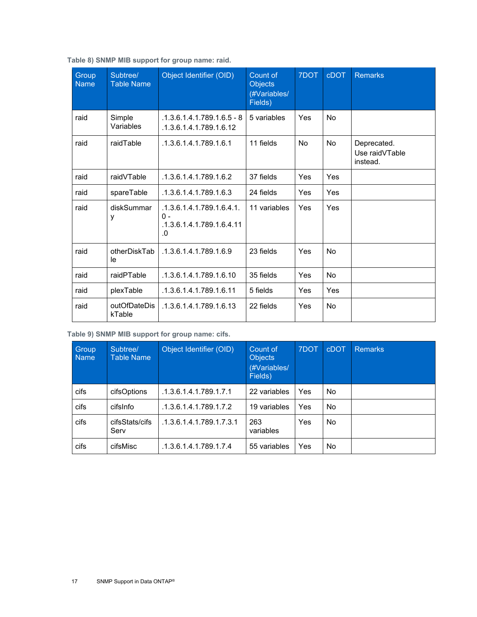| Group<br><b>Name</b> | Subtree/<br><b>Table Name</b> | Object Identifier (OID)                                             | Count of<br><b>Objects</b><br>(#Variables/<br>Fields) | 7DOT      | <b>cDOT</b> | <b>Remarks</b>                            |
|----------------------|-------------------------------|---------------------------------------------------------------------|-------------------------------------------------------|-----------|-------------|-------------------------------------------|
| raid                 | Simple<br>Variables           | $.1.3.6.1.4.1.789.1.6.5 - 8$<br>.1.3.6.1.4.1.789.1.6.12             | 5 variables                                           | Yes       | <b>No</b>   |                                           |
| raid                 | raidTable                     | .1.3.6.1.4.1.789.1.6.1                                              | 11 fields                                             | <b>No</b> | <b>No</b>   | Deprecated.<br>Use raidVTable<br>instead. |
| raid                 | raidVTable                    | .1.3.6.1.4.1.789.1.6.2                                              | 37 fields                                             | Yes       | Yes         |                                           |
| raid                 | spareTable                    | .1.3.6.1.4.1.789.1.6.3                                              | 24 fields                                             | Yes       | Yes         |                                           |
| raid                 | diskSummar<br>у               | .1.3.6.1.4.1.789.1.6.4.1.<br>0 -<br>.1.3.6.1.4.1.789.1.6.4.11<br>.0 | 11 variables                                          | Yes       | Yes         |                                           |
| raid                 | otherDiskTab<br>le            | .1.3.6.1.4.1.789.1.6.9                                              | 23 fields                                             | Yes       | <b>No</b>   |                                           |
| raid                 | raidPTable                    | .1.3.6.1.4.1.789.1.6.10                                             | 35 fields                                             | Yes       | <b>No</b>   |                                           |
| raid                 | plexTable                     | .1.3.6.1.4.1.789.1.6.11                                             | 5 fields                                              | Yes       | Yes         |                                           |
| raid                 | outOfDateDis<br>kTable        | .1.3.6.1.4.1.789.1.6.13                                             | 22 fields                                             | Yes       | <b>No</b>   |                                           |

<span id="page-16-0"></span>**Table 8) SNMP MIB support for group name: raid.** 

<span id="page-16-1"></span>**Table 9) SNMP MIB support for group name: cifs.** 

| Group<br><b>Name</b> | Subtree/<br>Table Name | Object Identifier (OID)  | Count of<br><b>Objects</b><br>(#Variables/<br>Fields) | 7DOT | <b>cDOT</b> | <b>Remarks</b> |
|----------------------|------------------------|--------------------------|-------------------------------------------------------|------|-------------|----------------|
| cifs                 | cifsOptions            | .1.3.6.1.4.1.789.1.7.1   | 22 variables                                          | Yes  | No.         |                |
| cifs                 | cifsInfo               | .1.3.6.1.4.1.789.1.7.2   | 19 variables                                          | Yes  | No.         |                |
| cifs                 | cifsStats/cifs<br>Serv | .1.3.6.1.4.1.789.1.7.3.1 | 263<br>variables                                      | Yes  | No.         |                |
| cifs                 | cifsMisc               | .1.3.6.1.4.1.789.1.7.4   | 55 variables                                          | Yes  | No.         |                |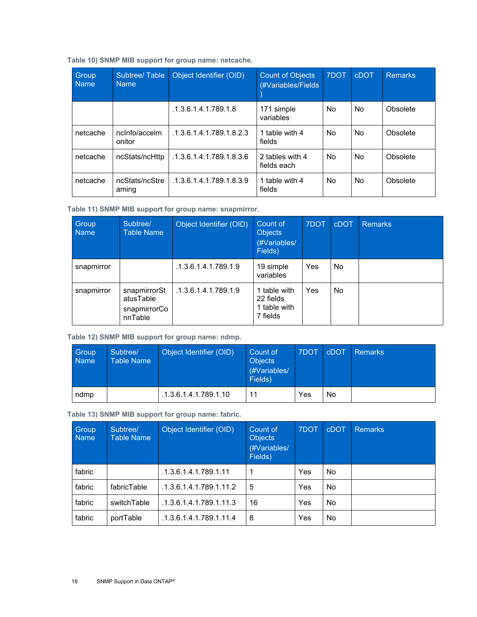<span id="page-17-0"></span>**Table 10) SNMP MIB support for group name: netcache.** 

| Group<br><b>Name</b> | Subtree/Table<br><b>Name</b> | Object Identifier (OID)  | <b>Count of Objects</b><br>(#Variables/Fields) | 7DOT | <b>cDOT</b> | <b>Remarks</b> |
|----------------------|------------------------------|--------------------------|------------------------------------------------|------|-------------|----------------|
|                      |                              | .1.3.6.1.4.1.789.1.8     | 171 simple<br>variables                        | No.  | No.         | Obsolete       |
| netcache             | nclnfo/accelm<br>onitor      | .1.3.6.1.4.1.789.1.8.2.3 | 1 table with 4<br>fields                       | No.  | No.         | Obsolete       |
| netcache             | ncStats/ncHttp               | .1.3.6.1.4.1.789.1.8.3.6 | 2 tables with 4<br>fields each                 | No.  | No.         | Obsolete       |
| netcache             | ncStats/ncStre<br>aming      | .1.3.6.1.4.1.789.1.8.3.9 | 1 table with 4<br>fields                       | No.  | No.         | Obsolete       |

<span id="page-17-1"></span>**Table 11) SNMP MIB support for group name: snapmirror.** 

| Group<br><b>Name</b> | Subtree/<br><b>Table Name</b>                        | Object Identifier (OID) | Count of<br><b>Objects</b><br>(#Variables/<br>Fields) | 7DOT | <b>cDOT</b> | <b>Remarks</b> |
|----------------------|------------------------------------------------------|-------------------------|-------------------------------------------------------|------|-------------|----------------|
| snapmirror           |                                                      | .1.3.6.1.4.1.789.1.9    | 19 simple<br>variables                                | Yes  | No.         |                |
| snapmirror           | snapmirrorSt<br>atusTable<br>snapmirrorCo<br>nnTable | .1.3.6.1.4.1.789.1.9    | 1 table with<br>22 fields<br>1 table with<br>7 fields | Yes  | No.         |                |

<span id="page-17-2"></span>**Table 12) SNMP MIB support for group name: ndmp.** 

| Group<br><b>Name</b> | Subtree/<br><b>Table Name</b> | Object Identifier (OID) | Count of<br><b>Objects</b><br>(#Variables/<br>Fields) | 7DOT | <b>cDOT</b> | Remarks |
|----------------------|-------------------------------|-------------------------|-------------------------------------------------------|------|-------------|---------|
| ndmp                 |                               | .1.3.6.1.4.1.789.1.10   | 11                                                    | Yes  | No          |         |

<span id="page-17-3"></span>**Table 13) SNMP MIB support for group name: fabric.** 

| Group<br><b>Name</b> | Subtree/<br><b>Table Name</b> | Object Identifier (OID) | Count of<br><b>Objects</b><br>(#Variables/<br>Fields) | 7DOT | <b>cDOT</b> | <b>Remarks</b> |
|----------------------|-------------------------------|-------------------------|-------------------------------------------------------|------|-------------|----------------|
| fabric               |                               | .1.3.6.1.4.1.789.1.11   | 1                                                     | Yes  | No.         |                |
| fabric               | fabricTable                   | .1.3.6.1.4.1.789.1.11.2 | 5                                                     | Yes  | No.         |                |
| fabric               | switchTable                   | .1.3.6.1.4.1.789.1.11.3 | 16                                                    | Yes  | No.         |                |
| fabric               | portTable                     | .1.3.6.1.4.1.789.1.11.4 | 8                                                     | Yes  | No.         |                |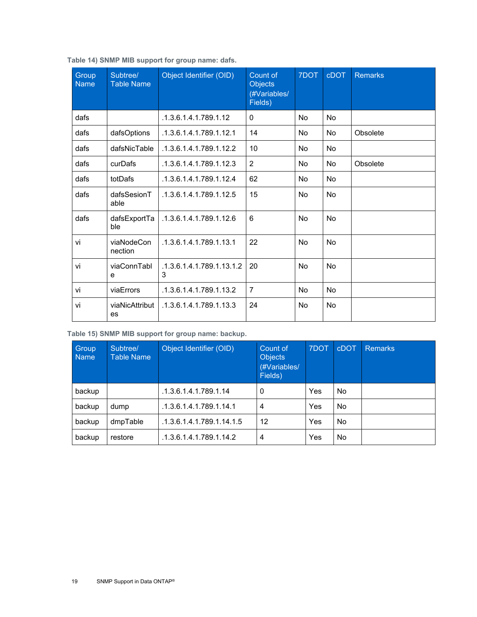| Group<br><b>Name</b> | Subtree/<br><b>Table Name</b> | Object Identifier (OID)        | Count of<br><b>Objects</b><br>(#Variables/<br>Fields) | 7DOT      | <b>cDOT</b> | <b>Remarks</b> |
|----------------------|-------------------------------|--------------------------------|-------------------------------------------------------|-----------|-------------|----------------|
| dafs                 |                               | .1.3.6.1.4.1.789.1.12          | $\Omega$                                              | No        | <b>No</b>   |                |
| dafs                 | dafsOptions                   | .1.3.6.1.4.1.789.1.12.1        | 14                                                    | No        | <b>No</b>   | Obsolete       |
| dafs                 | dafsNicTable                  | .1.3.6.1.4.1.789.1.12.2        | 10                                                    | No        | No          |                |
| dafs                 | curDafs                       | .1.3.6.1.4.1.789.1.12.3        | $\overline{2}$                                        | No        | <b>No</b>   | Obsolete       |
| dafs                 | totDafs                       | .1.3.6.1.4.1.789.1.12.4        | 62                                                    | No        | No          |                |
| dafs                 | dafsSesionT<br>able           | .1.3.6.1.4.1.789.1.12.5        | 15                                                    | No        | <b>No</b>   |                |
| dafs                 | dafsExportTa<br>ble           | .1.3.6.1.4.1.789.1.12.6        | 6                                                     | <b>No</b> | <b>No</b>   |                |
| vi                   | viaNodeCon<br>nection         | .1.3.6.1.4.1.789.1.13.1        | 22                                                    | No        | No          |                |
| vi                   | viaConnTabl<br>e              | .1.3.6.1.4.1.789.1.13.1.2<br>3 | 20                                                    | No        | <b>No</b>   |                |
| vi                   | viaErrors                     | .1.3.6.1.4.1.789.1.13.2        | $\overline{7}$                                        | <b>No</b> | No          |                |
| vi                   | viaNicAttribut<br>es          | .1.3.6.1.4.1.789.1.13.3        | 24                                                    | No        | <b>No</b>   |                |

<span id="page-18-0"></span>**Table 14) SNMP MIB support for group name: dafs.** 

<span id="page-18-1"></span>**Table 15) SNMP MIB support for group name: backup.**

| Group,<br><b>Name</b> | Subtree/<br>Table Name | Object Identifier (OID)   | Count of<br><b>Objects</b><br>(#Variables/<br>Fields) | 7DOT | <b>cDOT</b> | <b>Remarks</b> |
|-----------------------|------------------------|---------------------------|-------------------------------------------------------|------|-------------|----------------|
| backup                |                        | .1.3.6.1.4.1.789.1.14     | 0                                                     | Yes  | No.         |                |
| backup                | dump                   | .1.3.6.1.4.1.789.1.14.1   | 4                                                     | Yes  | No.         |                |
| backup                | dmpTable               | .1.3.6.1.4.1.789.1.14.1.5 | 12                                                    | Yes  | No.         |                |
| backup                | restore                | .1.3.6.1.4.1.789.1.14.2   | 4                                                     | Yes  | No.         |                |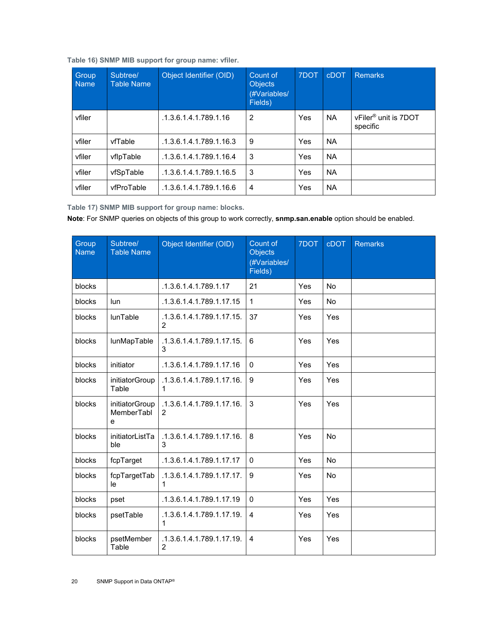| Group<br><b>Name</b> | Subtree/<br><b>Table Name</b> | Object Identifier (OID) | Count of<br><b>Objects</b><br>(#Variables/<br>Fields) | 7DOT | <b>cDOT</b> | <b>Remarks</b>                               |
|----------------------|-------------------------------|-------------------------|-------------------------------------------------------|------|-------------|----------------------------------------------|
| vfiler               |                               | .1.3.6.1.4.1.789.1.16   | 2                                                     | Yes  | <b>NA</b>   | vFiler <sup>®</sup> unit is 7DOT<br>specific |
| vfiler               | vfTable                       | .1.3.6.1.4.1.789.1.16.3 | 9                                                     | Yes  | <b>NA</b>   |                                              |
| vfiler               | vflpTable                     | .1.3.6.1.4.1.789.1.16.4 | 3                                                     | Yes  | <b>NA</b>   |                                              |
| vfiler               | vfSpTable                     | .1.3.6.1.4.1.789.1.16.5 | 3                                                     | Yes  | <b>NA</b>   |                                              |
| vfiler               | vfProTable                    | .1.3.6.1.4.1.789.1.16.6 | $\overline{4}$                                        | Yes  | <b>NA</b>   |                                              |

<span id="page-19-0"></span>**Table 16) SNMP MIB support for group name: vfiler.** 

<span id="page-19-1"></span>**Table 17) SNMP MIB support for group name: blocks.** 

**Note**: For SNMP queries on objects of this group to work correctly, **snmp.san.enable** option should be enabled.

| Group<br><b>Name</b> | Subtree/<br><b>Table Name</b>     | Object Identifier (OID)                     | Count of<br><b>Objects</b><br>(#Variables/<br>Fields) | 7DOT | <b>cDOT</b> | <b>Remarks</b> |
|----------------------|-----------------------------------|---------------------------------------------|-------------------------------------------------------|------|-------------|----------------|
| blocks               |                                   | .1.3.6.1.4.1.789.1.17                       | 21                                                    | Yes  | <b>No</b>   |                |
| blocks               | lun                               | .1.3.6.1.4.1.789.1.17.15                    | $\mathbf{1}$                                          | Yes  | <b>No</b>   |                |
| blocks               | lunTable                          | .1.3.6.1.4.1.789.1.17.15.<br>2              | 37                                                    | Yes  | Yes         |                |
| blocks               | lunMapTable                       | .1.3.6.1.4.1.789.1.17.15.<br>3              | 6                                                     | Yes  | Yes         |                |
| blocks               | initiator                         | .1.3.6.1.4.1.789.1.17.16                    | 0                                                     | Yes  | Yes         |                |
| blocks               | initiatorGroup<br>Table           | .1.3.6.1.4.1.789.1.17.16.<br>1.             | $9\,$                                                 | Yes  | Yes         |                |
| blocks               | initiatorGroup<br>MemberTabl<br>e | .1.3.6.1.4.1.789.1.17.16.<br>$\overline{2}$ | 3                                                     | Yes  | Yes         |                |
| blocks               | initiatorListTa<br>ble            | .1.3.6.1.4.1.789.1.17.16.<br>3              | 8                                                     | Yes  | <b>No</b>   |                |
| blocks               | fcpTarget                         | .1.3.6.1.4.1.789.1.17.17                    | $\mathbf{0}$                                          | Yes  | No          |                |
| blocks               | fcpTargetTab<br>le                | .1.3.6.1.4.1.789.1.17.17.<br>1              | 9                                                     | Yes  | No          |                |
| blocks               | pset                              | .1.3.6.1.4.1.789.1.17.19                    | $\mathbf 0$                                           | Yes  | Yes         |                |
| blocks               | psetTable                         | .1.3.6.1.4.1.789.1.17.19.<br>1              | 4                                                     | Yes  | Yes         |                |
| blocks               | psetMember<br>Table               | .1.3.6.1.4.1.789.1.17.19.<br>$\overline{2}$ | $\overline{4}$                                        | Yes  | Yes         |                |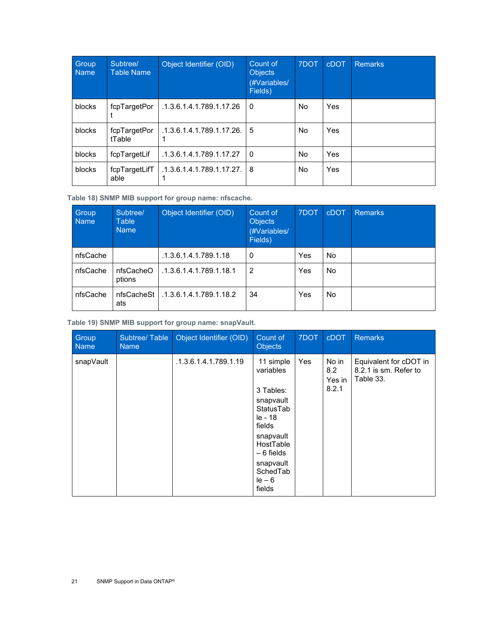| Group<br><b>Name</b> | Subtree/<br><b>Table Name</b> | Object Identifier (OID)   | Count of<br><b>Objects</b><br>(#Variables/<br>Fields) | 7DOT | cDOT | <b>Remarks</b> |
|----------------------|-------------------------------|---------------------------|-------------------------------------------------------|------|------|----------------|
| blocks               | fcpTargetPor                  | .1.3.6.1.4.1.789.1.17.26  | $\Omega$                                              | No.  | Yes  |                |
| blocks               | fcpTargetPor<br>tTable        | .1.3.6.1.4.1.789.1.17.26. | 5                                                     | No.  | Yes  |                |
| blocks               | fcpTargetLif                  | .1.3.6.1.4.1.789.1.17.27  | l 0                                                   | No.  | Yes  |                |
| blocks               | fcpTargetLifT<br>able         | .1.3.6.1.4.1.789.1.17.27. | l 8                                                   | No.  | Yes  |                |

<span id="page-20-0"></span>**Table 18) SNMP MIB support for group name: nfscache.** 

| Group<br><b>Name</b> | Subtree/<br><b>Table</b><br><b>Name</b> | Object Identifier (OID) | Count of<br><b>Objects</b><br>(#Variables/<br>Fields) | 7DOT | <b>cDOT</b> | <b>Remarks</b> |
|----------------------|-----------------------------------------|-------------------------|-------------------------------------------------------|------|-------------|----------------|
| nfsCache             |                                         | .1.3.6.1.4.1.789.1.18   | 0                                                     | Yes  | No          |                |
| nfsCache             | nfsCacheO<br>ptions                     | .1.3.6.1.4.1.789.1.18.1 | 2                                                     | Yes  | <b>No</b>   |                |
| nfsCache             | nfsCacheSt  <br>ats                     | .1.3.6.1.4.1.789.1.18.2 | 34                                                    | Yes  | No.         |                |

<span id="page-20-1"></span>**Table 19) SNMP MIB support for group name: snapVault.** 

| Group<br>Name | Subtree/Table<br><b>Name</b> | Object Identifier (OID) | Count of<br><b>Objects</b>                                                                                                                           | 7DOT | <b>cDOT</b>                     | <b>Remarks</b>                                               |
|---------------|------------------------------|-------------------------|------------------------------------------------------------------------------------------------------------------------------------------------------|------|---------------------------------|--------------------------------------------------------------|
| snapVault     |                              | .1.3.6.1.4.1.789.1.19   | 11 simple<br>variables<br>3 Tables:<br>snapvault<br>StatusTab<br>le - 18<br>fields<br>snapvault<br>HostTable<br>$-6$ fields<br>snapvault<br>SchedTab | Yes  | No in<br>8.2<br>Yes in<br>8.2.1 | Equivalent for cDOT in<br>8.2.1 is sm. Refer to<br>Table 33. |
|               |                              |                         | $le -6$<br>fields                                                                                                                                    |      |                                 |                                                              |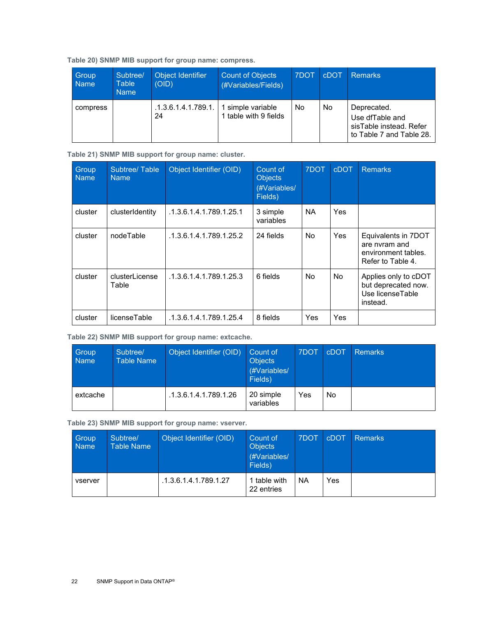<span id="page-21-0"></span>**Table 20) SNMP MIB support for group name: compress.** 

| Group<br><b>Name</b> | Subtree/<br><b>Table</b><br><b>Name</b> | Object Identifier<br>(OID)                    | <b>Count of Objects</b><br>(#Variables/Fields) | 7DOT | cDOT | Remarks                                                                               |
|----------------------|-----------------------------------------|-----------------------------------------------|------------------------------------------------|------|------|---------------------------------------------------------------------------------------|
| compress             |                                         | .1.3.6.1.4.1.789.1.   1 simple variable<br>24 | 1 table with 9 fields                          | No   | No   | Deprecated.<br>Use dfTable and<br>sisTable instead. Refer<br>to Table 7 and Table 28. |

<span id="page-21-1"></span>**Table 21) SNMP MIB support for group name: cluster.** 

| Group<br><b>Name</b> | Subtree/Table<br><b>Name</b> | Object Identifier (OID) | Count of<br><b>Objects</b><br>(#Variables/<br>Fields) | 7DOT      | <b>cDOT</b> | <b>Remarks</b>                                                                   |
|----------------------|------------------------------|-------------------------|-------------------------------------------------------|-----------|-------------|----------------------------------------------------------------------------------|
| cluster              | clusterIdentity              | .1.3.6.1.4.1.789.1.25.1 | 3 simple<br>variables                                 | <b>NA</b> | Yes         |                                                                                  |
| cluster              | nodeTable                    | .1.3.6.1.4.1.789.1.25.2 | 24 fields                                             | <b>No</b> | Yes         | Equivalents in 7DOT<br>are nyram and<br>environment tables.<br>Refer to Table 4. |
| cluster              | clusterLicense<br>Table      | .1.3.6.1.4.1.789.1.25.3 | 6 fields                                              | <b>No</b> | <b>No</b>   | Applies only to cDOT<br>but deprecated now.<br>Use licenseTable<br>instead.      |
| cluster              | licenseTable                 | .1.3.6.1.4.1.789.1.25.4 | 8 fields                                              | Yes       | Yes         |                                                                                  |

<span id="page-21-2"></span>**Table 22) SNMP MIB support for group name: extcache.** 

| Group<br><b>Name</b> | Subtree/<br><b>Table Name</b> | Object Identifier (OID) | Count of<br><b>Objects</b><br>(#Variables/<br>Fields) | 7DOT | <b>cDOT</b> | <b>Remarks</b> |
|----------------------|-------------------------------|-------------------------|-------------------------------------------------------|------|-------------|----------------|
| extcache             |                               | .1.3.6.1.4.1.789.1.26   | 20 simple<br>variables                                | Yes  | No          |                |

<span id="page-21-3"></span>**Table 23) SNMP MIB support for group name: vserver.** 

| Group<br><b>Name</b> | Subtree/<br><b>Table Name</b> | Object Identifier (OID) | Count of<br><b>Objects</b><br>(#Variables/<br>Fields) | 7DOT | <b>cDOT</b> | Remarks |
|----------------------|-------------------------------|-------------------------|-------------------------------------------------------|------|-------------|---------|
| vserver              |                               | .1.3.6.1.4.1.789.1.27   | 1 table with<br>22 entries                            | NА   | Yes         |         |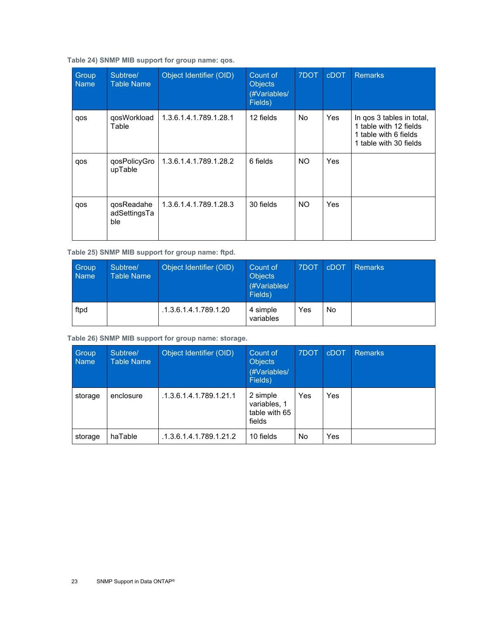#### <span id="page-22-0"></span>**Table 24) SNMP MIB support for group name: qos.**

| Group<br><b>Name</b> | Subtree/<br><b>Table Name</b>     | Object Identifier (OID) | Count of<br><b>Objects</b><br>(#Variables/<br>Fields) | 7DOT | <b>cDOT</b> | <b>Remarks</b>                                                                                         |
|----------------------|-----------------------------------|-------------------------|-------------------------------------------------------|------|-------------|--------------------------------------------------------------------------------------------------------|
| qos                  | qosWorkload<br>Table              | 1.3.6.1.4.1.789.1.28.1  | 12 fields                                             | No.  | Yes         | In qos 3 tables in total,<br>1 table with 12 fields<br>1 table with 6 fields<br>1 table with 30 fields |
| qos                  | qosPolicyGro<br>upTable           | 1.3.6.1.4.1.789.1.28.2  | 6 fields                                              | NO.  | Yes         |                                                                                                        |
| qos                  | qosReadahe<br>adSettingsTa<br>ble | 1.3.6.1.4.1.789.1.28.3  | 30 fields                                             | NO.  | Yes         |                                                                                                        |

<span id="page-22-1"></span>**Table 25) SNMP MIB support for group name: ftpd.** 

| Group<br><b>Name</b> | Subtree/<br>Table Name | Object Identifier (OID) | Count of<br><b>Objects</b><br>(#Variables/<br>Fields) | 7DOT | <b>cDOT</b> | <b>Remarks</b> |
|----------------------|------------------------|-------------------------|-------------------------------------------------------|------|-------------|----------------|
| ftpd                 |                        | .1.3.6.1.4.1.789.1.20   | 4 simple<br>variables                                 | Yes  | No          |                |

<span id="page-22-2"></span>**Table 26) SNMP MIB support for group name: storage.** 

| Group<br><b>Name</b> | Subtree/<br><b>Table Name</b> | Object Identifier (OID) | Count of<br><b>Objects</b><br>(#Variables/<br>Fields) | 7DOT | <b>cDOT</b> | <b>Remarks</b> |
|----------------------|-------------------------------|-------------------------|-------------------------------------------------------|------|-------------|----------------|
| storage              | enclosure                     | .1.3.6.1.4.1.789.1.21.1 | 2 simple<br>variables, 1<br>table with 65<br>fields   | Yes  | Yes         |                |
| storage              | haTable                       | .1.3.6.1.4.1.789.1.21.2 | 10 fields                                             | No.  | Yes         |                |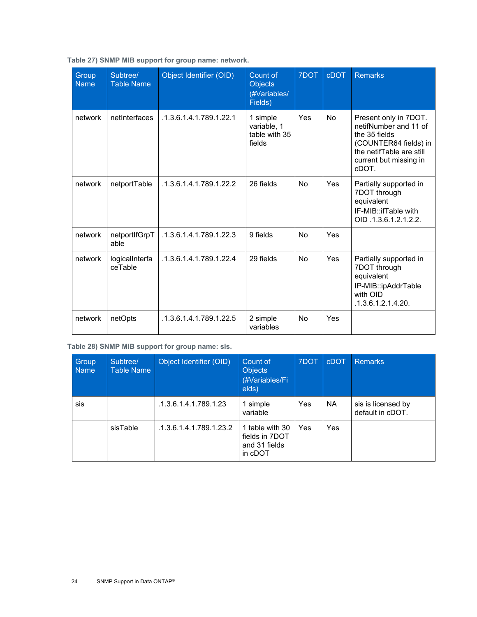| Group<br><b>Name</b> | Subtree/<br><b>Table Name</b> | Object Identifier (OID) | Count of<br><b>Objects</b><br>(#Variables/<br>Fields) | 7DOT      | <b>cDOT</b> | <b>Remarks</b>                                                                                                                                          |
|----------------------|-------------------------------|-------------------------|-------------------------------------------------------|-----------|-------------|---------------------------------------------------------------------------------------------------------------------------------------------------------|
| network              | netInterfaces                 | .1.3.6.1.4.1.789.1.22.1 | 1 simple<br>variable, 1<br>table with 35<br>fields    | Yes       | <b>No</b>   | Present only in 7DOT.<br>netifNumber and 11 of<br>the 35 fields<br>(COUNTER64 fields) in<br>the netifTable are still<br>current but missing in<br>cDOT. |
| network              | netportTable                  | .1.3.6.1.4.1.789.1.22.2 | 26 fields                                             | No        | Yes         | Partially supported in<br>7DOT through<br>equivalent<br>IF-MIB::ifTable with<br>OID .1.3.6.1.2.1.2.2.                                                   |
| network              | netportIfGrpT<br>able         | .1.3.6.1.4.1.789.1.22.3 | 9 fields                                              | <b>No</b> | Yes         |                                                                                                                                                         |
| network              | logicalInterfa<br>ceTable     | .1.3.6.1.4.1.789.1.22.4 | 29 fields                                             | <b>No</b> | Yes         | Partially supported in<br>7DOT through<br>equivalent<br>IP-MIB::ipAddrTable<br>with OID<br>.1.3.6.1.2.1.4.20.                                           |
| network              | netOpts                       | .1.3.6.1.4.1.789.1.22.5 | 2 simple<br>variables                                 | <b>No</b> | Yes         |                                                                                                                                                         |

<span id="page-23-0"></span>**Table 27) SNMP MIB support for group name: network.** 

<span id="page-23-1"></span>**Table 28) SNMP MIB support for group name: sis.** 

| Group<br><b>Name</b> | Subtree/<br><b>Table Name</b> | Object Identifier (OID) | Count of<br><b>Objects</b><br>(#Variables/Fi<br>elds)         | 7DOT | <b>cDOT</b> | <b>Remarks</b>                         |
|----------------------|-------------------------------|-------------------------|---------------------------------------------------------------|------|-------------|----------------------------------------|
| sis                  |                               | .1.3.6.1.4.1.789.1.23   | 1 simple<br>variable                                          | Yes  | <b>NA</b>   | sis is licensed by<br>default in cDOT. |
|                      | sisTable                      | .1.3.6.1.4.1.789.1.23.2 | 1 table with 30<br>fields in 7DOT<br>and 31 fields<br>in cDOT | Yes  | Yes         |                                        |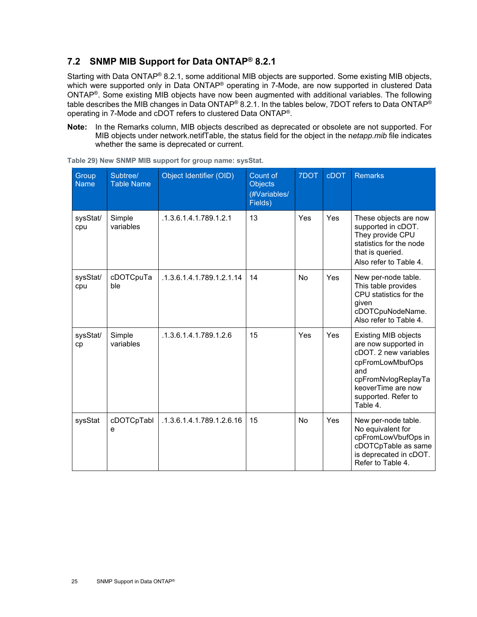### <span id="page-24-0"></span>**7.2 SNMP MIB Support for Data ONTAP® 8.2.1**

Starting with Data ONTAP® 8.2.1, some additional MIB objects are supported. Some existing MIB objects, which were supported only in Data ONTAP<sup>®</sup> operating in 7-Mode, are now supported in clustered Data ONTAP®. Some existing MIB objects have now been augmented with additional variables. The following table describes the MIB changes in Data ONTAP® 8.2.1. In the tables below, 7DOT refers to Data ONTAP® operating in 7-Mode and cDOT refers to clustered Data ONTAP®.

**Note:** In the Remarks column, MIB objects described as deprecated or obsolete are not supported. For MIB objects under network.netifTable, the status field for the object in the n*etapp.mib* file indicates whether the same is deprecated or current.

| Group<br><b>Name</b> | Subtree/<br><b>Table Name</b> | Object Identifier (OID)   | Count of<br><b>Objects</b><br>(#Variables/<br>Fields) | 7DOT      | <b>cDOT</b> | <b>Remarks</b>                                                                                                                                                                          |
|----------------------|-------------------------------|---------------------------|-------------------------------------------------------|-----------|-------------|-----------------------------------------------------------------------------------------------------------------------------------------------------------------------------------------|
| sysStat/<br>cpu      | Simple<br>variables           | .1.3.6.1.4.1.789.1.2.1    | 13                                                    | Yes       | Yes         | These objects are now<br>supported in cDOT.<br>They provide CPU<br>statistics for the node<br>that is queried.<br>Also refer to Table 4.                                                |
| sysStat/<br>cpu      | cDOTCpuTa<br>ble              | .1.3.6.1.4.1.789.1.2.1.14 | 14                                                    | <b>No</b> | Yes         | New per-node table.<br>This table provides<br>CPU statistics for the<br>given<br>cDOTCpuNodeName.<br>Also refer to Table 4.                                                             |
| sysStat/<br>cp       | Simple<br>variables           | .1.3.6.1.4.1.789.1.2.6    | 15                                                    | Yes       | Yes         | <b>Existing MIB objects</b><br>are now supported in<br>cDOT. 2 new variables<br>cpFromLowMbufOps<br>and<br>cpFromNvlogReplayTa<br>keoverTime are now<br>supported. Refer to<br>Table 4. |
| sysStat              | cDOTCpTabl<br>e               | .1.3.6.1.4.1.789.1.2.6.16 | 15                                                    | <b>No</b> | Yes         | New per-node table.<br>No equivalent for<br>cpFromLowVbufOps in<br>cDOTCpTable as same<br>is deprecated in cDOT.<br>Refer to Table 4.                                                   |

<span id="page-24-1"></span>**Table 29) New SNMP MIB support for group name: sysStat.**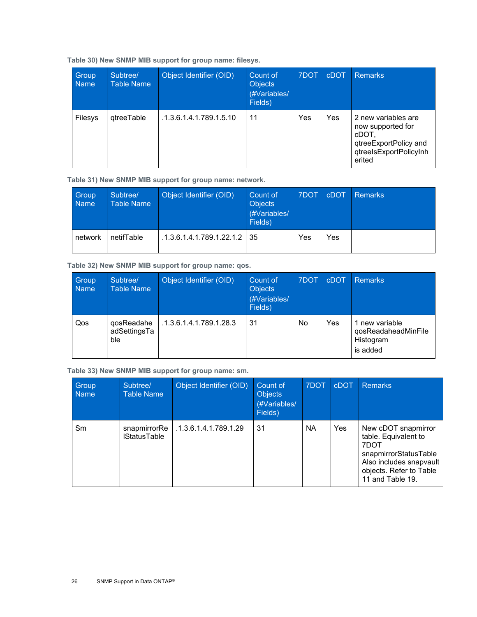#### <span id="page-25-0"></span>**Table 30) New SNMP MIB support for group name: filesys.**

| Group<br><b>Name</b> | Subtree/<br>Table Name | Object Identifier (OID) | Count of<br><b>Objects</b><br>(#Variables/<br>Fields) | 7DOT | <b>cDOT</b> | <b>Remarks</b>                                                                                                 |
|----------------------|------------------------|-------------------------|-------------------------------------------------------|------|-------------|----------------------------------------------------------------------------------------------------------------|
| <b>Filesys</b>       | <i>d</i> treeTable     | .1.3.6.1.4.1.789.1.5.10 | 11                                                    | Yes  | Yes         | 2 new variables are<br>now supported for<br>cDOT,<br>qtreeExportPolicy and<br>qtreelsExportPolicyInh<br>erited |

<span id="page-25-1"></span>**Table 31) New SNMP MIB support for group name: network.**

| Group<br><b>Name</b> | Subtree/<br><b>Table Name</b> | Object Identifier (OID)   | Count of<br><b>Objects</b><br>(#Variables/<br>Fields) | 7DOT | cDOT | <b>Remarks</b> |
|----------------------|-------------------------------|---------------------------|-------------------------------------------------------|------|------|----------------|
| network              | netifTable                    | .1.3.6.1.4.1.789.1.22.1.2 | 35                                                    | Yes  | Yes  |                |

<span id="page-25-2"></span>**Table 32) New SNMP MIB support for group name: qos.**

| Group<br><b>Name</b> | Subtree/<br><b>Table Name</b>     | Object Identifier (OID), | Count of<br><b>Objects</b><br>(#Variables/<br>Fields) | 7DOT | <b>cDOT</b> | <b>Remarks</b>                                                 |
|----------------------|-----------------------------------|--------------------------|-------------------------------------------------------|------|-------------|----------------------------------------------------------------|
| Qos                  | qosReadahe<br>adSettingsTa<br>ble | .1.3.6.1.4.1.789.1.28.3  | 31                                                    | No.  | Yes         | 1 new variable<br>qosReadaheadMinFile<br>Histogram<br>is added |

<span id="page-25-3"></span>**Table 33) New SNMP MIB support for group name: sm.**

| Group<br><b>Name</b> | Subtree/<br><b>Table Name</b>       | Object Identifier (OID) | Count of<br><b>Objects</b><br>(#Variables/<br>Fields) | 7DOT | <b>cDOT</b> | <b>Remarks</b>                                                                                                                                         |
|----------------------|-------------------------------------|-------------------------|-------------------------------------------------------|------|-------------|--------------------------------------------------------------------------------------------------------------------------------------------------------|
| Sm                   | snapmirrorRe<br><b>IStatusTable</b> | .1.3.6.1.4.1.789.1.29   | 31                                                    | ΝA   | Yes         | New cDOT snapmirror<br>table. Equivalent to<br>7DOT<br>snapmirrorStatusTable<br>Also includes snapvault<br>objects. Refer to Table<br>11 and Table 19. |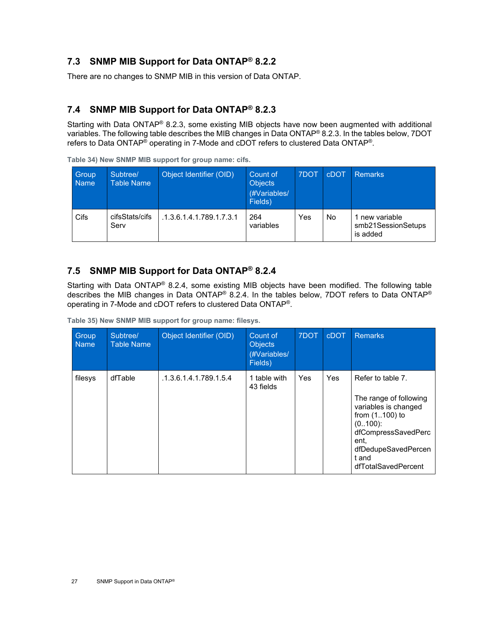### <span id="page-26-0"></span>**7.3 SNMP MIB Support for Data ONTAP® 8.2.2**

There are no changes to SNMP MIB in this version of Data ONTAP.

### <span id="page-26-1"></span>**7.4 SNMP MIB Support for Data ONTAP® 8.2.3**

Starting with Data ONTAP® 8.2.3, some existing MIB objects have now been augmented with additional variables. The following table describes the MIB changes in Data ONTAP® 8.2.3. In the tables below, 7DOT refers to Data ONTAP<sup>®</sup> operating in 7-Mode and cDOT refers to clustered Data ONTAP<sup>®</sup>.

| Group<br><b>Name</b> | Subtree/<br><b>Table Name</b> | Object Identifier (OID)  | Count of<br><b>Objects</b><br>(#Variables/<br>Fields) | 7DOT | <b>CDOT</b> | <b>Remarks</b>                                   |
|----------------------|-------------------------------|--------------------------|-------------------------------------------------------|------|-------------|--------------------------------------------------|
| Cifs                 | cifsStats/cifs<br>Serv        | .1.3.6.1.4.1.789.1.7.3.1 | 264<br>variables                                      | Yes  | No.         | 1 new variable<br>smb21SessionSetups<br>is added |

<span id="page-26-3"></span>**Table 34) New SNMP MIB support for group name: cifs.**

#### <span id="page-26-2"></span>**7.5 SNMP MIB Support for Data ONTAP® 8.2.4**

Starting with Data ONTAP® 8.2.4, some existing MIB objects have been modified. The following table describes the MIB changes in Data ONTAP® 8.2.4. In the tables below, 7DOT refers to Data ONTAP® operating in 7-Mode and cDOT refers to clustered Data ONTAP®.

<span id="page-26-4"></span>**Table 35) New SNMP MIB support for group name: filesys.** 

| Group<br><b>Name</b> | Subtree/<br><b>Table Name</b> | Object Identifier (OID) | Count of<br><b>Objects</b><br>(#Variables/<br>Fields) | 7DOT | <b>CDOT</b> | <b>Remarks</b>                                                                                                                                                                               |
|----------------------|-------------------------------|-------------------------|-------------------------------------------------------|------|-------------|----------------------------------------------------------------------------------------------------------------------------------------------------------------------------------------------|
| filesys              | dfTable                       | .1.3.6.1.4.1.789.1.5.4  | 1 table with<br>43 fields                             | Yes  | Yes         | Refer to table 7.<br>The range of following<br>variables is changed<br>from $(1100)$ to<br>$(0.100)$ :<br>dfCompressSavedPerc<br>ent.<br>dfDedupeSavedPercen<br>t and<br>dfTotalSavedPercent |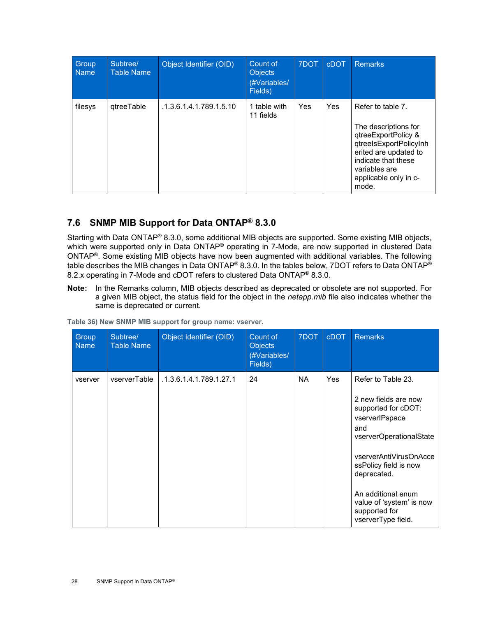| Group<br><b>Name</b> | Subtree/<br><b>Table Name</b> | Object Identifier (OID) | Count of<br><b>Objects</b><br>(#Variables/<br>Fields) | 7DOT | <b>cDOT</b> | <b>Remarks</b>                                                                                                                                                                                |
|----------------------|-------------------------------|-------------------------|-------------------------------------------------------|------|-------------|-----------------------------------------------------------------------------------------------------------------------------------------------------------------------------------------------|
| filesys              | gtreeTable                    | .1.3.6.1.4.1.789.1.5.10 | 1 table with<br>11 fields                             | Yes  | Yes         | Refer to table 7.<br>The descriptions for<br>qtreeExportPolicy &<br>qtreelsExportPolicyInh<br>erited are updated to<br>indicate that these<br>variables are<br>applicable only in c-<br>mode. |

### <span id="page-27-0"></span>**7.6 SNMP MIB Support for Data ONTAP® 8.3.0**

Starting with Data ONTAP® 8.3.0, some additional MIB objects are supported. Some existing MIB objects, which were supported only in Data ONTAP<sup>®</sup> operating in 7-Mode, are now supported in clustered Data ONTAP®. Some existing MIB objects have now been augmented with additional variables. The following table describes the MIB changes in Data ONTAP® 8.3.0. In the tables below, 7DOT refers to Data ONTAP® 8.2.x operating in 7-Mode and cDOT refers to clustered Data ONTAP<sup>®</sup> 8.3.0.

**Note:** In the Remarks column, MIB objects described as deprecated or obsolete are not supported. For a given MIB object, the status field for the object in the *netapp.mib* file also indicates whether the same is deprecated or current.

| Group<br><b>Name</b> | Subtree/<br><b>Table Name</b> | Object Identifier (OID) | Count of<br><b>Objects</b><br>(#Variables/<br>Fields) | 7DOT      | <b>cDOT</b> | <b>Remarks</b>                                                                                                                                                                                                                                                                   |
|----------------------|-------------------------------|-------------------------|-------------------------------------------------------|-----------|-------------|----------------------------------------------------------------------------------------------------------------------------------------------------------------------------------------------------------------------------------------------------------------------------------|
| vserver              | vserverTable                  | .1.3.6.1.4.1.789.1.27.1 | 24                                                    | <b>NA</b> | <b>Yes</b>  | Refer to Table 23.<br>2 new fields are now<br>supported for cDOT:<br>vserverIPspace<br>and<br>vserverOperationalState<br>vserverAntiVirusOnAcce<br>ssPolicy field is now<br>deprecated.<br>An additional enum<br>value of 'system' is now<br>supported for<br>vserverType field. |

<span id="page-27-1"></span>**Table 36) New SNMP MIB support for group name: vserver.**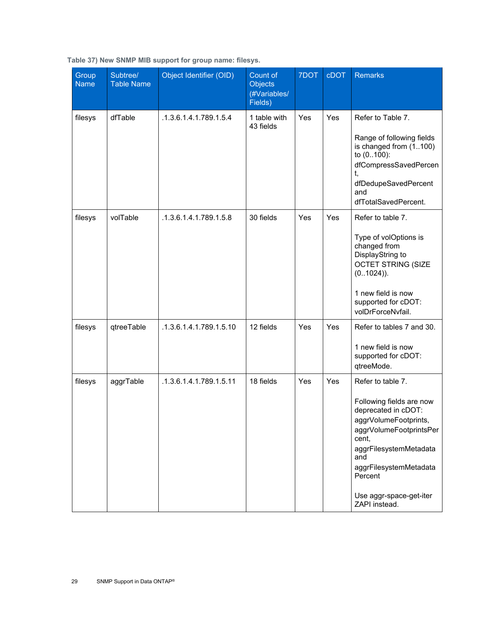| Group<br><b>Name</b> | Subtree/<br><b>Table Name</b> | Object Identifier (OID) | Count of<br><b>Objects</b><br>(#Variables/<br>Fields) | 7DOT | <b>cDOT</b> | Remarks                                                                                                                                                                                                                                             |
|----------------------|-------------------------------|-------------------------|-------------------------------------------------------|------|-------------|-----------------------------------------------------------------------------------------------------------------------------------------------------------------------------------------------------------------------------------------------------|
| filesys              | dfTable                       | .1.3.6.1.4.1.789.1.5.4  | 1 table with<br>43 fields                             | Yes  | Yes         | Refer to Table 7.<br>Range of following fields<br>is changed from (1100)<br>to (0100):<br>dfCompressSavedPercen<br>t,<br>dfDedupeSavedPercent<br>and<br>dfTotalSavedPercent.                                                                        |
| filesys              | volTable                      | .1.3.6.1.4.1.789.1.5.8  | 30 fields                                             | Yes  | Yes         | Refer to table 7.<br>Type of volOptions is<br>changed from<br>DisplayString to<br><b>OCTET STRING (SIZE</b><br>$(01024)$ ).<br>1 new field is now<br>supported for cDOT:<br>volDrForceNvfail.                                                       |
| filesys              | qtreeTable                    | .1.3.6.1.4.1.789.1.5.10 | 12 fields                                             | Yes  | Yes         | Refer to tables 7 and 30.<br>1 new field is now<br>supported for cDOT:<br>qtreeMode.                                                                                                                                                                |
| filesys              | aggrTable                     | .1.3.6.1.4.1.789.1.5.11 | 18 fields                                             | Yes  | Yes         | Refer to table 7.<br>Following fields are now<br>deprecated in cDOT:<br>aggrVolumeFootprints,<br>aggrVolumeFootprintsPer<br>cent,<br>aggrFilesystemMetadata<br>and<br>aggrFilesystemMetadata<br>Percent<br>Use aggr-space-get-iter<br>ZAPI instead. |

<span id="page-28-0"></span>**Table 37) New SNMP MIB support for group name: filesys.**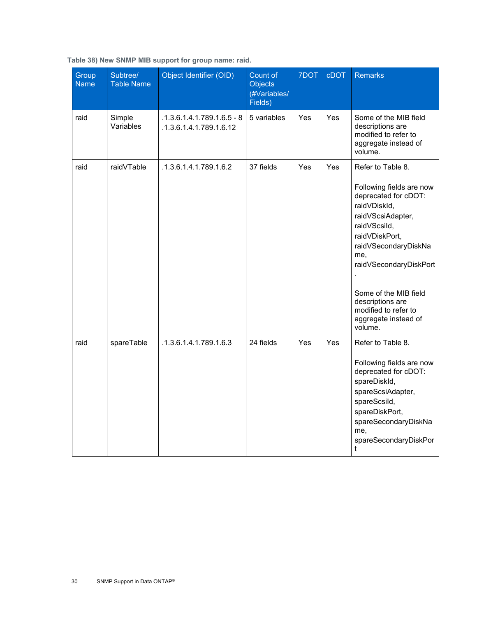| Group<br><b>Name</b> | Subtree/<br><b>Table Name</b> | Object Identifier (OID)                                 | Count of<br><b>Objects</b><br>(#Variables/<br>Fields) | 7DOT | <b>cDOT</b> | <b>Remarks</b>                                                                                                                                                                                                                                                                                                |
|----------------------|-------------------------------|---------------------------------------------------------|-------------------------------------------------------|------|-------------|---------------------------------------------------------------------------------------------------------------------------------------------------------------------------------------------------------------------------------------------------------------------------------------------------------------|
| raid                 | Simple<br>Variables           | $.1.3.6.1.4.1.789.1.6.5 - 8$<br>.1.3.6.1.4.1.789.1.6.12 | 5 variables                                           | Yes  | Yes         | Some of the MIB field<br>descriptions are<br>modified to refer to<br>aggregate instead of<br>volume.                                                                                                                                                                                                          |
| raid                 | raidVTable                    | .1.3.6.1.4.1.789.1.6.2                                  | 37 fields                                             | Yes  | Yes         | Refer to Table 8.<br>Following fields are now<br>deprecated for cDOT:<br>raidVDiskId,<br>raidVScsiAdapter,<br>raidVScsild,<br>raidVDiskPort,<br>raidVSecondaryDiskNa<br>me,<br>raidVSecondaryDiskPort<br>Some of the MIB field<br>descriptions are<br>modified to refer to<br>aggregate instead of<br>volume. |
| raid                 | spareTable                    | .1.3.6.1.4.1.789.1.6.3                                  | 24 fields                                             | Yes  | Yes         | Refer to Table 8.<br>Following fields are now<br>deprecated for cDOT:<br>spareDiskId,<br>spareScsiAdapter,<br>spareScsild,<br>spareDiskPort,<br>spareSecondaryDiskNa<br>me,<br>spareSecondaryDiskPor<br>t                                                                                                     |

<span id="page-29-0"></span>**Table 38) New SNMP MIB support for group name: raid.**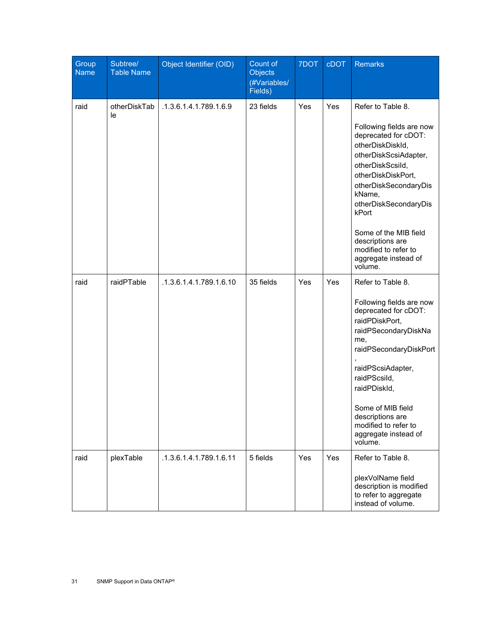| Group<br><b>Name</b> | Subtree/<br><b>Table Name</b> | Object Identifier (OID) | Count of<br><b>Objects</b><br>(#Variables/<br>Fields) | 7DOT | cDOT | <b>Remarks</b>                                                                                                                                                                                                                                                                                                                            |
|----------------------|-------------------------------|-------------------------|-------------------------------------------------------|------|------|-------------------------------------------------------------------------------------------------------------------------------------------------------------------------------------------------------------------------------------------------------------------------------------------------------------------------------------------|
| raid                 | otherDiskTab<br>le            | .1.3.6.1.4.1.789.1.6.9  | 23 fields                                             | Yes  | Yes  | Refer to Table 8.<br>Following fields are now<br>deprecated for cDOT:<br>otherDiskDiskId,<br>otherDiskScsiAdapter,<br>otherDiskScsild,<br>otherDiskDiskPort,<br>otherDiskSecondaryDis<br>kName,<br>otherDiskSecondaryDis<br>kPort<br>Some of the MIB field<br>descriptions are<br>modified to refer to<br>aggregate instead of<br>volume. |
| raid                 | raidPTable                    | .1.3.6.1.4.1.789.1.6.10 | 35 fields                                             | Yes  | Yes  | Refer to Table 8.<br>Following fields are now<br>deprecated for cDOT:<br>raidPDiskPort,<br>raidPSecondaryDiskNa<br>me,<br>raidPSecondaryDiskPort<br>raidPScsiAdapter,<br>raidPScsild,<br>raidPDiskId,<br>Some of MIB field<br>descriptions are<br>modified to refer to<br>aggregate instead of<br>volume.                                 |
| raid                 | plexTable                     | .1.3.6.1.4.1.789.1.6.11 | 5 fields                                              | Yes  | Yes  | Refer to Table 8.<br>plexVolName field<br>description is modified<br>to refer to aggregate<br>instead of volume.                                                                                                                                                                                                                          |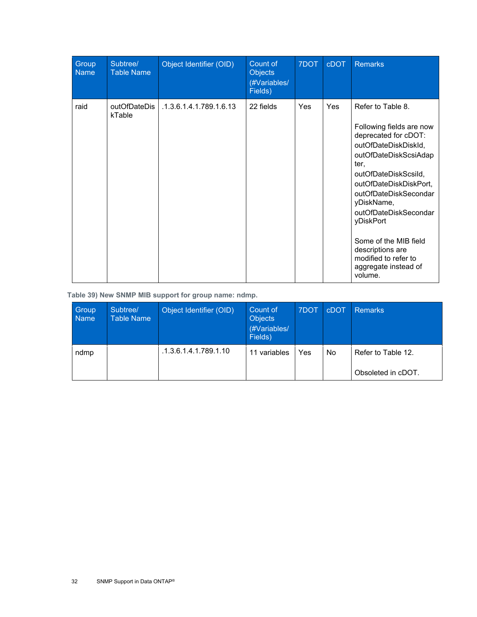| Group<br><b>Name</b> | Subtree/<br><b>Table Name</b> | Object Identifier (OID) | Count of<br><b>Objects</b><br>(#Variables/<br>Fields) | 7DOT | <b>cDOT</b> | <b>Remarks</b>                                                                                                                                                                                                                                                                                                                                                        |
|----------------------|-------------------------------|-------------------------|-------------------------------------------------------|------|-------------|-----------------------------------------------------------------------------------------------------------------------------------------------------------------------------------------------------------------------------------------------------------------------------------------------------------------------------------------------------------------------|
| raid                 | outOfDateDis<br>kTable        | .1.3.6.1.4.1.789.1.6.13 | 22 fields                                             | Yes  | Yes         | Refer to Table 8.<br>Following fields are now<br>deprecated for cDOT:<br>outOfDateDiskDiskId,<br>outOfDateDiskScsiAdap<br>ter,<br>outOfDateDiskScsild,<br>outOfDateDiskDiskPort,<br>outOfDateDiskSecondar<br>yDiskName,<br>outOfDateDiskSecondar<br>yDiskPort<br>Some of the MIB field<br>descriptions are<br>modified to refer to<br>aggregate instead of<br>volume. |

<span id="page-31-0"></span>**Table 39) New SNMP MIB support for group name: ndmp.**

| Group<br><b>Name</b> | Subtree/<br><b>Table Name</b> | Object Identifier (OID) | Count of<br><b>Objects</b><br>(#Variables/<br>Fields) | 7DOT | <b>cDOT</b> | <b>Remarks</b>     |
|----------------------|-------------------------------|-------------------------|-------------------------------------------------------|------|-------------|--------------------|
| ndmp                 |                               | .1.3.6.1.4.1.789.1.10   | 11 variables                                          | Yes  | <b>No</b>   | Refer to Table 12. |
|                      |                               |                         |                                                       |      |             | Obsoleted in cDOT. |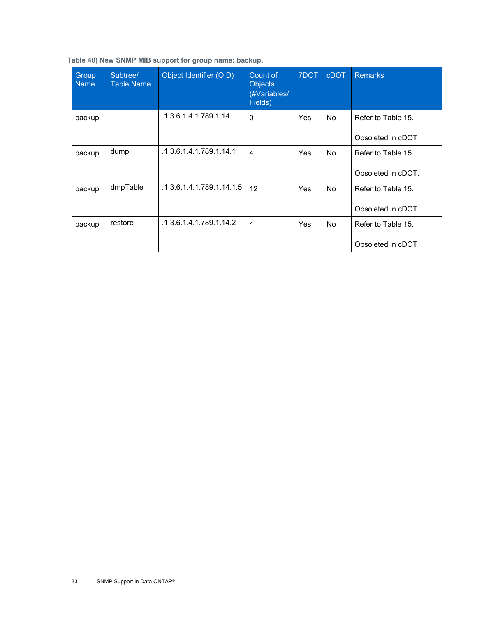<span id="page-32-0"></span>

|  |  | Table 40) New SNMP MIB support for group name: backup. |  |  |
|--|--|--------------------------------------------------------|--|--|

| Group<br><b>Name</b> | Subtree/<br><b>Table Name</b> | Object Identifier (OID)   | Count of<br><b>Objects</b><br>(#Variables/<br>Fields) | 7DOT | <b>cDOT</b> | <b>Remarks</b>                           |
|----------------------|-------------------------------|---------------------------|-------------------------------------------------------|------|-------------|------------------------------------------|
| backup               |                               | .1.3.6.1.4.1.789.1.14     | $\mathbf{0}$                                          | Yes  | No.         | Refer to Table 15.<br>Obsoleted in cDOT  |
| backup               | dump                          | .1.3.6.1.4.1.789.1.14.1   | 4                                                     | Yes  | No.         | Refer to Table 15.<br>Obsoleted in cDOT. |
| backup               | dmpTable                      | .1.3.6.1.4.1.789.1.14.1.5 | 12                                                    | Yes  | No.         | Refer to Table 15.<br>Obsoleted in cDOT. |
| backup               | restore                       | .1.3.6.1.4.1.789.1.14.2   | $\overline{\mathbf{4}}$                               | Yes  | No.         | Refer to Table 15.<br>Obsoleted in cDOT  |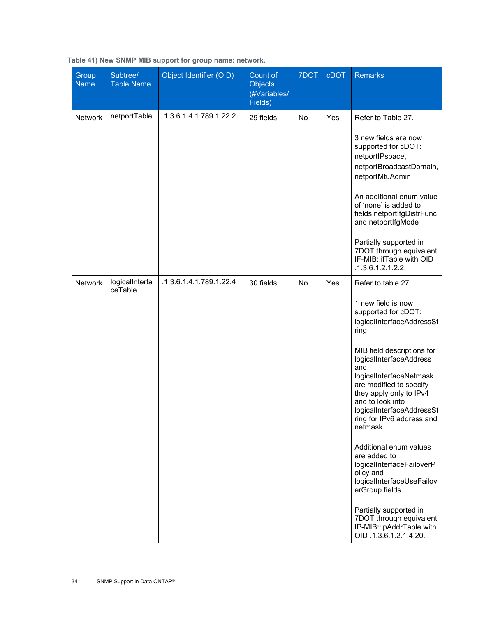| Group<br><b>Name</b> | Subtree/<br><b>Table Name</b> | Object Identifier (OID) | Count of<br><b>Objects</b><br>(#Variables/<br>Fields) | 7DOT | <b>cDOT</b> | <b>Remarks</b>                                                                                                                                                                                                                                                                                                                                                                                                                                                                                                                                                                                 |
|----------------------|-------------------------------|-------------------------|-------------------------------------------------------|------|-------------|------------------------------------------------------------------------------------------------------------------------------------------------------------------------------------------------------------------------------------------------------------------------------------------------------------------------------------------------------------------------------------------------------------------------------------------------------------------------------------------------------------------------------------------------------------------------------------------------|
| <b>Network</b>       | netportTable                  | .1.3.6.1.4.1.789.1.22.2 | 29 fields                                             | No   | Yes         | Refer to Table 27.<br>3 new fields are now<br>supported for cDOT:<br>netportlPspace,<br>netportBroadcastDomain,<br>netportMtuAdmin<br>An additional enum value<br>of 'none' is added to<br>fields netportIfgDistrFunc<br>and netportlfgMode<br>Partially supported in<br>7DOT through equivalent<br>IF-MIB::ifTable with OID<br>.1.3.6.1.2.1.2.2.                                                                                                                                                                                                                                              |
| <b>Network</b>       | logicalInterfa<br>ceTable     | .1.3.6.1.4.1.789.1.22.4 | 30 fields                                             | No   | Yes         | Refer to table 27.<br>1 new field is now<br>supported for cDOT:<br>logicalInterfaceAddressSt<br>ring<br>MIB field descriptions for<br>logicalInterfaceAddress<br>and<br>logicalInterfaceNetmask<br>are modified to specify<br>they apply only to IPv4<br>and to look into<br>logicalInterfaceAddressSt<br>ring for IPv6 address and<br>netmask.<br>Additional enum values<br>are added to<br>logicalInterfaceFailoverP<br>olicy and<br>logicalInterfaceUseFailov<br>erGroup fields.<br>Partially supported in<br>7DOT through equivalent<br>IP-MIB::ipAddrTable with<br>OID .1.3.6.1.2.1.4.20. |

<span id="page-33-0"></span>**Table 41) New SNMP MIB support for group name: network.**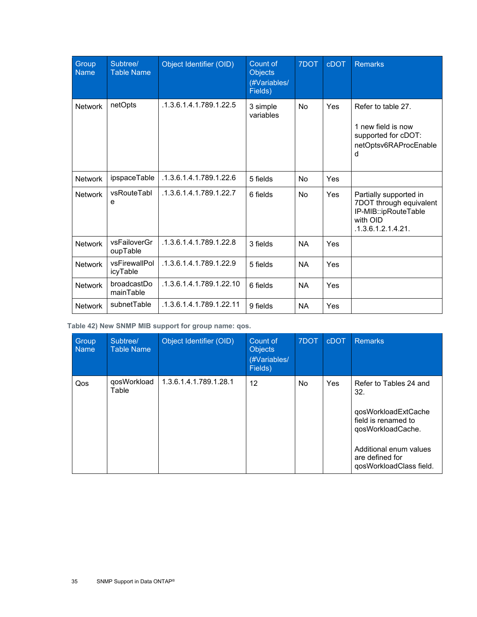| Group<br><b>Name</b> | Subtree/<br><b>Table Name</b> | Object Identifier (OID)  | Count of<br><b>Objects</b><br>(#Variables/<br>Fields) | 7DOT      | cDOT | <b>Remarks</b>                                                                                              |
|----------------------|-------------------------------|--------------------------|-------------------------------------------------------|-----------|------|-------------------------------------------------------------------------------------------------------------|
| <b>Network</b>       | netOpts                       | .1.3.6.1.4.1.789.1.22.5  | 3 simple<br>variables                                 | No        | Yes  | Refer to table 27.<br>1 new field is now<br>supported for cDOT:<br>netOptsv6RAProcEnable<br>d               |
| <b>Network</b>       | ipspaceTable                  | .1.3.6.1.4.1.789.1.22.6  | 5 fields                                              | <b>No</b> | Yes  |                                                                                                             |
| <b>Network</b>       | vsRouteTabl<br>e              | .1.3.6.1.4.1.789.1.22.7  | 6 fields                                              | No        | Yes  | Partially supported in<br>7DOT through equivalent<br>IP-MIB::ipRouteTable<br>with OID<br>.1.3.6.1.2.1.4.21. |
| <b>Network</b>       | vsFailoverGr<br>oupTable      | .1.3.6.1.4.1.789.1.22.8  | 3 fields                                              | <b>NA</b> | Yes  |                                                                                                             |
| <b>Network</b>       | vsFirewallPol<br>icyTable     | .1.3.6.1.4.1.789.1.22.9  | 5 fields                                              | <b>NA</b> | Yes  |                                                                                                             |
| <b>Network</b>       | broadcastDo<br>mainTable      | .1.3.6.1.4.1.789.1.22.10 | 6 fields                                              | <b>NA</b> | Yes  |                                                                                                             |
| <b>Network</b>       | subnetTable                   | .1.3.6.1.4.1.789.1.22.11 | 9 fields                                              | <b>NA</b> | Yes  |                                                                                                             |

<span id="page-34-0"></span>**Table 42) New SNMP MIB support for group name: qos.**

| Group<br><b>Name</b> | Subtree/<br><b>Table Name</b> | Object Identifier (OID) | Count of<br><b>Objects</b><br>(#Variables/<br>Fields) | 7DOT      | <b>cDOT</b> | <b>Remarks</b>                                                                                                                                                           |
|----------------------|-------------------------------|-------------------------|-------------------------------------------------------|-----------|-------------|--------------------------------------------------------------------------------------------------------------------------------------------------------------------------|
| Qos                  | qosWorkload<br>Table          | 1.3.6.1.4.1.789.1.28.1  | 12                                                    | <b>No</b> | Yes         | Refer to Tables 24 and<br>32.<br>qosWorkloadExtCache<br>field is renamed to<br>qosWorkloadCache.<br>Additional enum values<br>are defined for<br>qosWorkloadClass field. |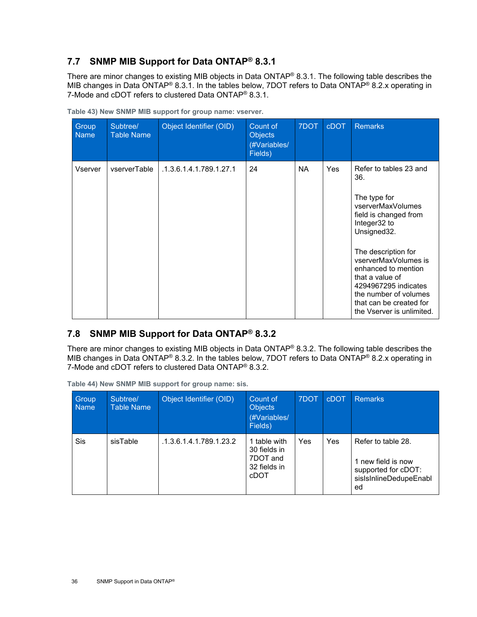### <span id="page-35-0"></span>**7.7 SNMP MIB Support for Data ONTAP® 8.3.1**

There are minor changes to existing MIB objects in Data ONTAP® 8.3.1. The following table describes the MIB changes in Data ONTAP® 8.3.1. In the tables below, 7DOT refers to Data ONTAP® 8.2.x operating in 7-Mode and cDOT refers to clustered Data ONTAP® 8.3.1.

| Group<br><b>Name</b> | Subtree/<br><b>Table Name</b> | Object Identifier (OID) | Count of<br><b>Objects</b><br>(#Variables/<br>Fields) | 7DOT      | <b>cDOT</b> | <b>Remarks</b>                                                                                                                                                                                                                                                                                                               |
|----------------------|-------------------------------|-------------------------|-------------------------------------------------------|-----------|-------------|------------------------------------------------------------------------------------------------------------------------------------------------------------------------------------------------------------------------------------------------------------------------------------------------------------------------------|
| Vserver              | vserverTable                  | .1.3.6.1.4.1.789.1.27.1 | 24                                                    | <b>NA</b> | <b>Yes</b>  | Refer to tables 23 and<br>36.<br>The type for<br>vserverMaxVolumes<br>field is changed from<br>Integer32 to<br>Unsigned32.<br>The description for<br>vserverMaxVolumes is<br>enhanced to mention<br>that a value of<br>4294967295 indicates<br>the number of volumes<br>that can be created for<br>the Vserver is unlimited. |

<span id="page-35-2"></span>**Table 43) New SNMP MIB support for group name: vserver.**

### <span id="page-35-1"></span>**7.8 SNMP MIB Support for Data ONTAP® 8.3.2**

There are minor changes to existing MIB objects in Data ONTAP® 8.3.2. The following table describes the MIB changes in Data ONTAP<sup>®</sup> 8.3.2. In the tables below, 7DOT refers to Data ONTAP<sup>®</sup> 8.2.x operating in 7-Mode and cDOT refers to clustered Data ONTAP® 8.3.2.

<span id="page-35-3"></span>**Table 44) New SNMP MIB support for group name: sis.** 

| Group<br><b>Name</b> | Subtree/<br><b>Table Name</b> | Object Identifier (OID) | Count of<br><b>Objects</b><br>(#Variables/<br>Fields)            | 7DOT | cDOT       | <b>Remarks</b>                                                                                  |
|----------------------|-------------------------------|-------------------------|------------------------------------------------------------------|------|------------|-------------------------------------------------------------------------------------------------|
| Sis                  | sisTable                      | .1.3.6.1.4.1.789.1.23.2 | 1 table with<br>30 fields in<br>7DOT and<br>32 fields in<br>cDOT | Yes  | <b>Yes</b> | Refer to table 28.<br>1 new field is now<br>supported for cDOT:<br>sisIsInlineDedupeEnabl<br>ed |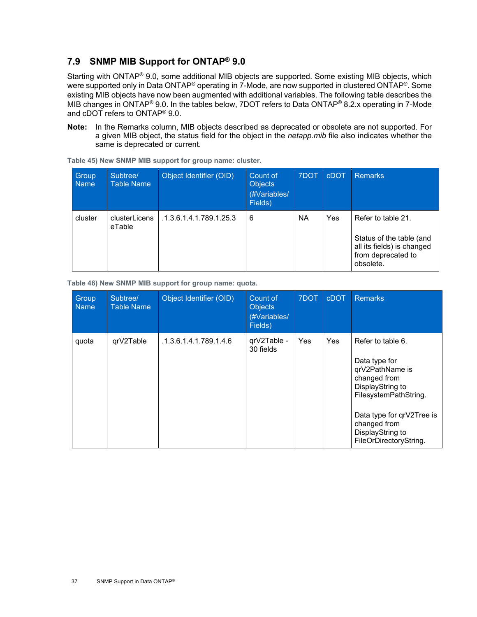### <span id="page-36-0"></span>**7.9 SNMP MIB Support for ONTAP® 9.0**

Starting with ONTAP® 9.0, some additional MIB objects are supported. Some existing MIB objects, which were supported only in Data ONTAP<sup>®</sup> operating in 7-Mode, are now supported in clustered ONTAP<sup>®</sup>. Some existing MIB objects have now been augmented with additional variables. The following table describes the MIB changes in ONTAP® 9.0. In the tables below, 7DOT refers to Data ONTAP® 8.2.x operating in 7-Mode and cDOT refers to ONTAP® 9.0.

**Note:** In the Remarks column, MIB objects described as deprecated or obsolete are not supported. For a given MIB object, the status field for the object in the *netapp.mib* file also indicates whether the same is deprecated or current.

| Group<br><b>Name</b> | Subtree/<br><b>Table Name</b> | Object Identifier (OID) | Count of<br><b>Objects</b><br>(#Variables/<br>Fields) | 7DOT | cDOT       | <b>Remarks</b>                                                                                                  |
|----------------------|-------------------------------|-------------------------|-------------------------------------------------------|------|------------|-----------------------------------------------------------------------------------------------------------------|
| cluster              | clusterLicens<br>eTable       | .1.3.6.1.4.1.789.1.25.3 | 6                                                     | NA   | <b>Yes</b> | Refer to table 21.<br>Status of the table (and<br>all its fields) is changed<br>from deprecated to<br>obsolete. |

<span id="page-36-1"></span>**Table 45) New SNMP MIB support for group name: cluster.**

<span id="page-36-2"></span>**Table 46) New SNMP MIB support for group name: quota.**

| Group<br><b>Name</b> | Subtree/<br><b>Table Name</b> | Object Identifier (OID) | Count of<br><b>Objects</b><br>(#Variables/<br>Fields) | 7DOT       | <b>cDOT</b> | <b>Remarks</b>                                                                                                                                                                                                |
|----------------------|-------------------------------|-------------------------|-------------------------------------------------------|------------|-------------|---------------------------------------------------------------------------------------------------------------------------------------------------------------------------------------------------------------|
| quota                | qrV2Table                     | .1.3.6.1.4.1.789.1.4.6  | qrV2Table -<br>30 fields                              | <b>Yes</b> | Yes         | Refer to table 6.<br>Data type for<br>qrV2PathName is<br>changed from<br>DisplayString to<br>FilesystemPathString.<br>Data type for qrV2Tree is<br>changed from<br>DisplayString to<br>FileOrDirectoryString. |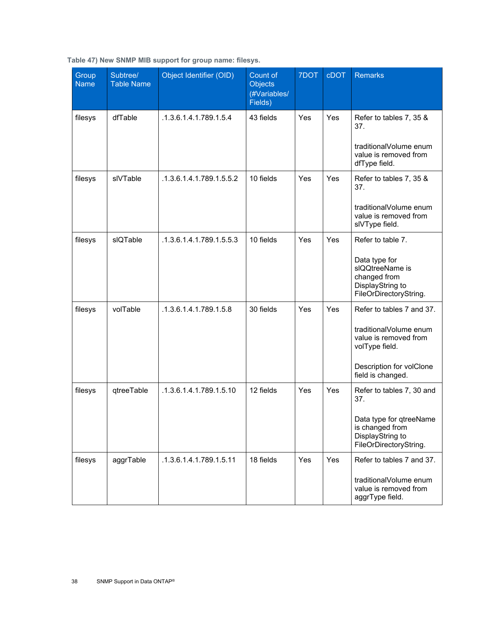<span id="page-37-0"></span>

|  |  | Table 47) New SNMP MIB support for group name: filesys. |  |  |
|--|--|---------------------------------------------------------|--|--|
|  |  |                                                         |  |  |

| Group<br><b>Name</b> | Subtree/<br><b>Table Name</b> | Object Identifier (OID)  | Count of<br><b>Objects</b><br>(#Variables/<br>Fields) | 7DOT | <b>cDOT</b> | <b>Remarks</b>                                                                                                                                  |
|----------------------|-------------------------------|--------------------------|-------------------------------------------------------|------|-------------|-------------------------------------------------------------------------------------------------------------------------------------------------|
| filesys              | dfTable                       | .1.3.6.1.4.1.789.1.5.4   | 43 fields                                             | Yes  | Yes         | Refer to tables 7, 35 &<br>37.<br>traditionalVolume enum<br>value is removed from<br>dfType field.                                              |
| filesys              | slVTable                      | .1.3.6.1.4.1.789.1.5.5.2 | 10 fields                                             | Yes  | Yes         | Refer to tables 7, 35 &<br>37.<br>traditionalVolume enum<br>value is removed from<br>slVType field.                                             |
| filesys              | sIQTable                      | .1.3.6.1.4.1.789.1.5.5.3 | 10 fields                                             | Yes  | Yes         | Refer to table 7.<br>Data type for<br>slQQtreeName is<br>changed from<br>DisplayString to<br>FileOrDirectoryString.                             |
| filesys              | volTable                      | .1.3.6.1.4.1.789.1.5.8   | 30 fields                                             | Yes  | Yes         | Refer to tables 7 and 37.<br>traditionalVolume enum<br>value is removed from<br>volType field.<br>Description for volClone<br>field is changed. |
| filesys              | qtreeTable                    | .1.3.6.1.4.1.789.1.5.10  | 12 fields                                             | Yes  | Yes         | Refer to tables 7, 30 and<br>37.<br>Data type for qtreeName<br>is changed from<br>DisplayString to<br>FileOrDirectoryString.                    |
| filesys              | aggrTable                     | .1.3.6.1.4.1.789.1.5.11  | 18 fields                                             | Yes  | Yes         | Refer to tables 7 and 37.<br>traditionalVolume enum<br>value is removed from<br>aggrType field.                                                 |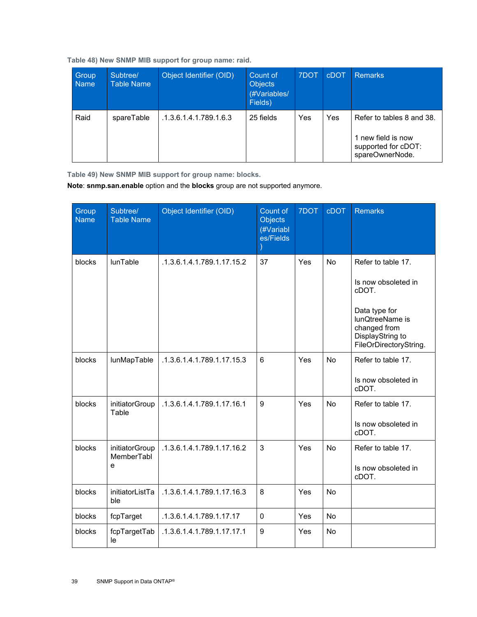<span id="page-38-0"></span>

|  |  | Table 48) New SNMP MIB support for group name: raid. |  |  |
|--|--|------------------------------------------------------|--|--|
|  |  |                                                      |  |  |

| Group<br><b>Name</b> | Subtree/<br>Table Name | Object Identifier (OID) | Count of<br><b>Objects</b><br>(#Variables/<br>Fields) | 7DOT | <b>cDOT</b> | <b>Remarks</b>                                                                            |
|----------------------|------------------------|-------------------------|-------------------------------------------------------|------|-------------|-------------------------------------------------------------------------------------------|
| Raid                 | spareTable             | .1.3.6.1.4.1.789.1.6.3  | 25 fields                                             | Yes  | Yes         | Refer to tables 8 and 38.<br>1 new field is now<br>supported for cDOT:<br>spareOwnerNode. |

<span id="page-38-1"></span>**Table 49) New SNMP MIB support for group name: blocks.**

**Note**: **snmp.san.enable** option and the **blocks** group are not supported anymore.

| Group<br><b>Name</b> | Subtree/<br><b>Table Name</b>     | Object Identifier (OID)    | Count of<br><b>Objects</b><br>(#Variabl<br>es/Fields | <b>7DOT</b> | <b>cDOT</b> | <b>Remarks</b>                                                                                                                                       |
|----------------------|-----------------------------------|----------------------------|------------------------------------------------------|-------------|-------------|------------------------------------------------------------------------------------------------------------------------------------------------------|
| blocks               | lunTable                          | .1.3.6.1.4.1.789.1.17.15.2 | 37                                                   | Yes         | <b>No</b>   | Refer to table 17.<br>Is now obsoleted in<br>cDOT.<br>Data type for<br>lunQtreeName is<br>changed from<br>DisplayString to<br>FileOrDirectoryString. |
| blocks               | lunMapTable                       | .1.3.6.1.4.1.789.1.17.15.3 | 6                                                    | Yes         | No          | Refer to table 17.<br>Is now obsoleted in<br>cDOT.                                                                                                   |
| blocks               | initiatorGroup<br>Table           | .1.3.6.1.4.1.789.1.17.16.1 | 9                                                    | Yes         | No          | Refer to table 17.<br>Is now obsoleted in<br>cDOT.                                                                                                   |
| blocks               | initiatorGroup<br>MemberTabl<br>e | .1.3.6.1.4.1.789.1.17.16.2 | 3                                                    | Yes         | <b>No</b>   | Refer to table 17.<br>Is now obsoleted in<br>cDOT.                                                                                                   |
| blocks               | initiatorListTa<br>ble            | .1.3.6.1.4.1.789.1.17.16.3 | 8                                                    | Yes         | <b>No</b>   |                                                                                                                                                      |
| blocks               | fcpTarget                         | .1.3.6.1.4.1.789.1.17.17   | 0                                                    | Yes         | No          |                                                                                                                                                      |
| blocks               | fcpTargetTab<br>le                | .1.3.6.1.4.1.789.1.17.17.1 | 9                                                    | Yes         | No          |                                                                                                                                                      |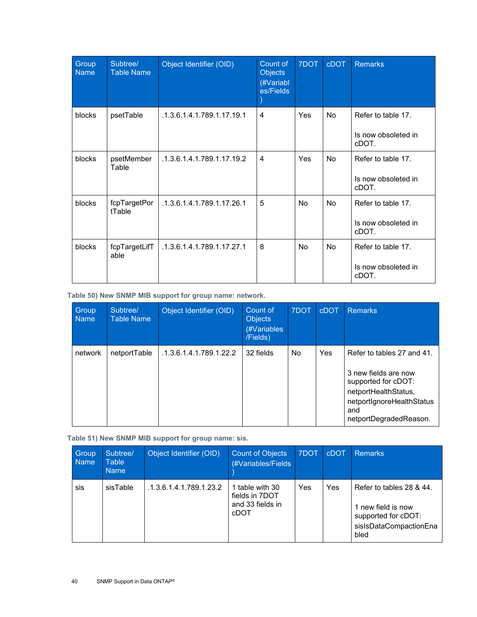| Group<br><b>Name</b> | Subtree/<br><b>Table Name</b> | Object Identifier (OID)    | Count of<br><b>Objects</b><br>(#Variabl<br>es/Fields | 7DOT      | <b>cDOT</b> | <b>Remarks</b>                                     |
|----------------------|-------------------------------|----------------------------|------------------------------------------------------|-----------|-------------|----------------------------------------------------|
| blocks               | psetTable                     | .1.3.6.1.4.1.789.1.17.19.1 | 4                                                    | Yes       | <b>No</b>   | Refer to table 17.<br>Is now obsoleted in<br>cDOT. |
| blocks               | psetMember<br>Table           | .1.3.6.1.4.1.789.1.17.19.2 | 4                                                    | Yes       | <b>No</b>   | Refer to table 17.<br>Is now obsoleted in<br>cDOT. |
| blocks               | fcpTargetPor<br>tTable        | .1.3.6.1.4.1.789.1.17.26.1 | 5                                                    | <b>No</b> | <b>No</b>   | Refer to table 17.<br>Is now obsoleted in<br>cDOT. |
| blocks               | fcpTargetLifT<br>able         | .1.3.6.1.4.1.789.1.17.27.1 | 8                                                    | <b>No</b> | <b>No</b>   | Refer to table 17.<br>Is now obsoleted in<br>cDOT. |

<span id="page-39-0"></span>**Table 50) New SNMP MIB support for group name: network.** 

| Group<br><b>Name</b> | Subtree/<br><b>Table Name</b> | Object Identifier (OID) | Count of<br><b>Objects</b><br>(#Variables<br>/Fields) | 7DOT | <b>cDOT</b> | <b>Remarks</b>                                                                                                                                                  |
|----------------------|-------------------------------|-------------------------|-------------------------------------------------------|------|-------------|-----------------------------------------------------------------------------------------------------------------------------------------------------------------|
| network              | netportTable                  | .1.3.6.1.4.1.789.1.22.2 | 32 fields                                             | No.  | Yes         | Refer to tables 27 and 41.<br>3 new fields are now<br>supported for cDOT:<br>netportHealthStatus,<br>netportIgnoreHealthStatus<br>and<br>netportDegradedReason. |

<span id="page-39-1"></span>**Table 51) New SNMP MIB support for group name: sis.** 

| Group<br><b>Name</b> | Subtree/<br>Table<br><b>Name</b> | Object Identifier (OID) | <b>Count of Objects</b><br>(#Variables/Fields                 | 7DOT | <b>cDOT</b> | <b>Remarks</b>                                                                                          |
|----------------------|----------------------------------|-------------------------|---------------------------------------------------------------|------|-------------|---------------------------------------------------------------------------------------------------------|
| sis                  | sisTable                         | .1.3.6.1.4.1.789.1.23.2 | 1 table with 30<br>fields in 7DOT<br>and 33 fields in<br>cDOT | Yes  | Yes         | Refer to tables 28 & 44.<br>1 new field is now<br>supported for cDOT:<br>sisIsDataCompactionEna<br>bled |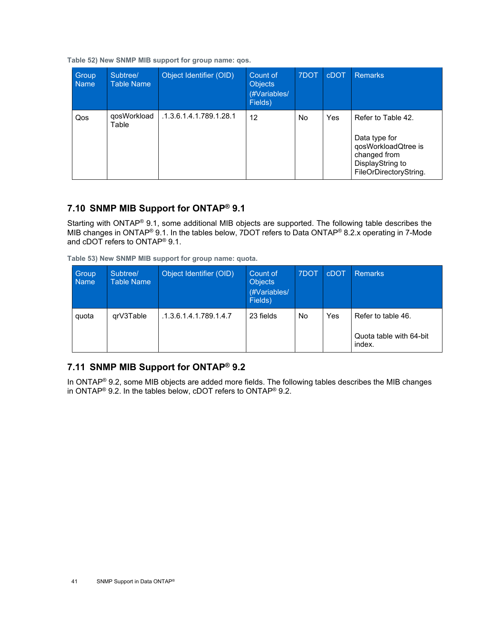<span id="page-40-2"></span>**Table 52) New SNMP MIB support for group name: qos.** 

| Group<br><b>Name</b> | Subtree/<br><b>Table Name</b> | Object Identifier (OID) | Count of<br><b>Objects</b><br>(#Variables/<br>Fields) | 7DOT      | <b>cDOT</b> | <b>Remarks</b>                                                                                                           |
|----------------------|-------------------------------|-------------------------|-------------------------------------------------------|-----------|-------------|--------------------------------------------------------------------------------------------------------------------------|
| Qos                  | qosWorkload<br>Table          | .1.3.6.1.4.1.789.1.28.1 | 12                                                    | <b>No</b> | Yes         | Refer to Table 42.<br>Data type for<br>qosWorkloadQtree is<br>changed from<br>DisplayString to<br>FileOrDirectoryString. |

### <span id="page-40-0"></span>**7.10 SNMP MIB Support for ONTAP® 9.1**

Starting with ONTAP® 9.1, some additional MIB objects are supported. The following table describes the MIB changes in ONTAP® 9.1. In the tables below, 7DOT refers to Data ONTAP® 8.2.x operating in 7-Mode and cDOT refers to ONTAP® 9.1.

<span id="page-40-3"></span>**Table 53) New SNMP MIB support for group name: quota.**

| Group<br><b>Name</b> | Subtree/<br><b>Table Name</b> | Object Identifier (OID) | Count of<br><b>Objects</b><br>(#Variables/<br>Fields) | 7DOT | cDOT | <b>Remarks</b>                                          |
|----------------------|-------------------------------|-------------------------|-------------------------------------------------------|------|------|---------------------------------------------------------|
| quota                | grV3Table                     | .1.3.6.1.4.1.789.1.4.7  | 23 fields                                             | No   | Yes  | Refer to table 46.<br>Quota table with 64-bit<br>index. |

### <span id="page-40-1"></span>**7.11 SNMP MIB Support for ONTAP® 9.2**

In ONTAP<sup>®</sup> 9.2, some MIB objects are added more fields. The following tables describes the MIB changes in ONTAP® 9.2. In the tables below, cDOT refers to ONTAP® 9.2.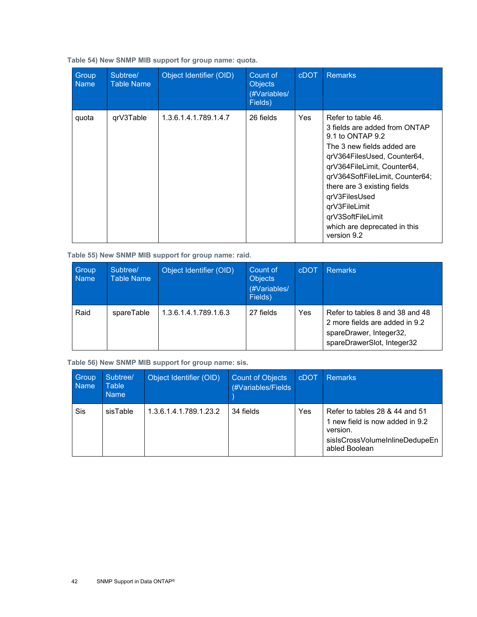| Group<br><b>Name</b> | Subtree/<br><b>Table Name</b> | Object Identifier (OID) | Count of<br><b>Objects</b><br>(#Variables/<br>Fields) | <b>cDOT</b> | <b>Remarks</b>                                                                                                                                                                                                                                                                                                                              |
|----------------------|-------------------------------|-------------------------|-------------------------------------------------------|-------------|---------------------------------------------------------------------------------------------------------------------------------------------------------------------------------------------------------------------------------------------------------------------------------------------------------------------------------------------|
| quota                | grV3Table                     | 1.3.6.1.4.1.789.1.4.7   | 26 fields                                             | <b>Yes</b>  | Refer to table 46.<br>3 fields are added from ONTAP<br>9.1 to ONTAP 9.2<br>The 3 new fields added are<br>qrV364FilesUsed, Counter64,<br>qrV364FileLimit, Counter64,<br>qrV364SoftFileLimit, Counter64;<br>there are 3 existing fields<br>qrV3FilesUsed<br>qrV3FileLimit<br>qrV3SoftFileLimit<br>which are deprecated in this<br>version 9.2 |

<span id="page-41-0"></span>**Table 54) New SNMP MIB support for group name: quota.**

<span id="page-41-1"></span>**Table 55) New SNMP MIB support for group name: raid.**

| Group<br><b>Name</b> | Subtree/<br><b>Table Name</b> | Object Identifier (OID) | Count of<br><b>Objects</b><br>(#Variables/<br>Fields) | <b>cDOT</b> | <b>Remarks</b>                                                                                                             |
|----------------------|-------------------------------|-------------------------|-------------------------------------------------------|-------------|----------------------------------------------------------------------------------------------------------------------------|
| Raid                 | spareTable                    | 1.3.6.1.4.1.789.1.6.3   | 27 fields                                             | Yes         | Refer to tables 8 and 38 and 48<br>2 more fields are added in 9.2<br>spareDrawer, Integer32,<br>spareDrawerSlot, Integer32 |

<span id="page-41-2"></span>**Table 56) New SNMP MIB support for group name: sis.**

| Group<br><b>Name</b> | Subtree/<br><b>Table</b><br><b>Name</b> | Object Identifier (OID) | <b>Count of Objects</b><br>(#Variables/Fields | cDOT | <b>Remarks</b>                                                                                                                   |
|----------------------|-----------------------------------------|-------------------------|-----------------------------------------------|------|----------------------------------------------------------------------------------------------------------------------------------|
| Sis                  | sisTable                                | 1.3.6.1.4.1.789.1.23.2  | 34 fields                                     | Yes  | Refer to tables 28 & 44 and 51<br>1 new field is now added in 9.2<br>version.<br>sisIsCrossVolumeInlineDedupeEn<br>abled Boolean |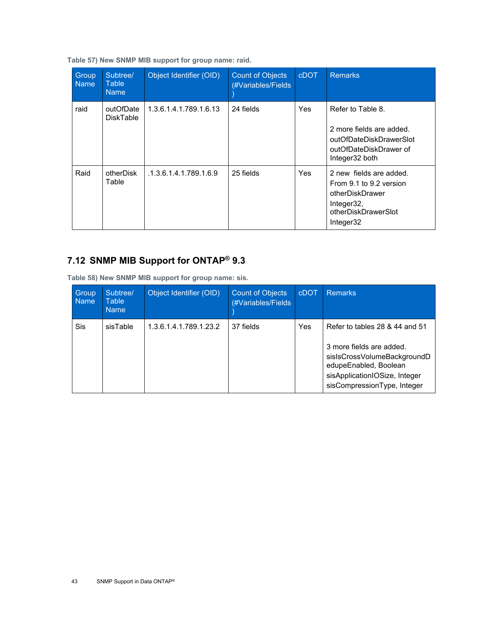<span id="page-42-1"></span>**Table 57) New SNMP MIB support for group name: raid.**

| Group<br><b>Name</b> | Subtree/<br>Table<br><b>Name</b> | Object Identifier (OID) | <b>Count of Objects</b><br>(#Variables/Fields) | <b>cDOT</b> | <b>Remarks</b>                                                                                                          |
|----------------------|----------------------------------|-------------------------|------------------------------------------------|-------------|-------------------------------------------------------------------------------------------------------------------------|
| raid                 | outOfDate<br><b>DiskTable</b>    | 1.3.6.1.4.1.789.1.6.13  | 24 fields                                      | Yes         | Refer to Table 8.<br>2 more fields are added.<br>outOfDateDiskDrawerSlot<br>outOfDateDiskDrawer of<br>Integer32 both    |
| Raid                 | otherDisk<br>Table               | .1.3.6.1.4.1.789.1.6.9  | 25 fields                                      | Yes         | 2 new fields are added.<br>From 9.1 to 9.2 version<br>otherDiskDrawer<br>Integer32,<br>otherDiskDrawerSlot<br>Integer32 |

# <span id="page-42-0"></span>**7.12 SNMP MIB Support for ONTAP® 9.3**

<span id="page-42-2"></span>**Table 58) New SNMP MIB support for group name: sis.**

| Group<br><b>Name</b> | Subtree/<br>Table<br><b>Name</b> | Object Identifier (OID) | <b>Count of Objects</b><br>(#Variables/Fields | <b>CDOT</b> | <b>Remarks</b>                                                                                                                                                                     |
|----------------------|----------------------------------|-------------------------|-----------------------------------------------|-------------|------------------------------------------------------------------------------------------------------------------------------------------------------------------------------------|
| <b>Sis</b>           | sisTable                         | 1.3.6.1.4.1.789.1.23.2  | 37 fields                                     | Yes         | Refer to tables 28 & 44 and 51<br>3 more fields are added.<br>sisIsCrossVolumeBackgroundD<br>edupeEnabled, Boolean<br>sisApplicationIOSize, Integer<br>sisCompressionType, Integer |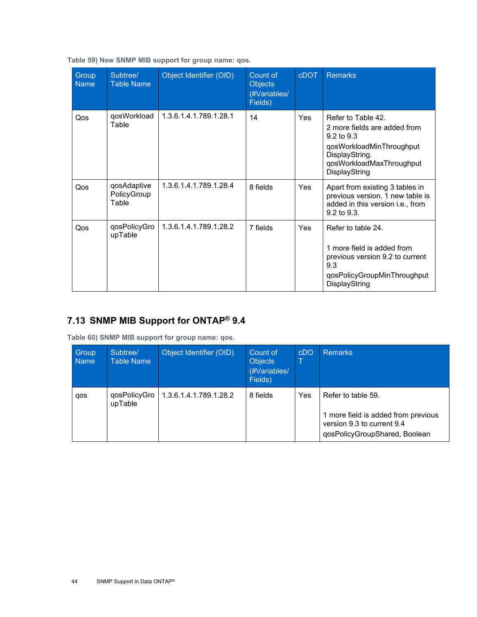| Group<br><b>Name</b> | Subtree/<br><b>Table Name</b>       | Object Identifier (OID) | Count of<br><b>Objects</b><br>(#Variables/<br>Fields) | <b>cDOT</b> | <b>Remarks</b>                                                                                                                                                         |
|----------------------|-------------------------------------|-------------------------|-------------------------------------------------------|-------------|------------------------------------------------------------------------------------------------------------------------------------------------------------------------|
| Qos                  | qosWorkload<br>Table                | 1.3.6.1.4.1.789.1.28.1  | 14                                                    | <b>Yes</b>  | Refer to Table 42.<br>2 more fields are added from<br>$9.2 \text{ to } 9.3$<br>qosWorkloadMinThroughput<br>DisplayString.<br>qosWorkloadMaxThroughput<br>DisplayString |
| Qos                  | qosAdaptive<br>PolicyGroup<br>Table | 1.3.6.1.4.1.789.1.28.4  | 8 fields                                              | <b>Yes</b>  | Apart from existing 3 tables in<br>previous version, 1 new table is<br>added in this version i.e., from<br>$9.2 \text{ to } 9.3$                                       |
| Qos                  | qosPolicyGro<br>upTable             | 1.3.6.1.4.1.789.1.28.2  | 7 fields                                              | Yes         | Refer to table 24.<br>1 more field is added from<br>previous version 9.2 to current<br>9.3<br>qosPolicyGroupMinThroughput<br>DisplayString                             |

<span id="page-43-1"></span>**Table 59) New SNMP MIB support for group name: qos.**

## <span id="page-43-0"></span>**7.13 SNMP MIB Support for ONTAP® 9.4**

<span id="page-43-2"></span>**Table 60) SNMP MIB support for group name: qos.** 

| Group<br><b>Name</b> | Subtree/<br>Table Name  | Object Identifier (OID) | Count of<br><b>Objects</b><br>(#Variables/<br>Fields) | cDO | <b>Remarks</b>                                                                                                           |
|----------------------|-------------------------|-------------------------|-------------------------------------------------------|-----|--------------------------------------------------------------------------------------------------------------------------|
| qos                  | qosPolicyGro<br>upTable | 1.3.6.1.4.1.789.1.28.2  | 8 fields                                              | Yes | Refer to table 59.<br>1 more field is added from previous<br>version 9.3 to current 9.4<br>qosPolicyGroupShared, Boolean |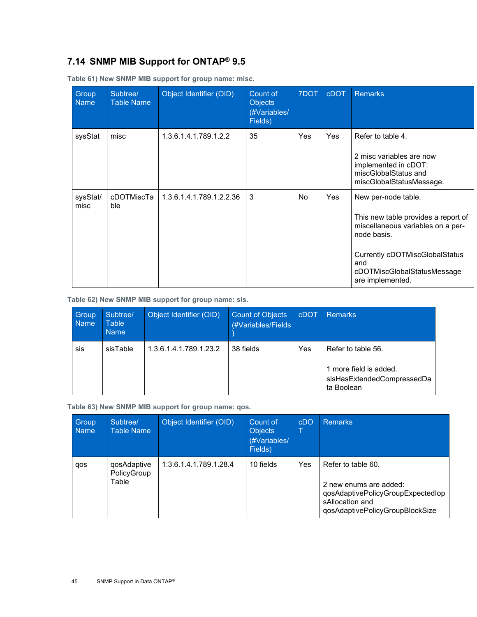### <span id="page-44-0"></span>**7.14 SNMP MIB Support for ONTAP® 9.5**

| Group<br><b>Name</b> | Subtree/<br><b>Table Name</b> | Object Identifier (OID)  | Count of<br><b>Objects</b><br>(#Variables/<br>Fields) | 7DOT      | <b>cDOT</b> | <b>Remarks</b>                                                                                                                                                                                             |
|----------------------|-------------------------------|--------------------------|-------------------------------------------------------|-----------|-------------|------------------------------------------------------------------------------------------------------------------------------------------------------------------------------------------------------------|
| sysStat              | misc                          | 1.3.6.1.4.1.789.1.2.2    | 35                                                    | Yes       | Yes         | Refer to table 4.<br>2 misc variables are now<br>implemented in cDOT:<br>miscGlobalStatus and<br>miscGlobalStatusMessage.                                                                                  |
| sysStat/<br>misc     | cDOTMiscTa<br>ble             | 1.3.6.1.4.1.789.1.2.2.36 | 3                                                     | <b>No</b> | Yes         | New per-node table.<br>This new table provides a report of<br>miscellaneous variables on a per-<br>node basis.<br>Currently cDOTMiscGlobalStatus<br>and<br>cDOTMiscGlobalStatusMessage<br>are implemented. |

<span id="page-44-1"></span>**Table 61) New SNMP MIB support for group name: misc.**

#### <span id="page-44-2"></span>**Table 62) New SNMP MIB support for group name: sis.**

| Group<br><b>Name</b> | Subtree/<br>Table<br><b>Name</b> | Object Identifier (OID) | <b>Count of Objects</b><br>(#Variables/Fields) | <b>cDOT</b> | Remarks                                                                                  |
|----------------------|----------------------------------|-------------------------|------------------------------------------------|-------------|------------------------------------------------------------------------------------------|
| sis                  | sisTable                         | 1.3.6.1.4.1.789.1.23.2  | 38 fields                                      | Yes         | Refer to table 56.<br>1 more field is added.<br>sisHasExtendedCompressedDa<br>ta Boolean |

<span id="page-44-3"></span>**Table 63) New SNMP MIB support for group name: qos.** 

| Group<br><b>Name</b> | Subtree/<br><b>Table Name</b>       | Object Identifier (OID) | Count of<br><b>Objects</b><br>(#Variables/<br>Fields) | cDO | <b>Remarks</b>                                                                                                                          |
|----------------------|-------------------------------------|-------------------------|-------------------------------------------------------|-----|-----------------------------------------------------------------------------------------------------------------------------------------|
| qos                  | qosAdaptive<br>PolicyGroup<br>Table | 1.3.6.1.4.1.789.1.28.4  | 10 fields                                             | Yes | Refer to table 60.<br>2 new enums are added:<br>qosAdaptivePolicyGroupExpectedlop<br>sAllocation and<br>qosAdaptivePolicyGroupBlockSize |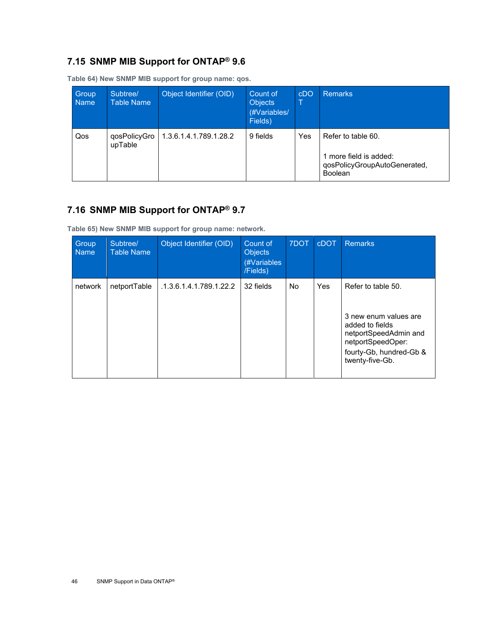### <span id="page-45-0"></span>**7.15 SNMP MIB Support for ONTAP® 9.6**

| Group<br><b>Name</b> | Subtree/<br>Table Name  | Object Identifier (OID) | Count of<br><b>Objects</b><br>(#Variables/<br>Fields) | cDO | <b>Remarks</b>                                                                                 |
|----------------------|-------------------------|-------------------------|-------------------------------------------------------|-----|------------------------------------------------------------------------------------------------|
| Qos                  | qosPolicyGro<br>upTable | 1.3.6.1.4.1.789.1.28.2  | 9 fields                                              | Yes | Refer to table 60.<br>1 more field is added:<br>qosPolicyGroupAutoGenerated,<br><b>Boolean</b> |

<span id="page-45-2"></span>**Table 64) New SNMP MIB support for group name: qos.** 

# <span id="page-45-1"></span>**7.16 SNMP MIB Support for ONTAP® 9.7**

<span id="page-45-3"></span>**Table 65) New SNMP MIB support for group name: network.**

| <b>Group</b><br><b>Name</b> | Subtree/<br><b>Table Name</b> | Object Identifier (OID) | Count of<br><b>Objects</b><br>(#Variables<br>/Fields) | 7DOT      | <b>cDOT</b> | <b>Remarks</b>                                                                                                                                             |
|-----------------------------|-------------------------------|-------------------------|-------------------------------------------------------|-----------|-------------|------------------------------------------------------------------------------------------------------------------------------------------------------------|
| network                     | netportTable                  | .1.3.6.1.4.1.789.1.22.2 | 32 fields                                             | <b>No</b> | Yes         | Refer to table 50.<br>3 new enum values are<br>added to fields<br>netportSpeedAdmin and<br>netportSpeedOper:<br>fourty-Gb, hundred-Gb &<br>twenty-five-Gb. |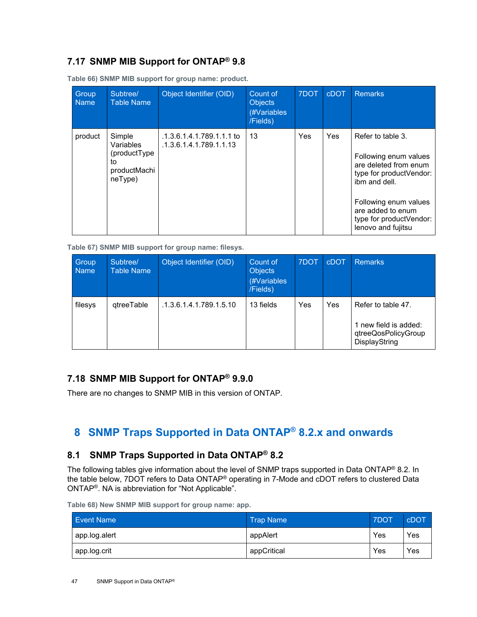### <span id="page-46-0"></span>**7.17 SNMP MIB Support for ONTAP® 9.8**

| Group<br><b>Name</b> | Subtree/<br><b>Table Name</b>                                        | Object Identifier (OID)                              | Count of<br><b>Objects</b><br>(#Variables<br>/Fields) | 7DOT | <b>cDOT</b> | <b>Remarks</b>                                                                                                                                                                                                 |
|----------------------|----------------------------------------------------------------------|------------------------------------------------------|-------------------------------------------------------|------|-------------|----------------------------------------------------------------------------------------------------------------------------------------------------------------------------------------------------------------|
| product              | Simple<br>Variables<br>(productType<br>to<br>productMachi<br>neType) | .1.3.6.1.4.1.789.1.1.1 to<br>.1.3.6.1.4.1.789.1.1.13 | 13                                                    | Yes  | <b>Yes</b>  | Refer to table 3.<br>Following enum values<br>are deleted from enum<br>type for productVendor:<br>ibm and dell.<br>Following enum values<br>are added to enum<br>type for productVendor:<br>lenovo and fujitsu |

<span id="page-46-4"></span>**Table 66) SNMP MIB support for group name: product.**

<span id="page-46-5"></span>**Table 67) SNMP MIB support for group name: filesys.** 

| Group<br><b>Name</b> | Subtree/<br><b>Table Name</b> | Object Identifier (OID) | Count of<br><b>Objects</b><br>(#Variables<br>/Fields) | 7DOT | cDOT | <b>Remarks</b>                                                                      |
|----------------------|-------------------------------|-------------------------|-------------------------------------------------------|------|------|-------------------------------------------------------------------------------------|
| filesys              | gtreeTable                    | .1.3.6.1.4.1.789.1.5.10 | 13 fields                                             | Yes  | Yes  | Refer to table 47.<br>1 new field is added:<br>qtreeQosPolicyGroup<br>DisplayString |

#### <span id="page-46-1"></span>**7.18 SNMP MIB Support for ONTAP® 9.9.0**

There are no changes to SNMP MIB in this version of ONTAP.

# <span id="page-46-2"></span>**8 SNMP Traps Supported in Data ONTAP® 8.2.x and onwards**

### <span id="page-46-3"></span>**8.1 SNMP Traps Supported in Data ONTAP® 8.2**

The following tables give information about the level of SNMP traps supported in Data ONTAP® 8.2. In the table below, 7DOT refers to Data ONTAP® operating in 7-Mode and cDOT refers to clustered Data ONTAP®. NA is abbreviation for "Not Applicable".

<span id="page-46-6"></span>**Table 68) New SNMP MIB support for group name: app.**

| Event Name    | <b>Trap Name</b> | <b>7DOT</b> | cDOT |
|---------------|------------------|-------------|------|
| app.log.alert | appAlert         | Yes         | Yes  |
| app.log.crit  | appCritical      | Yes         | Yes  |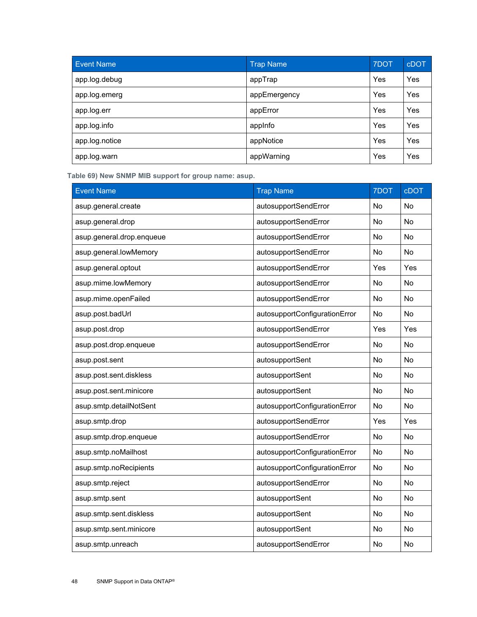| Event Name     | <b>Trap Name</b> | 7DOT | <b>cDOT</b> |
|----------------|------------------|------|-------------|
| app.log.debug  | appTrap          | Yes  | Yes         |
| app.log.emerg  | appEmergency     | Yes  | Yes         |
| app.log.err    | appError         | Yes  | Yes         |
| app.log.info   | applnfo          | Yes  | Yes         |
| app.log.notice | appNotice        | Yes  | Yes         |
| app.log.warn   | appWarning       | Yes  | Yes         |

<span id="page-47-0"></span>**Table 69) New SNMP MIB support for group name: asup.**

| <b>Event Name</b>         | <b>Trap Name</b>              | 7DOT      | cDOT      |
|---------------------------|-------------------------------|-----------|-----------|
| asup.general.create       | autosupportSendError          | No        | No        |
| asup.general.drop         | autosupportSendError          | No        | No        |
| asup.general.drop.enqueue | autosupportSendError          | <b>No</b> | <b>No</b> |
| asup.general.lowMemory    | autosupportSendError          | No        | <b>No</b> |
| asup.general.optout       | autosupportSendError          | Yes       | Yes       |
| asup.mime.lowMemory       | autosupportSendError          | No        | <b>No</b> |
| asup.mime.openFailed      | autosupportSendError          | <b>No</b> | No        |
| asup.post.badUrl          | autosupportConfigurationError | No        | No        |
| asup.post.drop            | autosupportSendError          | Yes       | Yes       |
| asup.post.drop.enqueue    | autosupportSendError          | No        | No        |
| asup.post.sent            | autosupportSent               | <b>No</b> | <b>No</b> |
| asup.post.sent.diskless   | autosupportSent               | No        | No        |
| asup.post.sent.minicore   | autosupportSent               | No        | No        |
| asup.smtp.detailNotSent   | autosupportConfigurationError | <b>No</b> | <b>No</b> |
| asup.smtp.drop            | autosupportSendError          | Yes       | Yes       |
| asup.smtp.drop.enqueue    | autosupportSendError          | No        | No        |
| asup.smtp.noMailhost      | autosupportConfigurationError | No        | No        |
| asup.smtp.noRecipients    | autosupportConfigurationError | No        | No        |
| asup.smtp.reject          | autosupportSendError          | No        | <b>No</b> |
| asup.smtp.sent            | autosupportSent               | No        | No        |
| asup.smtp.sent.diskless   | autosupportSent               | No        | No        |
| asup.smtp.sent.minicore   | autosupportSent               | No        | No        |
| asup.smtp.unreach         | autosupportSendError          | No        | No        |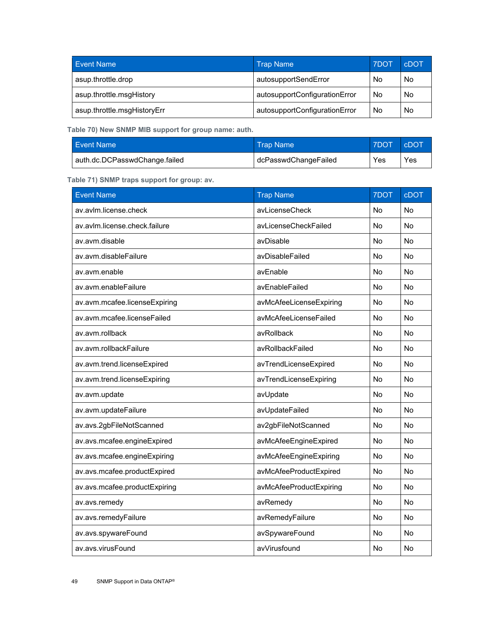| <b>Event Name</b>           | <b>Trap Name</b>              | 7DOT | <b>CDOT</b> |
|-----------------------------|-------------------------------|------|-------------|
| asup.throttle.drop          | autosupportSendError          | No   | No          |
| asup.throttle.msgHistory    | autosupportConfigurationError | No.  | No          |
| asup.throttle.msgHistoryErr | autosupportConfigurationError | No   | No          |

<span id="page-48-0"></span>**Table 70) New SNMP MIB support for group name: auth.**

| <b>Event Name</b>             | ⊾Trap Name \         | <b>7DOT</b> | <b>cDOT</b> |
|-------------------------------|----------------------|-------------|-------------|
| auth.dc.DCPasswdChange.failed | dcPasswdChangeFailed | Yes         | Yes         |

<span id="page-48-1"></span>**Table 71) SNMP traps support for group: av.** 

| <b>Event Name</b>             | <b>Trap Name</b>        | 7DOT      | cDOT      |
|-------------------------------|-------------------------|-----------|-----------|
| av.avlm.license.check         | avLicenseCheck          | No        | Nο        |
| av.avlm.license.check.failure | avLicenseCheckFailed    | <b>No</b> | No        |
| av.avm.disable                | avDisable               | No        | <b>No</b> |
| av.avm.disableFailure         | avDisableFailed         | No        | No        |
| av.avm.enable                 | avEnable                | <b>No</b> | <b>No</b> |
| av.avm.enableFailure          | avEnableFailed          | No        | <b>No</b> |
| av.avm.mcafee.licenseExpiring | avMcAfeeLicenseExpiring | No        | No        |
| av.avm.mcafee.licenseFailed   | avMcAfeeLicenseFailed   | <b>No</b> | <b>No</b> |
| av.avm.rollback               | avRollback              | <b>No</b> | No        |
| av.avm.rollbackFailure        | avRollbackFailed        | No        | No        |
| av.avm.trend.licenseExpired   | avTrendLicenseExpired   | <b>No</b> | <b>No</b> |
| av.avm.trend.licenseExpiring  | avTrendLicenseExpiring  | No        | <b>No</b> |
| av.avm.update                 | avUpdate                | <b>No</b> | No        |
| av.avm.updateFailure          | avUpdateFailed          | No        | No        |
| av.avs.2gbFileNotScanned      | av2gbFileNotScanned     | No        | No        |
| av.avs.mcafee.engineExpired   | avMcAfeeEngineExpired   | <b>No</b> | <b>No</b> |
| av.avs.mcafee.engineExpiring  | avMcAfeeEngineExpiring  | No        | No        |
| av.avs.mcafee.productExpired  | avMcAfeeProductExpired  | <b>No</b> | No        |
| av.avs.mcafee.productExpiring | avMcAfeeProductExpiring | No        | No        |
| av.avs.remedy                 | avRemedy                | No        | <b>No</b> |
| av.avs.remedyFailure          | avRemedyFailure         | <b>No</b> | <b>No</b> |
| av.avs.spywareFound           | avSpywareFound          | No        | No        |
| av.avs.virusFound             | avVirusfound            | No        | No        |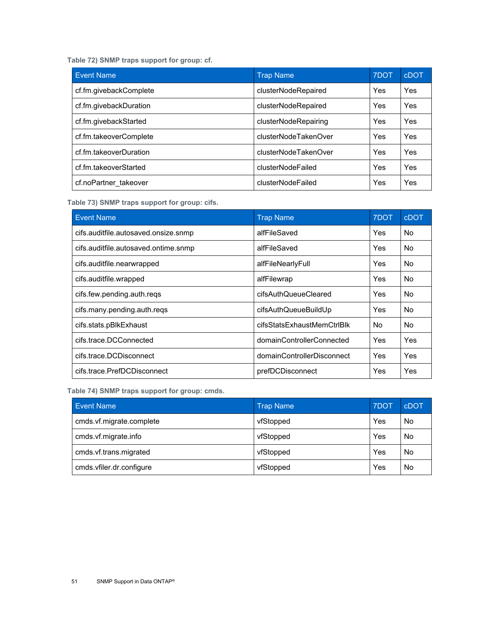<span id="page-50-0"></span>**Table 72) SNMP traps support for group: cf.** 

| <b>Event Name</b>      | <b>Trap Name</b>     | 7DOT | cDOT |
|------------------------|----------------------|------|------|
| cf.fm.givebackComplete | clusterNodeRepaired  | Yes  | Yes  |
| cf.fm.givebackDuration | clusterNodeRepaired  | Yes  | Yes  |
| cf.fm.givebackStarted  | clusterNodeRepairing | Yes  | Yes  |
| cf.fm.takeoverComplete | clusterNodeTakenOver | Yes  | Yes  |
| cf.fm.takeoverDuration | clusterNodeTakenOver | Yes  | Yes  |
| cf.fm.takeoverStarted  | clusterNodeFailed    | Yes  | Yes  |
| cf.noPartner takeover  | clusterNodeFailed    | Yes  | Yes  |

<span id="page-50-1"></span>**Table 73) SNMP traps support for group: cifs.**

| <b>Event Name</b>                    | <b>Trap Name</b>           | 7DOT       | <b>cDOT</b> |
|--------------------------------------|----------------------------|------------|-------------|
| cifs.auditfile.autosaved.onsize.snmp | alfFileSaved               | <b>Yes</b> | No.         |
| cifs.auditfile.autosaved.ontime.snmp | alfFileSaved               | Yes        | No.         |
| cifs.auditfile.nearwrapped           | alfFileNearlyFull          | Yes        | No.         |
| cifs.auditfile.wrapped               | alfFilewrap                | Yes        | No.         |
| cifs.few.pending.auth.reqs           | cifsAuthQueueCleared       | <b>Yes</b> | No.         |
| cifs.many.pending.auth.reqs          | cifsAuthQueueBuildUp       | Yes        | No.         |
| cifs.stats.pBlkExhaust               | cifsStatsExhaustMemCtrlBlk | No         | No.         |
| cifs.trace.DCConnected               | domainControllerConnected  | Yes.       | <b>Yes</b>  |
| cifs.trace.DCDisconnect              | domainControllerDisconnect | Yes        | Yes         |
| cifs.trace.PrefDCDisconnect          | prefDCDisconnect           | <b>Yes</b> | Yes         |

<span id="page-50-2"></span>**Table 74) SNMP traps support for group: cmds.**

| <b>Event Name</b>        | <b>Trap Name</b> | 7DOT | cDOT |
|--------------------------|------------------|------|------|
| cmds.vf.migrate.complete | vfStopped        | Yes  | No   |
| cmds.vf.migrate.info     | vfStopped        | Yes  | No   |
| cmds.vf.trans.migrated   | vfStopped        | Yes  | No   |
| cmds.vfiler.dr.configure | vfStopped        | Yes  | No   |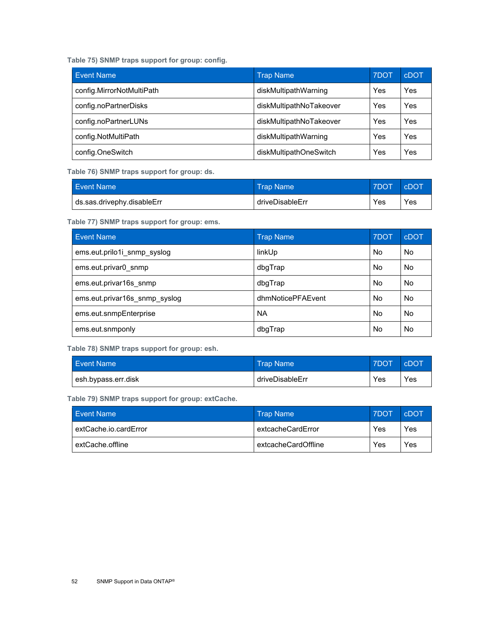<span id="page-51-0"></span>**Table 75) SNMP traps support for group: config.**

| <b>Event Name</b>         | <b>Trap Name</b>        | 7DOT | <b>CDOT</b> |
|---------------------------|-------------------------|------|-------------|
| config.MirrorNotMultiPath | diskMultipathWarning    | Yes  | Yes         |
| config.noPartnerDisks     | diskMultipathNoTakeover | Yes  | Yes         |
| config.noPartnerLUNs      | diskMultipathNoTakeover | Yes  | Yes         |
| config.NotMultiPath       | diskMultipathWarning    | Yes  | Yes         |
| config.OneSwitch          | diskMultipathOneSwitch  | Yes  | Yes         |

<span id="page-51-1"></span>**Table 76) SNMP traps support for group: ds.**

| <b>Event Name</b>            | ⊾Trap Name \    | <b>7DOT</b> | <b>CDOT</b> |
|------------------------------|-----------------|-------------|-------------|
| I ds.sas.drivephy.disableErr | driveDisableErr | Yes         | Yes         |

<span id="page-51-2"></span>**Table 77) SNMP traps support for group: ems.**

| <b>Event Name</b>             | <b>Trap Name</b>  | 7DOT      | cDOT |
|-------------------------------|-------------------|-----------|------|
| ems.eut.prilo1i snmp syslog   | linkUp            | <b>No</b> | No   |
| ems.eut.privar0 snmp          | dbqTrap           | No.       | No   |
| ems.eut.privar16s snmp        | dbqTrap           | No.       | No   |
| ems.eut.privar16s snmp syslog | dhmNoticePFAEvent | No.       | No   |
| ems.eut.snmpEnterprise        | <b>NA</b>         | No.       | No   |
| ems.eut.snmponly              | dbgTrap           | <b>No</b> | No   |

<span id="page-51-3"></span>**Table 78) SNMP traps support for group: esh.**

| <b>Event Name</b>   | <b>Trap Name</b> | <b>7DOT</b> | <b>CDOT</b> |
|---------------------|------------------|-------------|-------------|
| esh.bypass.err.disk | driveDisableErr  | Yes         | Yes         |

<span id="page-51-4"></span>**Table 79) SNMP traps support for group: extCache.**

| <b>Event Name</b>     | <b>Trap Name</b>    | <b>7DOT</b> | cDOT |
|-----------------------|---------------------|-------------|------|
| extCache.io.cardError | extcacheCardError   | Yes         | Yes  |
| extCache.offline      | extcacheCardOffline | Yes         | Yes  |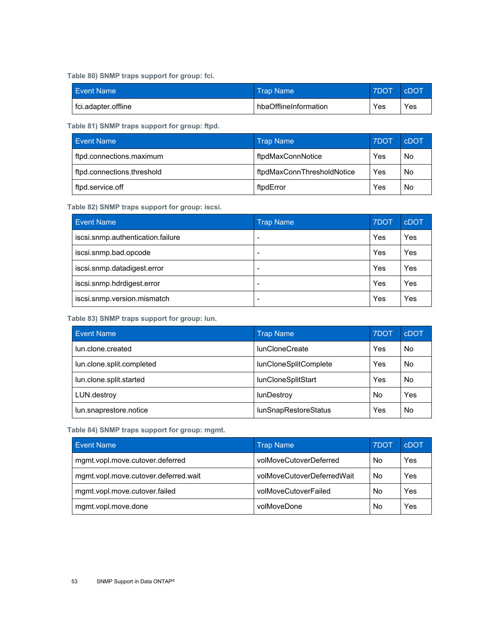<span id="page-52-0"></span>**Table 80) SNMP traps support for group: fci.**

| <b>Event Name</b>   | <b>Trap Name</b>      | <b>ZDOT</b> | <b>CDOT</b> |
|---------------------|-----------------------|-------------|-------------|
| fci.adapter.offline | hbaOfflineInformation | Yes         | Yes         |

<span id="page-52-1"></span>**Table 81) SNMP traps support for group: ftpd.**

| <b>Event Name</b>          | <b>Trap Name</b>           | 7DOT | <b>cDOT</b> |
|----------------------------|----------------------------|------|-------------|
| ftpd.connections.maximum   | ftpdMaxConnNotice          | Yes  | No          |
| ftpd.connections.threshold | ftpdMaxConnThresholdNotice | Yes  | No          |
| ftpd.service.off           | ftpdError                  | Yes  | No          |

#### <span id="page-52-2"></span>**Table 82) SNMP traps support for group: iscsi.**

| <b>Event Name</b>                 | <b>Trap Name</b> | 7DOT | cDOT |
|-----------------------------------|------------------|------|------|
| iscsi.snmp.authentication.failure | -                | Yes  | Yes  |
| iscsi.snmp.bad.opcode             |                  | Yes  | Yes  |
| iscsi.snmp.datadigest.error       | -                | Yes  | Yes  |
| iscsi.snmp.hdrdigest.error        |                  | Yes  | Yes  |
| iscsi.snmp.version.mismatch       | -                | Yes  | Yes  |

<span id="page-52-3"></span>**Table 83) SNMP traps support for group: lun.**

| <b>Event Name</b>         | <b>Trap Name</b>            | 7DOT      | cDOT |
|---------------------------|-----------------------------|-----------|------|
| lun.clone.created         | <b>lunCloneCreate</b>       | Yes       | No   |
| lun.clone.split.completed | lunCloneSplitComplete       | Yes       | No   |
| lun.clone.split.started   | lunCloneSplitStart          | Yes       | No   |
| LUN.destroy               | lunDestroy                  | <b>No</b> | Yes  |
| lun.snaprestore.notice    | <b>lunSnapRestoreStatus</b> | Yes       | No   |

<span id="page-52-4"></span>**Table 84) SNMP traps support for group: mgmt.** 

| <b>Event Name</b>                    | <b>Trap Name</b>           | 7DOT | cDOT |
|--------------------------------------|----------------------------|------|------|
| mgmt.vopl.move.cutover.deferred      | volMoveCutoverDeferred     | No   | Yes  |
| mgmt.vopl.move.cutover.deferred.wait | volMoveCutoverDeferredWait | No   | Yes  |
| mgmt.vopl.move.cutover.failed        | volMoveCutoverFailed       | No   | Yes  |
| mgmt.vopl.move.done                  | volMoveDone                | No   | Yes  |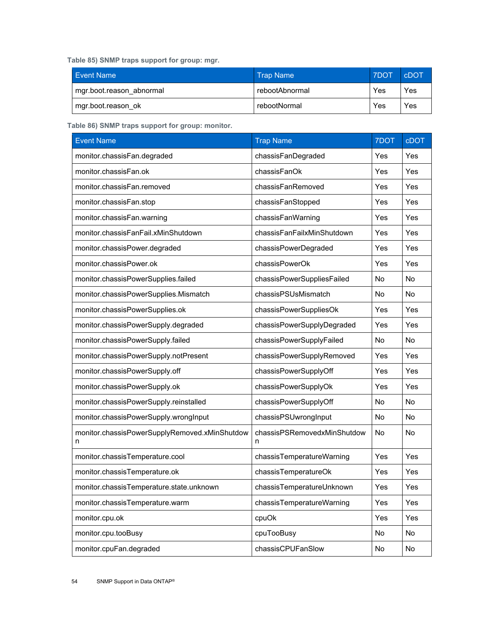<span id="page-53-0"></span>**Table 85) SNMP traps support for group: mgr.** 

| <b>Event Name</b>        | <b>Trap Name</b> | <b>7DOT</b> | <b>CDOT</b> |
|--------------------------|------------------|-------------|-------------|
| mgr.boot.reason abnormal | rebootAbnormal   | Yes         | Yes         |
| mgr.boot.reason ok       | rebootNormal     | Yes         | Yes         |

<span id="page-53-1"></span>**Table 86) SNMP traps support for group: monitor.**

| <b>Event Name</b>                                  | <b>Trap Name</b>                 | 7DOT | <b>cDOT</b> |
|----------------------------------------------------|----------------------------------|------|-------------|
| monitor.chassisFan.degraded                        | chassisFanDegraded               | Yes  | Yes         |
| monitor.chassisFan.ok                              | chassisFanOk                     | Yes  | Yes         |
| monitor.chassisFan.removed                         | chassisFanRemoved                | Yes  | Yes         |
| monitor.chassisFan.stop                            | chassisFanStopped                | Yes  | Yes         |
| monitor.chassisFan.warning                         | chassisFanWarning                | Yes  | Yes         |
| monitor.chassisFanFail.xMinShutdown                | chassisFanFailxMinShutdown       | Yes  | Yes         |
| monitor.chassisPower.degraded                      | chassisPowerDegraded             | Yes  | Yes         |
| monitor.chassisPower.ok                            | chassisPowerOk                   | Yes  | Yes         |
| monitor.chassisPowerSupplies.failed                | chassisPowerSuppliesFailed       | No   | <b>No</b>   |
| monitor.chassisPowerSupplies.Mismatch              | chassisPSUsMismatch              | No   | No          |
| monitor.chassisPowerSupplies.ok                    | chassisPowerSuppliesOk           | Yes  | Yes         |
| monitor.chassisPowerSupply.degraded                | chassisPowerSupplyDegraded       | Yes  | Yes         |
| monitor.chassisPowerSupply.failed                  | chassisPowerSupplyFailed         | No   | No          |
| monitor.chassisPowerSupply.notPresent              | chassisPowerSupplyRemoved        | Yes  | Yes         |
| monitor.chassisPowerSupply.off                     | chassisPowerSupplyOff            | Yes  | Yes         |
| monitor.chassisPowerSupply.ok                      | chassisPowerSupplyOk             | Yes  | Yes         |
| monitor.chassisPowerSupply.reinstalled             | chassisPowerSupplyOff            | No   | No          |
| monitor.chassisPowerSupply.wrongInput              | chassisPSUwrongInput             | No   | No          |
| monitor.chassisPowerSupplyRemoved.xMinShutdow<br>n | chassisPSRemovedxMinShutdow<br>n | No   | No          |
| monitor.chassisTemperature.cool                    | chassisTemperatureWarning        | Yes  | Yes         |
| monitor.chassisTemperature.ok                      | chassisTemperatureOk             | Yes  | Yes         |
| monitor.chassisTemperature.state.unknown           | chassisTemperatureUnknown        | Yes  | Yes         |
| monitor.chassisTemperature.warm                    | chassisTemperatureWarning        | Yes  | Yes         |
| monitor.cpu.ok                                     | cpuOk                            | Yes  | Yes         |
| monitor.cpu.tooBusy                                | cpuTooBusy                       | No   | No          |
| monitor.cpuFan.degraded                            | chassisCPUFanSlow                | No   | No          |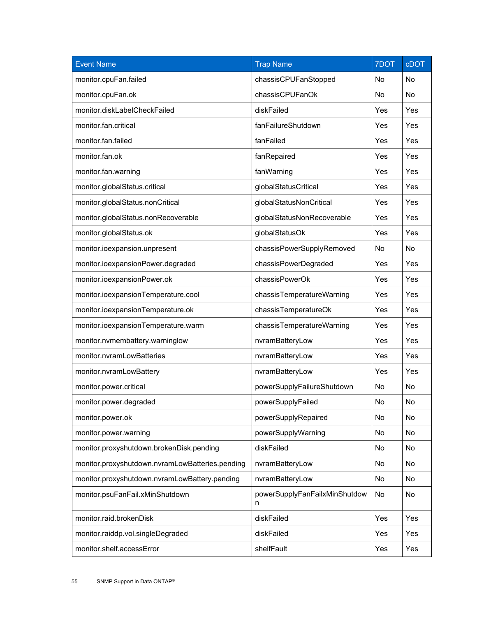| <b>Event Name</b>                               | <b>Trap Name</b>                   | 7DOT      | <b>cDOT</b> |
|-------------------------------------------------|------------------------------------|-----------|-------------|
| monitor.cpuFan.failed                           | chassisCPUFanStopped               | No        | No          |
| monitor.cpuFan.ok                               | chassisCPUFanOk                    | <b>No</b> | No          |
| monitor.diskLabelCheckFailed                    | diskFailed                         | Yes       | Yes         |
| monitor.fan.critical                            | fanFailureShutdown                 | Yes       | Yes         |
| monitor.fan.failed                              | fanFailed                          | Yes       | Yes         |
| monitor.fan.ok                                  | fanRepaired                        | Yes       | Yes         |
| monitor.fan.warning                             | fanWarning                         | Yes       | Yes         |
| monitor.globalStatus.critical                   | globalStatusCritical               | Yes       | Yes         |
| monitor.globalStatus.nonCritical                | globalStatusNonCritical            | Yes       | Yes         |
| monitor.globalStatus.nonRecoverable             | globalStatusNonRecoverable         | Yes       | Yes         |
| monitor.globalStatus.ok                         | globalStatusOk                     | Yes       | Yes         |
| monitor.ioexpansion.unpresent                   | chassisPowerSupplyRemoved          | No        | No          |
| monitor.ioexpansionPower.degraded               | chassisPowerDegraded               | Yes       | Yes         |
| monitor.ioexpansionPower.ok                     | chassisPowerOk                     | Yes       | Yes         |
| monitor.ioexpansionTemperature.cool             | chassisTemperatureWarning          | Yes       | Yes         |
| monitor.ioexpansionTemperature.ok               | chassisTemperatureOk               | Yes       | Yes         |
| monitor.ioexpansionTemperature.warm             | chassisTemperatureWarning          | Yes       | Yes         |
| monitor.nvmembattery.warninglow                 | nvramBatteryLow                    | Yes       | Yes         |
| monitor.nvramLowBatteries                       | nvramBatteryLow                    | Yes       | Yes         |
| monitor.nvramLowBattery                         | nvramBatteryLow                    | Yes       | Yes         |
| monitor.power.critical                          | powerSupplyFailureShutdown         | No        | No          |
| monitor.power.degraded                          | powerSupplyFailed                  | No        | No          |
| monitor.power.ok                                | powerSupplyRepaired                | No        | No          |
| monitor.power.warning                           | powerSupplyWarning                 | No        | No          |
| monitor.proxyshutdown.brokenDisk.pending        | diskFailed                         | No        | No          |
| monitor.proxyshutdown.nvramLowBatteries.pending | nvramBatteryLow                    | No        | <b>No</b>   |
| monitor.proxyshutdown.nvramLowBattery.pending   | nvramBatteryLow                    | No        | No          |
| monitor.psuFanFail.xMinShutdown                 | powerSupplyFanFailxMinShutdow<br>n | No        | No          |
| monitor.raid.brokenDisk                         | diskFailed                         | Yes       | Yes         |
| monitor.raiddp.vol.singleDegraded               | diskFailed                         | Yes       | Yes         |
| monitor.shelf.accessError                       | shelfFault                         | Yes       | Yes         |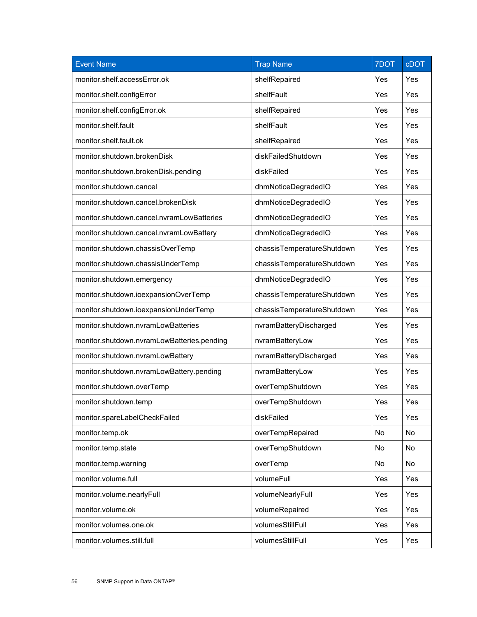| <b>Event Name</b>                          | <b>Trap Name</b>           | 7DOT | cDOT |
|--------------------------------------------|----------------------------|------|------|
| monitor.shelf.accessError.ok               | shelfRepaired              | Yes  | Yes  |
| monitor.shelf.configError                  | shelfFault                 | Yes  | Yes  |
| monitor.shelf.configError.ok               | shelfRepaired              | Yes  | Yes  |
| monitor.shelf.fault                        | shelfFault                 | Yes  | Yes  |
| monitor.shelf.fault.ok                     | shelfRepaired              | Yes  | Yes  |
| monitor.shutdown.brokenDisk                | diskFailedShutdown         | Yes  | Yes  |
| monitor.shutdown.brokenDisk.pending        | diskFailed                 | Yes  | Yes  |
| monitor.shutdown.cancel                    | dhmNoticeDegradedIO        | Yes  | Yes  |
| monitor.shutdown.cancel.brokenDisk         | dhmNoticeDegradedIO        | Yes  | Yes  |
| monitor.shutdown.cancel.nvramLowBatteries  | dhmNoticeDegradedIO        | Yes  | Yes  |
| monitor.shutdown.cancel.nvramLowBattery    | dhmNoticeDegradedIO        | Yes  | Yes  |
| monitor.shutdown.chassisOverTemp           | chassisTemperatureShutdown | Yes  | Yes  |
| monitor.shutdown.chassisUnderTemp          | chassisTemperatureShutdown | Yes  | Yes  |
| monitor.shutdown.emergency                 | dhmNoticeDegradedIO        | Yes  | Yes  |
| monitor.shutdown.ioexpansionOverTemp       | chassisTemperatureShutdown | Yes  | Yes  |
| monitor.shutdown.ioexpansionUnderTemp      | chassisTemperatureShutdown | Yes  | Yes  |
| monitor.shutdown.nvramLowBatteries         | nvramBatteryDischarged     | Yes  | Yes  |
| monitor.shutdown.nvramLowBatteries.pending | nvramBatteryLow            | Yes  | Yes  |
| monitor.shutdown.nvramLowBattery           | nvramBatteryDischarged     | Yes  | Yes  |
| monitor.shutdown.nvramLowBattery.pending   | nvramBatteryLow            | Yes  | Yes  |
| monitor.shutdown.overTemp                  | overTempShutdown           | Yes  | Yes  |
| monitor.shutdown.temp                      | overTempShutdown           | Yes  | Yes  |
| monitor.spareLabelCheckFailed              | diskFailed                 | Yes  | Yes  |
| monitor.temp.ok                            | overTempRepaired           | No   | No   |
| monitor.temp.state                         | overTempShutdown           | No   | No   |
| monitor.temp.warning                       | overTemp                   | No   | No   |
| monitor.volume.full                        | volumeFull                 | Yes  | Yes  |
| monitor.volume.nearlyFull                  | volumeNearlyFull           | Yes  | Yes  |
| monitor.volume.ok                          | volumeRepaired             | Yes  | Yes  |
| monitor.volumes.one.ok                     | volumesStillFull           | Yes  | Yes  |
| monitor.volumes.still.full                 | volumesStillFull           | Yes  | Yes  |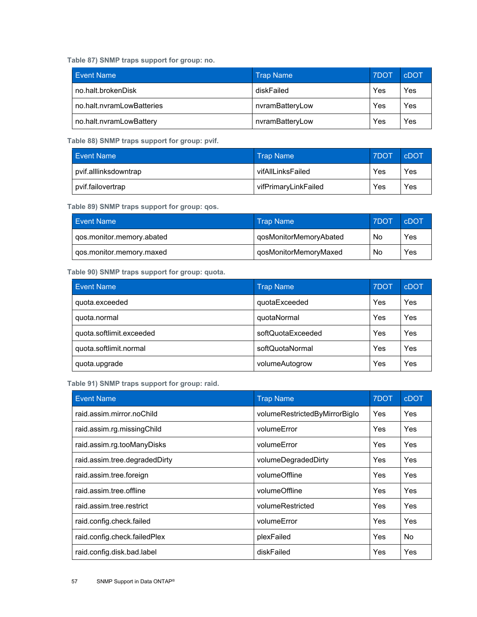<span id="page-56-0"></span>**Table 87) SNMP traps support for group: no.**

| Event Name                | <b>Trap Name</b> | <b>7DOT</b> | cDOT |
|---------------------------|------------------|-------------|------|
| no.halt.brokenDisk        | diskFailed       | Yes         | Yes  |
| no.halt.nvramLowBatteries | nvramBatteryLow  | Yes         | Yes  |
| no.halt.nvramLowBattery   | nvramBatteryLow  | Yes         | Yes  |

<span id="page-56-1"></span>**Table 88) SNMP traps support for group: pvif.**

| Event Name            | <b>Trap Name</b>     | <b>7DOT</b> | cDOT |
|-----------------------|----------------------|-------------|------|
| pvif.alllinksdowntrap | vifAllLinksFailed    | Yes         | Yes  |
| pvif.failovertrap     | vifPrimaryLinkFailed | Yes         | Yes  |

<span id="page-56-2"></span>**Table 89) SNMP traps support for group: qos.** 

| <b>Event Name</b>         | <b>Trap Name</b>       | <b>7DOT</b> | cDOT |
|---------------------------|------------------------|-------------|------|
| qos.monitor.memory.abated | qosMonitorMemoryAbated | No          | Yes  |
| qos.monitor.memory.maxed  | qosMonitorMemoryMaxed  | No          | Yes  |

<span id="page-56-3"></span>**Table 90) SNMP traps support for group: quota.**

| <b>Event Name</b>        | <b>Trap Name</b>  | 7DOT | cDOT |
|--------------------------|-------------------|------|------|
| quota.exceeded           | quotaExceeded     | Yes  | Yes  |
| quota.normal             | quotaNormal       | Yes  | Yes  |
| quota.softlimit.exceeded | softQuotaExceeded | Yes  | Yes  |
| quota.softlimit.normal   | softQuotaNormal   | Yes  | Yes  |
| quota.upgrade            | volumeAutogrow    | Yes  | Yes  |

<span id="page-56-4"></span>**Table 91) SNMP traps support for group: raid.** 

| <b>Event Name</b>             | <b>Trap Name</b>              | 7DOT | <b>cDOT</b> |
|-------------------------------|-------------------------------|------|-------------|
| raid.assim.mirror.noChild     | volumeRestrictedByMirrorBiglo | Yes  | Yes         |
| raid.assim.rg.missingChild    | volumeError                   | Yes  | Yes         |
| raid.assim.rg.tooManyDisks    | volumeError                   | Yes  | Yes         |
| raid.assim.tree.degradedDirty | volumeDegradedDirty           | Yes  | Yes         |
| raid.assim.tree.foreign       | volumeOffline                 | Yes  | Yes         |
| raid.assim.tree.offline       | volumeOffline                 | Yes  | Yes         |
| raid.assim.tree.restrict      | volumeRestricted              | Yes  | Yes         |
| raid.config.check.failed      | volumeError                   | Yes  | Yes         |
| raid.config.check.failedPlex  | plexFailed                    | Yes  | <b>No</b>   |
| raid.config.disk.bad.label    | diskFailed                    | Yes  | Yes         |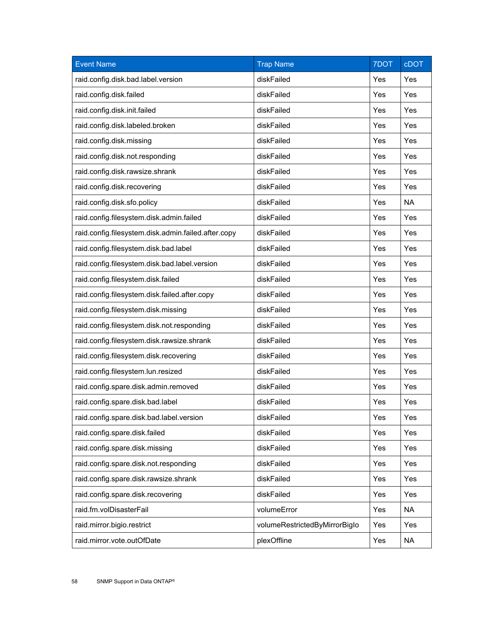| <b>Event Name</b>                                   | <b>Trap Name</b>              | 7DOT | <b>cDOT</b> |
|-----------------------------------------------------|-------------------------------|------|-------------|
| raid.config.disk.bad.label.version                  | diskFailed                    | Yes  | Yes         |
| raid.config.disk.failed                             | diskFailed                    | Yes  | Yes         |
| raid.config.disk.init.failed                        | diskFailed                    | Yes  | Yes         |
| raid.config.disk.labeled.broken                     | diskFailed                    | Yes  | Yes         |
| raid.config.disk.missing                            | diskFailed                    | Yes  | Yes         |
| raid.config.disk.not.responding                     | diskFailed                    | Yes  | Yes         |
| raid.config.disk.rawsize.shrank                     | diskFailed                    | Yes  | Yes         |
| raid.config.disk.recovering                         | diskFailed                    | Yes  | Yes         |
| raid.config.disk.sfo.policy                         | diskFailed                    | Yes  | <b>NA</b>   |
| raid.config.filesystem.disk.admin.failed            | diskFailed                    | Yes  | Yes         |
| raid.config.filesystem.disk.admin.failed.after.copy | diskFailed                    | Yes  | Yes         |
| raid.config.filesystem.disk.bad.label               | diskFailed                    | Yes  | Yes         |
| raid.config.filesystem.disk.bad.label.version       | diskFailed                    | Yes  | Yes         |
| raid.config.filesystem.disk.failed                  | diskFailed                    | Yes  | Yes         |
| raid.config.filesystem.disk.failed.after.copy       | diskFailed                    | Yes  | Yes         |
| raid.config.filesystem.disk.missing                 | diskFailed                    | Yes  | Yes         |
| raid.config.filesystem.disk.not.responding          | diskFailed                    | Yes  | Yes         |
| raid.config.filesystem.disk.rawsize.shrank          | diskFailed                    | Yes  | Yes         |
| raid.config.filesystem.disk.recovering              | diskFailed                    | Yes  | Yes         |
| raid.config.filesystem.lun.resized                  | diskFailed                    | Yes  | Yes         |
| raid.config.spare.disk.admin.removed                | diskFailed                    | Yes  | Yes         |
| raid.config.spare.disk.bad.label                    | diskFailed                    | Yes  | Yes         |
| raid.config.spare.disk.bad.label.version            | diskFailed                    | Yes  | Yes         |
| raid.config.spare.disk.failed                       | diskFailed                    | Yes  | Yes         |
| raid.config.spare.disk.missing                      | diskFailed                    | Yes  | Yes         |
| raid.config.spare.disk.not.responding               | diskFailed                    | Yes  | Yes         |
| raid.config.spare.disk.rawsize.shrank               | diskFailed                    | Yes  | Yes         |
| raid.config.spare.disk.recovering                   | diskFailed                    | Yes  | Yes         |
| raid.fm.volDisasterFail                             | volumeError                   | Yes  | <b>NA</b>   |
| raid.mirror.bigio.restrict                          | volumeRestrictedByMirrorBiglo | Yes  | Yes         |
| raid.mirror.vote.outOfDate                          | plexOffline                   | Yes  | <b>NA</b>   |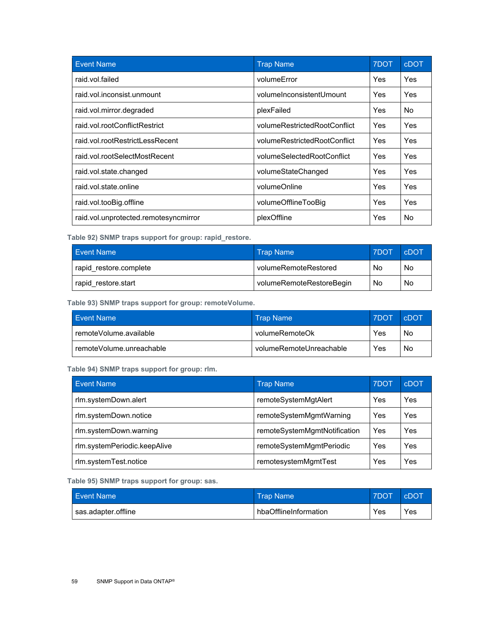| <b>Event Name</b>                     | <b>Trap Name</b>             | 7DOT | <b>cDOT</b> |
|---------------------------------------|------------------------------|------|-------------|
| raid.vol.failed                       | volumeError                  | Yes  | Yes         |
| raid.vol.inconsist.unmount            | volumeInconsistentUmount     | Yes  | Yes         |
| raid.vol.mirror.degraded              | plexFailed                   | Yes  | No.         |
| raid.vol.rootConflictRestrict         | volumeRestrictedRootConflict | Yes  | Yes         |
| raid.vol.rootRestrictLessRecent       | volumeRestrictedRootConflict | Yes  | Yes         |
| raid.vol.rootSelectMostRecent         | volumeSelectedRootConflict   | Yes  | Yes         |
| raid.vol.state.changed                | volumeStateChanged           | Yes  | Yes         |
| raid.vol.state.online                 | volumeOnline                 | Yes  | Yes         |
| raid.vol.tooBig.offline               | volumeOfflineTooBig          | Yes  | Yes         |
| raid.vol.unprotected.remotesyncmirror | plexOffline                  | Yes  | No.         |

<span id="page-58-0"></span>**Table 92) SNMP traps support for group: rapid\_restore.** 

| <b>Event Name</b>      | <b>Trap Name</b>         | <b>7DOT</b> | cDOT |
|------------------------|--------------------------|-------------|------|
| rapid restore.complete | volumeRemoteRestored     | No          | No   |
| rapid restore.start    | volumeRemoteRestoreBegin | No          | No   |

<span id="page-58-1"></span>**Table 93) SNMP traps support for group: remoteVolume.**

| Event Name               | <b>Trap Name</b>        | 7DOT | <b>CDOT</b> |
|--------------------------|-------------------------|------|-------------|
| remoteVolume.available   | volumeRemoteOk          | Yes  | No          |
| remoteVolume.unreachable | volumeRemoteUnreachable | Yes  | No          |

<span id="page-58-2"></span>**Table 94) SNMP traps support for group: rlm.** 

| <b>Event Name</b>            | <b>Trap Name</b>             | 7DOT | cDOT |
|------------------------------|------------------------------|------|------|
| rlm.systemDown.alert         | remoteSystemMgtAlert         | Yes  | Yes  |
| rlm.systemDown.notice        | remoteSystemMgmtWarning      | Yes  | Yes  |
| rlm.systemDown.warning       | remoteSystemMgmtNotification | Yes  | Yes  |
| rlm.systemPeriodic.keepAlive | remoteSystemMgmtPeriodic     | Yes  | Yes  |
| rlm.systemTest.notice        | remotesystemMgmtTest         | Yes  | Yes  |

<span id="page-58-3"></span>**Table 95) SNMP traps support for group: sas.**

| Event Name <sup>1</sup> | <b>Trap Name</b>      | 7DOT | <b>CDOT</b> |
|-------------------------|-----------------------|------|-------------|
| sas.adapter.offline     | hbaOfflineInformation | Yes  | Yes         |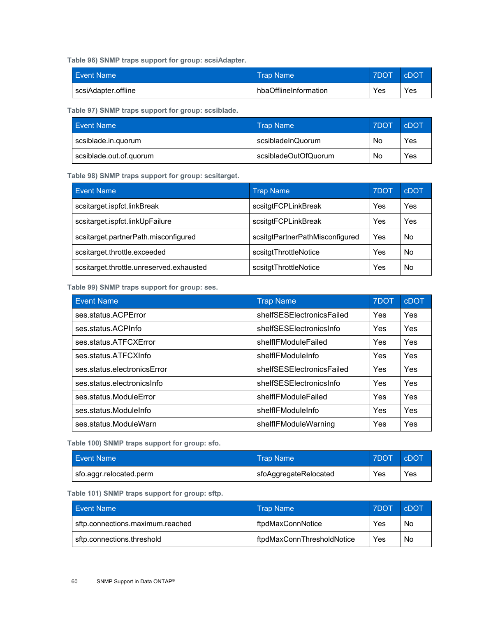<span id="page-59-0"></span>**Table 96) SNMP traps support for group: scsiAdapter.**

| Event Name          | Name Name \           | <b>7DOT</b> | <b>cDOT</b> |
|---------------------|-----------------------|-------------|-------------|
| scsiAdapter.offline | hbaOfflineInformation | Yes         | Yes         |

<span id="page-59-1"></span>**Table 97) SNMP traps support for group: scsiblade.** 

| <b>Event Name</b>       | <b>Trap Name</b>     | <b>7DOT</b> | cDOT |
|-------------------------|----------------------|-------------|------|
| scsiblade.in.quorum     | scsibladeInQuorum    | No          | Yes  |
| scsiblade.out.of.quorum | scsibladeOutOfQuorum | No          | Yes  |

<span id="page-59-2"></span>**Table 98) SNMP traps support for group: scsitarget.** 

| <b>Event Name</b>                        | <b>Trap Name</b>                | 7DOT | cDOT |
|------------------------------------------|---------------------------------|------|------|
| scsitarget.ispfct.linkBreak              | scsitgtFCPLinkBreak             | Yes  | Yes  |
| scsitarget.ispfct.linkUpFailure          | scsitgtFCPLinkBreak             | Yes  | Yes  |
| scsitarget.partnerPath.misconfigured     | scsitgtPartnerPathMisconfigured | Yes  | No   |
| scsitarget.throttle.exceeded             | scsitgtThrottleNotice           | Yes  | No   |
| scsitarget.throttle.unreserved.exhausted | scsitgtThrottleNotice           | Yes  | No   |

<span id="page-59-3"></span>**Table 99) SNMP traps support for group: ses.** 

| <b>Event Name</b>           | <b>Trap Name</b>          | 7DOT | <b>cDOT</b> |
|-----------------------------|---------------------------|------|-------------|
| ses.status.ACPError         | shelfSESElectronicsFailed | Yes  | Yes         |
| ses.status.ACPInfo          | shelfSESElectronicsInfo   | Yes  | <b>Yes</b>  |
| ses.status.ATFCXError       | shelfIFModuleFailed       | Yes  | Yes         |
| ses.status.ATFCXInfo        | shelflFModuleInfo         | Yes  | Yes         |
| ses.status.electronicsError | shelfSESElectronicsFailed | Yes  | Yes         |
| ses.status.electronicsInfo  | shelfSESElectronicsInfo   | Yes  | <b>Yes</b>  |
| ses.status.ModuleError      | shelfIFModuleFailed       | Yes  | Yes         |
| ses.status.ModuleInfo       | shelflFModuleInfo         | Yes  | Yes         |
| ses.status.ModuleWarn       | shelfIFModuleWarning      | Yes  | Yes         |

<span id="page-59-4"></span>**Table 100) SNMP traps support for group: sfo.** 

| <b>Event Name</b>       | <b>Trap Name</b>      | 7DOT | CDOT |
|-------------------------|-----------------------|------|------|
| sfo.aggr.relocated.perm | sfoAggregateRelocated | Yes  | Yes  |

<span id="page-59-5"></span>**Table 101) SNMP traps support for group: sftp.** 

| Event Name                       | <b>Trap Name</b>           | <b>7DOT</b> | <b>CDOT</b> |
|----------------------------------|----------------------------|-------------|-------------|
| sftp.connections.maximum.reached | ftpdMaxConnNotice          | Yes         | No          |
| sftp.connections.threshold       | ftpdMaxConnThresholdNotice | Yes         | No          |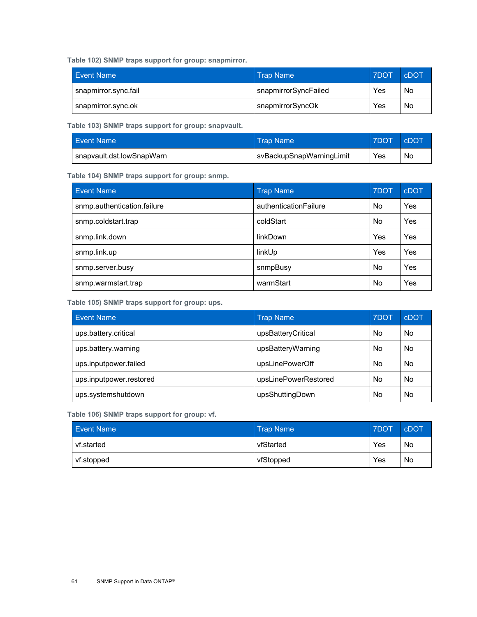<span id="page-60-0"></span>**Table 102) SNMP traps support for group: snapmirror.** 

| <b>Event Name</b>    | <b>Trap Name</b>     | 7DOT | <b>CDOT</b> |
|----------------------|----------------------|------|-------------|
| snapmirror.sync.fail | snapmirrorSyncFailed | Yes  | No          |
| snapmirror.sync.ok   | snapmirrorSyncOk     | Yes  | No          |

<span id="page-60-1"></span>**Table 103) SNMP traps support for group: snapvault.** 

| <b>Event Name</b>         | ⊦Trap Name               | <b>7DOT</b> | <b>cDOT</b> |
|---------------------------|--------------------------|-------------|-------------|
| snapvault.dst.lowSnapWarn | svBackupSnapWarningLimit | Yes         | No          |

<span id="page-60-2"></span>**Table 104) SNMP traps support for group: snmp.** 

| <b>Event Name</b>           | <b>Trap Name</b>      | 7DOT      | cDOT |
|-----------------------------|-----------------------|-----------|------|
| snmp.authentication.failure | authenticationFailure | <b>No</b> | Yes  |
| snmp.coldstart.trap         | coldStart             | No.       | Yes  |
| snmp.link.down              | <b>linkDown</b>       | Yes       | Yes  |
| snmp.link.up                | linkUp                | Yes       | Yes  |
| snmp.server.busy            | snmpBusy              | <b>No</b> | Yes  |
| snmp.warmstart.trap         | warmStart             | <b>No</b> | Yes  |

<span id="page-60-3"></span>**Table 105) SNMP traps support for group: ups.** 

| <b>Event Name</b>       | Trap Name            | 7DOT | cDOT |
|-------------------------|----------------------|------|------|
| ups.battery.critical    | upsBatteryCritical   | No   | No   |
| ups.battery.warning     | upsBatteryWarning    | No   | No   |
| ups.inputpower.failed   | upsLinePowerOff      | No   | No   |
| ups.inputpower.restored | upsLinePowerRestored | No   | No   |
| ups.systemshutdown      | upsShuttingDown      | No   | No   |

<span id="page-60-4"></span>**Table 106) SNMP traps support for group: vf.**

| <b>Event Name</b> | <b>Trap Name</b> | 7DOT | <b>cDOT</b> |
|-------------------|------------------|------|-------------|
| vf.started        | vfStarted        | Yes  | No          |
| vf.stopped        | vfStopped        | Yes  | No          |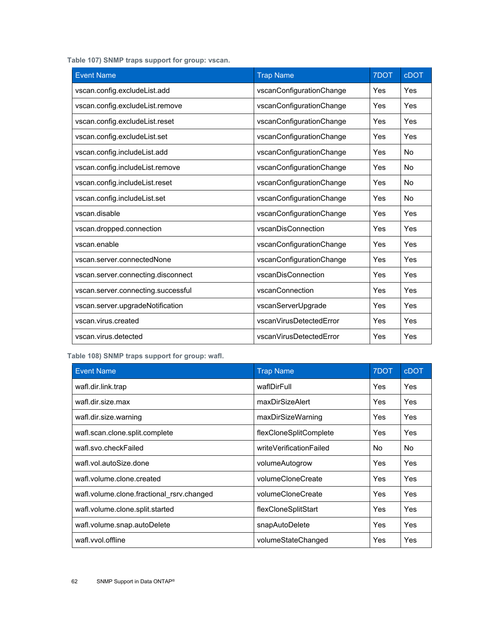<span id="page-61-0"></span>**Table 107) SNMP traps support for group: vscan.**

| <b>Event Name</b>                  | <b>Trap Name</b>         | 7DOT | <b>cDOT</b> |
|------------------------------------|--------------------------|------|-------------|
| vscan.config.excludeList.add       | vscanConfigurationChange | Yes  | Yes         |
| vscan.config.excludeList.remove    | vscanConfigurationChange | Yes  | Yes         |
| vscan.config.excludeList.reset     | vscanConfigurationChange | Yes  | Yes         |
| vscan.config.excludeList.set       | vscanConfigurationChange | Yes  | Yes         |
| vscan.config.includeList.add       | vscanConfigurationChange | Yes  | No          |
| vscan.config.includeList.remove    | vscanConfigurationChange | Yes  | No          |
| vscan.config.includeList.reset     | vscanConfigurationChange | Yes  | No          |
| vscan.config.includeList.set       | vscanConfigurationChange | Yes  | No          |
| vscan.disable                      | vscanConfigurationChange | Yes  | Yes         |
| vscan.dropped.connection           | vscanDisConnection       | Yes  | Yes         |
| vscan.enable                       | vscanConfigurationChange | Yes  | Yes         |
| vscan.server.connectedNone         | vscanConfigurationChange | Yes  | Yes         |
| vscan.server.connecting.disconnect | vscanDisConnection       | Yes  | Yes         |
| vscan.server.connecting.successful | vscanConnection          | Yes  | Yes         |
| vscan.server.upgradeNotification   | vscanServerUpgrade       | Yes  | Yes         |
| vscan.virus.created                | vscanVirusDetectedError  | Yes  | Yes         |
| vscan.virus.detected               | vscanVirusDetectedError  | Yes  | Yes         |

<span id="page-61-1"></span>**Table 108) SNMP traps support for group: wafl.**

| <b>Event Name</b>                         | <b>Trap Name</b>        | 7DOT | <b>cDOT</b> |
|-------------------------------------------|-------------------------|------|-------------|
| wafl.dir.link.trap                        | waflDirFull             | Yes  | <b>Yes</b>  |
| wafl.dir.size.max                         | maxDirSizeAlert         | Yes  | Yes         |
| wafl.dir.size.warning                     | maxDirSizeWarning       | Yes  | Yes         |
| wafl.scan.clone.split.complete            | flexCloneSplitComplete  | Yes  | <b>Yes</b>  |
| wafl.svo.checkFailed                      | writeVerificationFailed | No.  | No.         |
| wafl.vol.autoSize.done                    | volumeAutogrow          | Yes  | Yes         |
| wafl.volume.clone.created                 | volumeCloneCreate       | Yes  | <b>Yes</b>  |
| wafl.volume.clone.fractional rsrv.changed | volumeCloneCreate       | Yes  | <b>Yes</b>  |
| wafl.volume.clone.split.started           | flexCloneSplitStart     | Yes  | Yes         |
| wafl.volume.snap.autoDelete               | snapAutoDelete          | Yes  | <b>Yes</b>  |
| wafl.vvol.offline                         | volumeStateChanged      | Yes  | Yes         |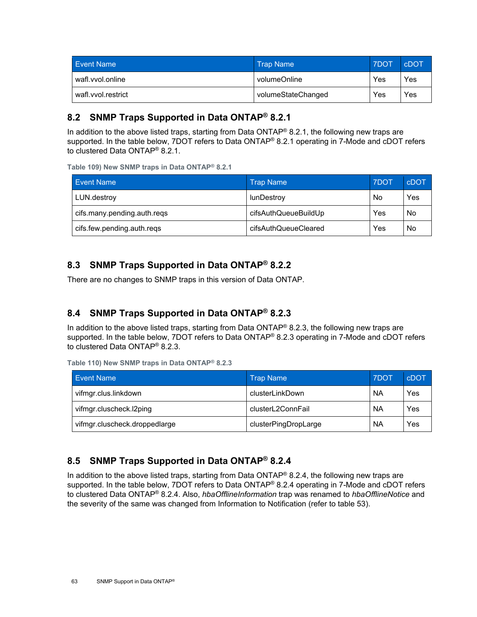| <b>Event Name</b>  | <b>Trap Name</b>   | 7DOT | <b>CDOT</b> |
|--------------------|--------------------|------|-------------|
| wafl.vvol.online   | volumeOnline       | Yes  | Yes         |
| wafl.vvol.restrict | volumeStateChanged | Yes  | Yes         |

### <span id="page-62-0"></span>**8.2 SNMP Traps Supported in Data ONTAP® 8.2.1**

In addition to the above listed traps, starting from Data ONTAP® 8.2.1, the following new traps are supported. In the table below, 7DOT refers to Data ONTAP® 8.2.1 operating in 7-Mode and cDOT refers to clustered Data ONTAP® 8.2.1.

<span id="page-62-4"></span>**Table 109) New SNMP traps in Data ONTAP® 8.2.1**

| <b>Event Name</b><br><b>Trap Name</b> |                      | 7DOT | cDOT |
|---------------------------------------|----------------------|------|------|
| LUN.destroy                           | lunDestroy           | No   | Yes  |
| cifs.many.pending.auth.reqs           | cifsAuthQueueBuildUp | Yes  | No   |
| cifs.few.pending.auth.reqs            | cifsAuthQueueCleared | Yes  | No   |

### <span id="page-62-1"></span>**8.3 SNMP Traps Supported in Data ONTAP® 8.2.2**

There are no changes to SNMP traps in this version of Data ONTAP.

### <span id="page-62-2"></span>**8.4 SNMP Traps Supported in Data ONTAP® 8.2.3**

In addition to the above listed traps, starting from Data ONTAP<sup>®</sup> 8.2.3, the following new traps are supported. In the table below, 7DOT refers to Data ONTAP® 8.2.3 operating in 7-Mode and cDOT refers to clustered Data ONTAP® 8.2.3.

<span id="page-62-5"></span>

|  |  |  | Table 110) New SNMP traps in Data ONTAP® 8.2.3 |  |
|--|--|--|------------------------------------------------|--|
|  |  |  |                                                |  |

| <b>Event Name</b>             | <b>Trap Name</b>     | 7DOT      | cDOT |
|-------------------------------|----------------------|-----------|------|
| vifmgr.clus.linkdown          | clusterLinkDown      | NА        | Yes  |
| vifmgr.cluscheck.l2ping       | clusterL2ConnFail    | <b>NA</b> | Yes  |
| vifmgr.cluscheck.droppedlarge | clusterPingDropLarge | <b>NA</b> | Yes  |

### <span id="page-62-3"></span>**8.5 SNMP Traps Supported in Data ONTAP® 8.2.4**

In addition to the above listed traps, starting from Data ONTAP® 8.2.4, the following new traps are supported. In the table below, 7DOT refers to Data ONTAP® 8.2.4 operating in 7-Mode and cDOT refers to clustered Data ONTAP® 8.2.4. Also, *hbaOfflineInformation* trap was renamed to *hbaOfflineNotice* and the severity of the same was changed from Information to Notification (refer to table 53).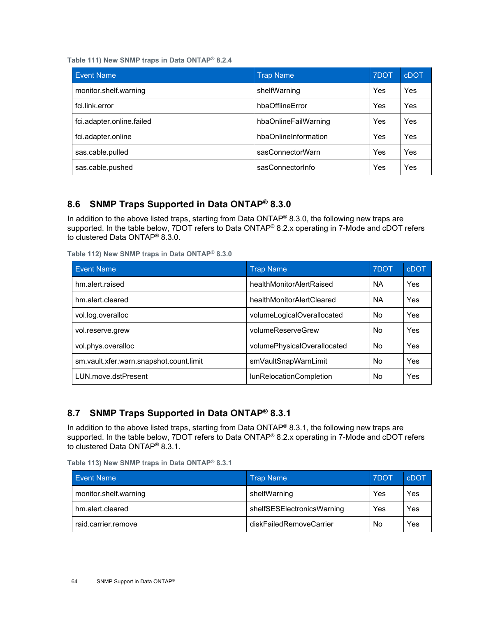<span id="page-63-2"></span>**Table 111) New SNMP traps in Data ONTAP® 8.2.4**

| <b>Event Name</b>         | <b>Trap Name</b>     | 7DOT | <b>cDOT</b> |
|---------------------------|----------------------|------|-------------|
| monitor.shelf.warning     | shelfWarning         | Yes  | Yes         |
| fci.link.error            | hbaOfflineError      | Yes  | Yes         |
| fci.adapter.online.failed | hbaOnlineFailWarning | Yes  | Yes         |
| fci.adapter.online        | hbaOnlineInformation | Yes  | Yes         |
| sas.cable.pulled          | sasConnectorWarn     | Yes  | Yes         |
| sas.cable.pushed          | sasConnectorInfo     | Yes  | Yes         |

### <span id="page-63-0"></span>**8.6 SNMP Traps Supported in Data ONTAP® 8.3.0**

In addition to the above listed traps, starting from Data ONTAP® 8.3.0, the following new traps are supported. In the table below, 7DOT refers to Data ONTAP<sup>®</sup> 8.2.x operating in 7-Mode and cDOT refers to clustered Data ONTAP® 8.3.0.

<span id="page-63-3"></span>**Table 112) New SNMP traps in Data ONTAP® 8.3.0**

| <b>Event Name</b>                       | <b>Trap Name</b>            | 7DOT      | cDOT |
|-----------------------------------------|-----------------------------|-----------|------|
| hm.alert.raised                         | healthMonitorAlertRaised    | <b>NA</b> | Yes  |
| hm.alert.cleared                        | healthMonitorAlertCleared   | <b>NA</b> | Yes  |
| vol.log.overalloc                       | volumeLogicalOverallocated  | No.       | Yes  |
| vol.reserve.grew                        | volumeReserveGrew           | No.       | Yes  |
| vol.phys.overalloc                      | volumePhysicalOverallocated | <b>No</b> | Yes  |
| sm.vault.xfer.warn.snapshot.count.limit | smVaultSnapWarnLimit        | No.       | Yes  |
| LUN.move.dstPresent                     | lunRelocationCompletion     | No.       | Yes  |

### <span id="page-63-1"></span>**8.7 SNMP Traps Supported in Data ONTAP® 8.3.1**

In addition to the above listed traps, starting from Data ONTAP® 8.3.1, the following new traps are supported. In the table below, 7DOT refers to Data ONTAP® 8.2.x operating in 7-Mode and cDOT refers to clustered Data ONTAP® 8.3.1.

| <b>Event Name</b>     | <b>Trap Name</b>           | 7DOT | <b>cDOT</b> |
|-----------------------|----------------------------|------|-------------|
| monitor.shelf.warning | shelfWarning               | Yes  | Yes         |
| hm.alert.cleared      | shelfSESElectronicsWarning | Yes  | Yes         |
| raid.carrier.remove   | diskFailedRemoveCarrier    | No   | Yes         |

<span id="page-63-4"></span>**Table 113) New SNMP traps in Data ONTAP® 8.3.1**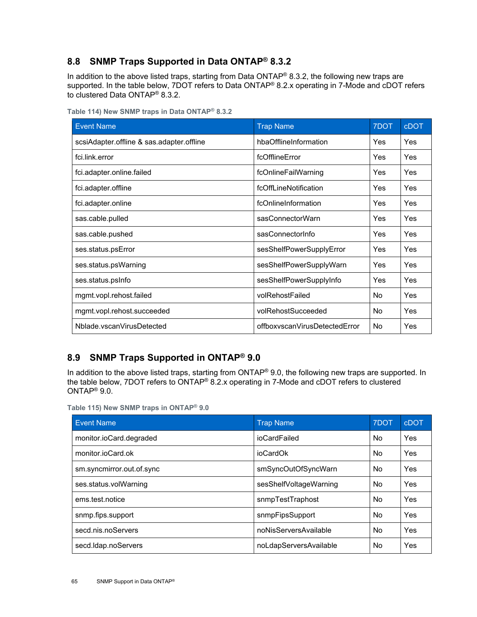### <span id="page-64-0"></span>**8.8 SNMP Traps Supported in Data ONTAP® 8.3.2**

In addition to the above listed traps, starting from Data ONTAP® 8.3.2, the following new traps are supported. In the table below, 7DOT refers to Data ONTAP® 8.2.x operating in 7-Mode and cDOT refers to clustered Data ONTAP® 8.3.2.

| <b>Event Name</b>                         | <b>Trap Name</b>              | 7DOT       | <b>cDOT</b> |
|-------------------------------------------|-------------------------------|------------|-------------|
| scsiAdapter.offline & sas.adapter.offline | hbaOfflineInformation         | <b>Yes</b> | Yes         |
| fci.link.error                            | fcOfflineError                | Yes        | Yes         |
| fci.adapter.online.failed                 | fcOnlineFailWarning           | Yes        | Yes         |
| fci.adapter.offline                       | fcOffLineNotification         | Yes        | Yes         |
| fci.adapter.online                        | fcOnlineInformation           | <b>Yes</b> | <b>Yes</b>  |
| sas.cable.pulled                          | sasConnectorWarn              | Yes        | Yes         |
| sas.cable.pushed                          | sasConnectorInfo              | Yes        | Yes         |
| ses.status.psError                        | sesShelfPowerSupplyError      | <b>Yes</b> | Yes         |
| ses.status.psWarning                      | sesShelfPowerSupplyWarn       | Yes        | Yes         |
| ses.status.psInfo                         | sesShelfPowerSupplyInfo       | <b>Yes</b> | Yes         |
| mgmt.vopl.rehost.failed                   | volRehostFailed               | No         | Yes         |
| mgmt.vopl.rehost.succeeded                | volRehostSucceeded            | No         | Yes         |
| Nblade.vscanVirusDetected                 | offboxyscanVirusDetectedError | No         | Yes         |

<span id="page-64-2"></span>**Table 114) New SNMP traps in Data ONTAP® 8.3.2**

### <span id="page-64-1"></span>**8.9 SNMP Traps Supported in ONTAP® 9.0**

In addition to the above listed traps, starting from ONTAP® 9.0, the following new traps are supported. In the table below, 7DOT refers to ONTAP® 8.2.x operating in 7-Mode and cDOT refers to clustered ONTAP® 9.0.

<span id="page-64-3"></span>

|--|

| <b>Event Name</b>         | <b>Trap Name</b>       | 7DOT      | <b>cDOT</b> |
|---------------------------|------------------------|-----------|-------------|
| monitor.ioCard.degraded   | ioCardFailed           | No        | Yes         |
| monitor.ioCard.ok         | ioCardOk               | No.       | Yes         |
| sm.syncmirror.out.of.sync | smSyncOutOfSyncWarn    | No.       | Yes         |
| ses.status.volWarning     | sesShelfVoltageWarning | No.       | Yes         |
| ems.test.notice           | snmpTestTraphost       | <b>No</b> | Yes         |
| snmp.fips.support         | snmpFipsSupport        | No.       | Yes         |
| secd.nis.noServers        | noNisServersAvailable  | No.       | Yes         |
| secd.Idap.noServers       | noLdapServersAvailable | No        | Yes         |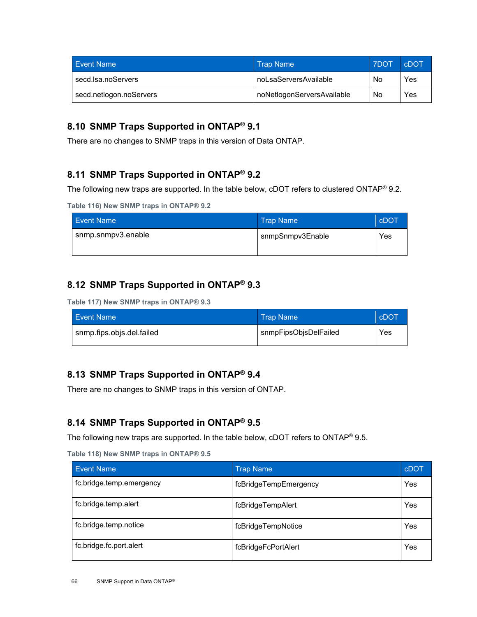| <b>Event Name</b>       | <b>Trap Name</b>           | <b>7DOT</b> | <b>CDOT</b> |
|-------------------------|----------------------------|-------------|-------------|
| secd.lsa.noServers      | noLsaServersAvailable      | No          | Yes         |
| secd.netlogon.noServers | noNetlogonServersAvailable | No          | Yes         |

### <span id="page-65-0"></span>**8.10 SNMP Traps Supported in ONTAP® 9.1**

There are no changes to SNMP traps in this version of Data ONTAP.

#### <span id="page-65-1"></span>**8.11 SNMP Traps Supported in ONTAP® 9.2**

The following new traps are supported. In the table below, cDOT refers to clustered ONTAP<sup>®</sup> 9.2.

```
Table 116) New SNMP traps in ONTAP® 9.2
```

| <b>Event Name</b>  | <b>Trap Name</b> | cDOT |
|--------------------|------------------|------|
| snmp.snmpv3.enable | snmpSnmpv3Enable | Yes  |
|                    |                  |      |

### <span id="page-65-2"></span>**8.12 SNMP Traps Supported in ONTAP® 9.3**

<span id="page-65-6"></span>**Table 117) New SNMP traps in ONTAP® 9.3**

| <b>Event Name</b>         | ⊾Trap Name \          | <b>CDOT</b> |
|---------------------------|-----------------------|-------------|
| snmp.fips.objs.del.failed | snmpFipsObjsDelFailed | Yes         |

### <span id="page-65-3"></span>**8.13 SNMP Traps Supported in ONTAP® 9.4**

There are no changes to SNMP traps in this version of ONTAP.

### <span id="page-65-4"></span>**8.14 SNMP Traps Supported in ONTAP® 9.5**

The following new traps are supported. In the table below, cDOT refers to ONTAP® 9.5.

<span id="page-65-7"></span>**Table 118) New SNMP traps in ONTAP® 9.5** 

| <b>Event Name</b>        | <b>Trap Name</b>      | cDOT |
|--------------------------|-----------------------|------|
| fc.bridge.temp.emergency | fcBridgeTempEmergency | Yes  |
| fc.bridge.temp.alert     | fcBridgeTempAlert     | Yes  |
| fc.bridge.temp.notice    | fcBridgeTempNotice    | Yes  |
| fc.bridge.fc.port.alert  | fcBridgeFcPortAlert   | Yes  |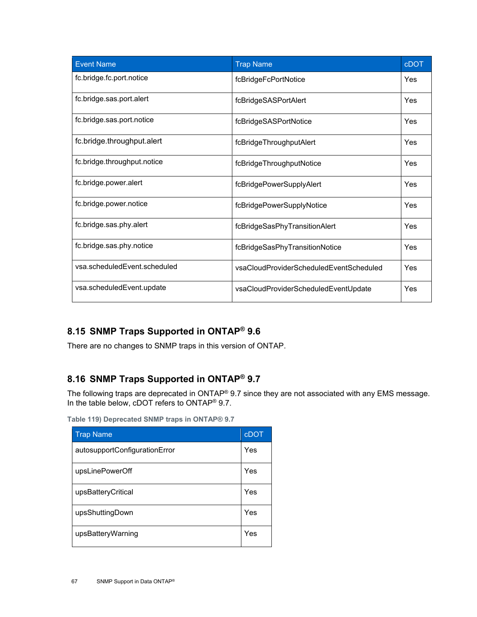| <b>Event Name</b>            | <b>Trap Name</b>                        | <b>cDOT</b> |
|------------------------------|-----------------------------------------|-------------|
| fc.bridge.fc.port.notice     | fcBridgeFcPortNotice                    | Yes         |
| fc.bridge.sas.port.alert     | fcBridgeSASPortAlert                    | Yes         |
| fc.bridge.sas.port.notice    | fcBridgeSASPortNotice                   | Yes         |
| fc.bridge.throughput.alert   | fcBridgeThroughputAlert                 | Yes         |
| fc.bridge.throughput.notice  | fcBridgeThroughputNotice                | Yes         |
| fc.bridge.power.alert        | fcBridgePowerSupplyAlert                | Yes         |
| fc.bridge.power.notice       | fcBridgePowerSupplyNotice               | Yes         |
| fc.bridge.sas.phy.alert      | fcBridgeSasPhyTransitionAlert           | Yes         |
| fc.bridge.sas.phy.notice     | fcBridgeSasPhyTransitionNotice          | Yes         |
| vsa.scheduledEvent.scheduled | vsaCloudProviderScheduledEventScheduled | Yes         |
| vsa.scheduledEvent.update    | vsaCloudProviderScheduledEventUpdate    | Yes         |

## <span id="page-66-0"></span>**8.15 SNMP Traps Supported in ONTAP® 9.6**

There are no changes to SNMP traps in this version of ONTAP.

### <span id="page-66-1"></span>**8.16 SNMP Traps Supported in ONTAP® 9.7**

The following traps are deprecated in ONTAP® 9.7 since they are not associated with any EMS message. In the table below, cDOT refers to ONTAP® 9.7.

<span id="page-66-2"></span>**Table 119) Deprecated SNMP traps in ONTAP® 9.7** 

| <b>Trap Name</b>              | <b>cDOT</b> |
|-------------------------------|-------------|
| autosupportConfigurationError | Yes         |
| upsLinePowerOff               | Yes         |
| upsBatteryCritical            | Yes         |
| upsShuttingDown               | Yes         |
| upsBatteryWarning             | Yes         |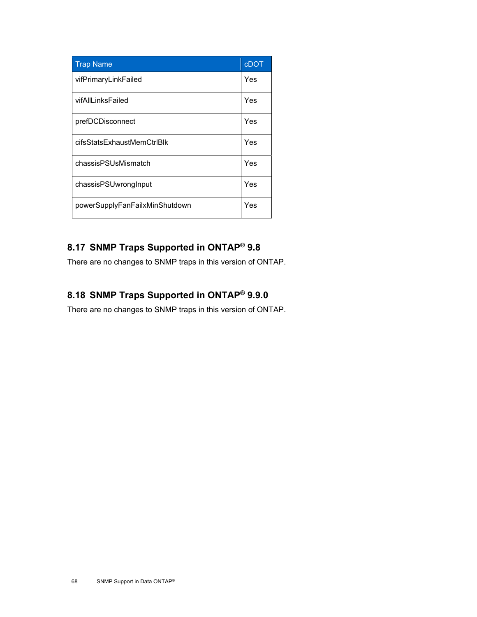| <b>Trap Name</b>               | <b>cDOT</b> |
|--------------------------------|-------------|
| vifPrimaryLinkFailed           | Yes         |
| vifAllLinksFailed              | Yes         |
| prefDCDisconnect               | Yes         |
| cifsStatsExhaustMemCtrlBlk     | Yes         |
| chassisPSUsMismatch            | Yes         |
| chassisPSUwrongInput           | Yes         |
| powerSupplyFanFailxMinShutdown | Yes         |

## <span id="page-67-0"></span>**8.17 SNMP Traps Supported in ONTAP® 9.8**

There are no changes to SNMP traps in this version of ONTAP.

## <span id="page-67-1"></span>**8.18 SNMP Traps Supported in ONTAP® 9.9.0**

There are no changes to SNMP traps in this version of ONTAP.